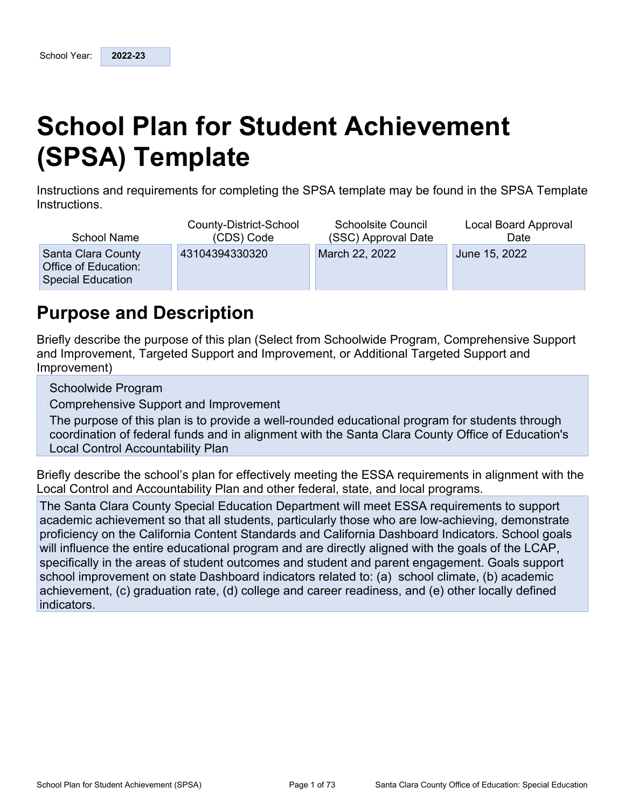# **School Plan for Student Achievement (SPSA) Template**

Instructions and requirements for completing the SPSA template may be found in the SPSA Template Instructions.

| School Name                                                            | County-District-School | <b>Schoolsite Council</b> | Local Board Approval |
|------------------------------------------------------------------------|------------------------|---------------------------|----------------------|
|                                                                        | (CDS) Code             | (SSC) Approval Date       | Date                 |
| Santa Clara County<br>Office of Education:<br><b>Special Education</b> | 43104394330320         | March 22, 2022            | June 15, 2022        |

## **Purpose and Description**

Briefly describe the purpose of this plan (Select from Schoolwide Program, Comprehensive Support and Improvement, Targeted Support and Improvement, or Additional Targeted Support and Improvement)

Schoolwide Program

Comprehensive Support and Improvement

The purpose of this plan is to provide a well-rounded educational program for students through coordination of federal funds and in alignment with the Santa Clara County Office of Education's Local Control Accountability Plan

Briefly describe the school's plan for effectively meeting the ESSA requirements in alignment with the Local Control and Accountability Plan and other federal, state, and local programs.

The Santa Clara County Special Education Department will meet ESSA requirements to support academic achievement so that all students, particularly those who are low-achieving, demonstrate proficiency on the California Content Standards and California Dashboard Indicators. School goals will influence the entire educational program and are directly aligned with the goals of the LCAP, specifically in the areas of student outcomes and student and parent engagement. Goals support school improvement on state Dashboard indicators related to: (a) school climate, (b) academic achievement, (c) graduation rate, (d) college and career readiness, and (e) other locally defined indicators.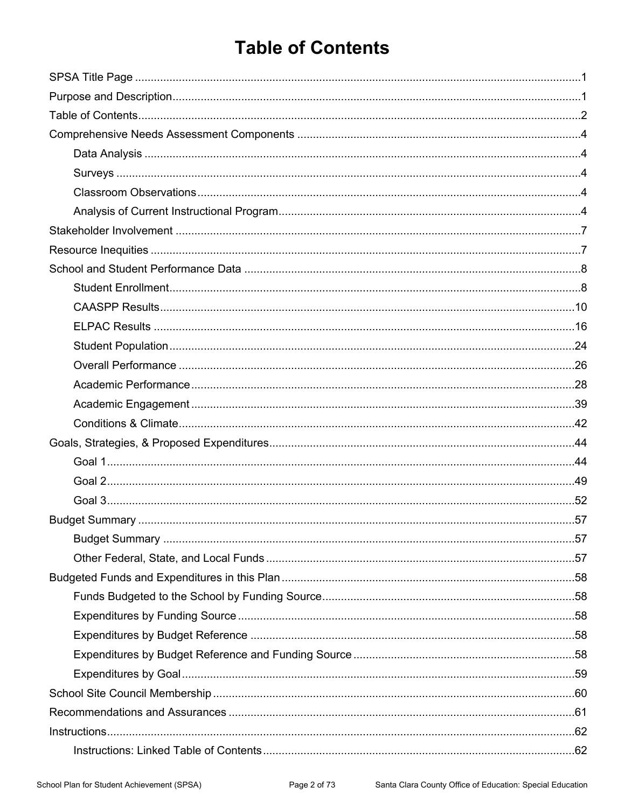## **Table of Contents**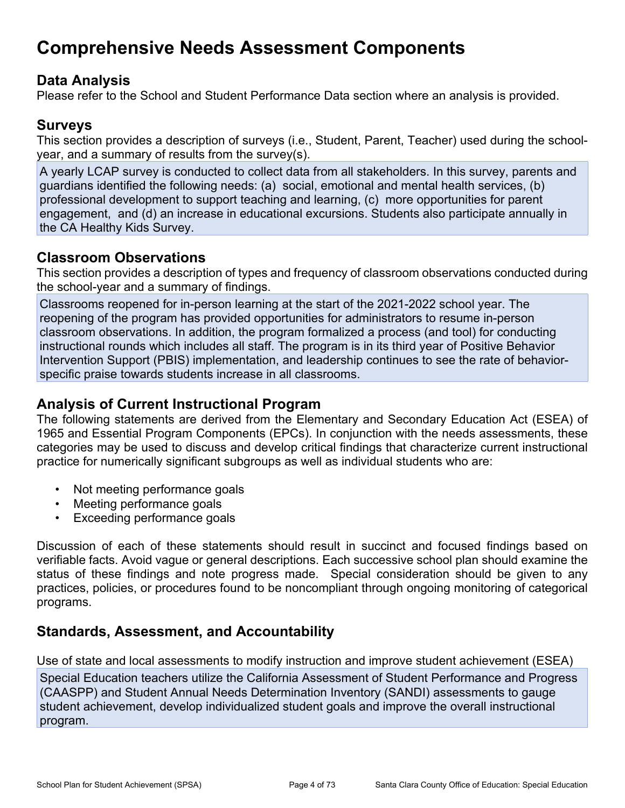## **Comprehensive Needs Assessment Components**

### **Data Analysis**

Please refer to the School and Student Performance Data section where an analysis is provided.

## **Surveys**

This section provides a description of surveys (i.e., Student, Parent, Teacher) used during the schoolyear, and a summary of results from the survey(s).

A yearly LCAP survey is conducted to collect data from all stakeholders. In this survey, parents and guardians identified the following needs: (a) social, emotional and mental health services, (b) professional development to support teaching and learning, (c) more opportunities for parent engagement, and (d) an increase in educational excursions. Students also participate annually in the CA Healthy Kids Survey.

### **Classroom Observations**

This section provides a description of types and frequency of classroom observations conducted during the school-year and a summary of findings.

Classrooms reopened for in-person learning at the start of the 2021-2022 school year. The reopening of the program has provided opportunities for administrators to resume in-person classroom observations. In addition, the program formalized a process (and tool) for conducting instructional rounds which includes all staff. The program is in its third year of Positive Behavior Intervention Support (PBIS) implementation, and leadership continues to see the rate of behaviorspecific praise towards students increase in all classrooms.

### **Analysis of Current Instructional Program**

The following statements are derived from the Elementary and Secondary Education Act (ESEA) of 1965 and Essential Program Components (EPCs). In conjunction with the needs assessments, these categories may be used to discuss and develop critical findings that characterize current instructional practice for numerically significant subgroups as well as individual students who are:

- Not meeting performance goals
- Meeting performance goals
- Exceeding performance goals

Discussion of each of these statements should result in succinct and focused findings based on verifiable facts. Avoid vague or general descriptions. Each successive school plan should examine the status of these findings and note progress made. Special consideration should be given to any practices, policies, or procedures found to be noncompliant through ongoing monitoring of categorical programs.

## **Standards, Assessment, and Accountability**

Use of state and local assessments to modify instruction and improve student achievement (ESEA)

Special Education teachers utilize the California Assessment of Student Performance and Progress (CAASPP) and Student Annual Needs Determination Inventory (SANDI) assessments to gauge student achievement, develop individualized student goals and improve the overall instructional program.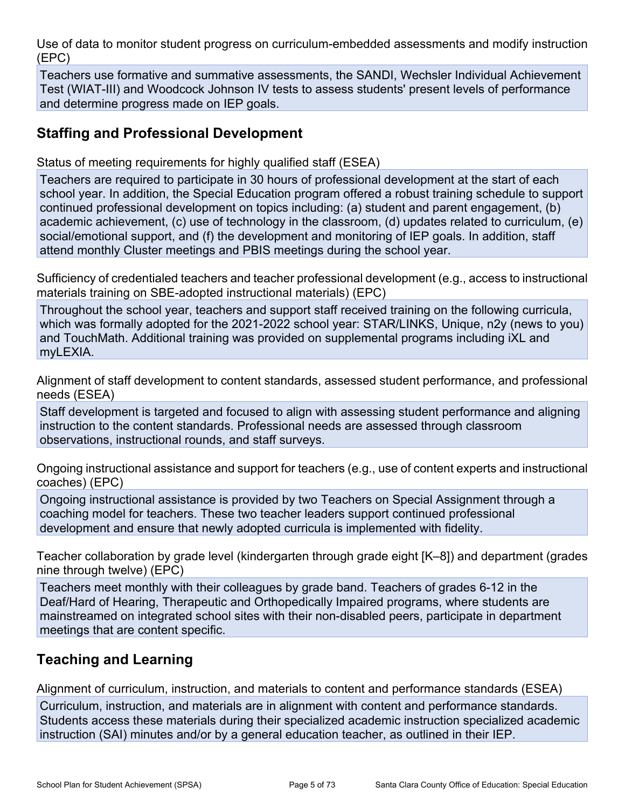Use of data to monitor student progress on curriculum-embedded assessments and modify instruction (EPC)

Teachers use formative and summative assessments, the SANDI, Wechsler Individual Achievement Test (WIAT-III) and Woodcock Johnson IV tests to assess students' present levels of performance and determine progress made on IEP goals.

### **Staffing and Professional Development**

Status of meeting requirements for highly qualified staff (ESEA)

Teachers are required to participate in 30 hours of professional development at the start of each school year. In addition, the Special Education program offered a robust training schedule to support continued professional development on topics including: (a) student and parent engagement, (b) academic achievement, (c) use of technology in the classroom, (d) updates related to curriculum, (e) social/emotional support, and (f) the development and monitoring of IEP goals. In addition, staff attend monthly Cluster meetings and PBIS meetings during the school year.

Sufficiency of credentialed teachers and teacher professional development (e.g., access to instructional materials training on SBE-adopted instructional materials) (EPC)

Throughout the school year, teachers and support staff received training on the following curricula, which was formally adopted for the 2021-2022 school year: STAR/LINKS, Unique, n2y (news to you) and TouchMath. Additional training was provided on supplemental programs including iXL and myLEXIA.

Alignment of staff development to content standards, assessed student performance, and professional needs (ESEA)

Staff development is targeted and focused to align with assessing student performance and aligning instruction to the content standards. Professional needs are assessed through classroom observations, instructional rounds, and staff surveys.

Ongoing instructional assistance and support for teachers (e.g., use of content experts and instructional coaches) (EPC)

Ongoing instructional assistance is provided by two Teachers on Special Assignment through a coaching model for teachers. These two teacher leaders support continued professional development and ensure that newly adopted curricula is implemented with fidelity.

Teacher collaboration by grade level (kindergarten through grade eight [K–8]) and department (grades nine through twelve) (EPC)

Teachers meet monthly with their colleagues by grade band. Teachers of grades 6-12 in the Deaf/Hard of Hearing, Therapeutic and Orthopedically Impaired programs, where students are mainstreamed on integrated school sites with their non-disabled peers, participate in department meetings that are content specific.

## **Teaching and Learning**

Alignment of curriculum, instruction, and materials to content and performance standards (ESEA) Curriculum, instruction, and materials are in alignment with content and performance standards. Students access these materials during their specialized academic instruction specialized academic instruction (SAI) minutes and/or by a general education teacher, as outlined in their IEP.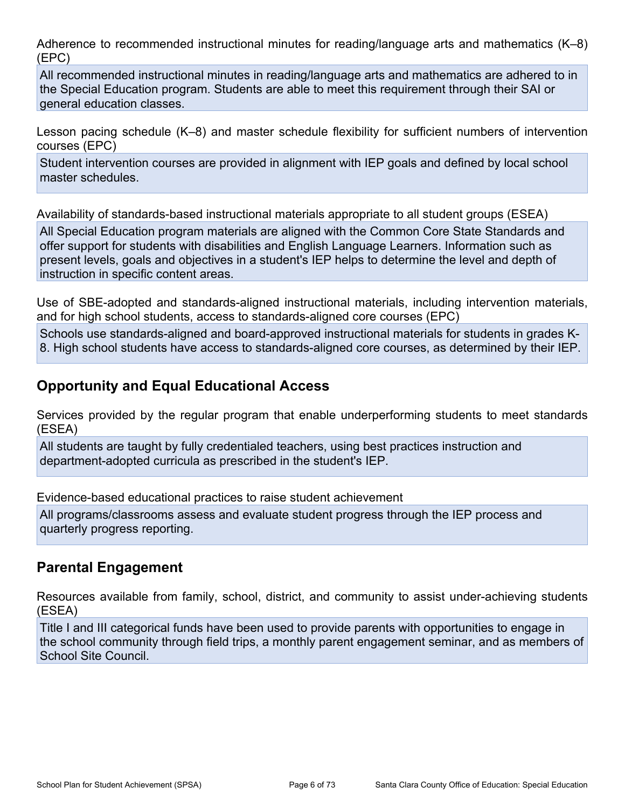Adherence to recommended instructional minutes for reading/language arts and mathematics (K–8) (EPC)

All recommended instructional minutes in reading/language arts and mathematics are adhered to in the Special Education program. Students are able to meet this requirement through their SAI or general education classes.

Lesson pacing schedule (K–8) and master schedule flexibility for sufficient numbers of intervention courses (EPC)

Student intervention courses are provided in alignment with IEP goals and defined by local school master schedules.

Availability of standards-based instructional materials appropriate to all student groups (ESEA)

All Special Education program materials are aligned with the Common Core State Standards and offer support for students with disabilities and English Language Learners. Information such as present levels, goals and objectives in a student's IEP helps to determine the level and depth of instruction in specific content areas.

Use of SBE-adopted and standards-aligned instructional materials, including intervention materials, and for high school students, access to standards-aligned core courses (EPC)

Schools use standards-aligned and board-approved instructional materials for students in grades K-8. High school students have access to standards-aligned core courses, as determined by their IEP.

### **Opportunity and Equal Educational Access**

Services provided by the regular program that enable underperforming students to meet standards (ESEA)

All students are taught by fully credentialed teachers, using best practices instruction and department-adopted curricula as prescribed in the student's IEP.

Evidence-based educational practices to raise student achievement

All programs/classrooms assess and evaluate student progress through the IEP process and quarterly progress reporting.

### **Parental Engagement**

Resources available from family, school, district, and community to assist under-achieving students (ESEA)

Title I and III categorical funds have been used to provide parents with opportunities to engage in the school community through field trips, a monthly parent engagement seminar, and as members of School Site Council.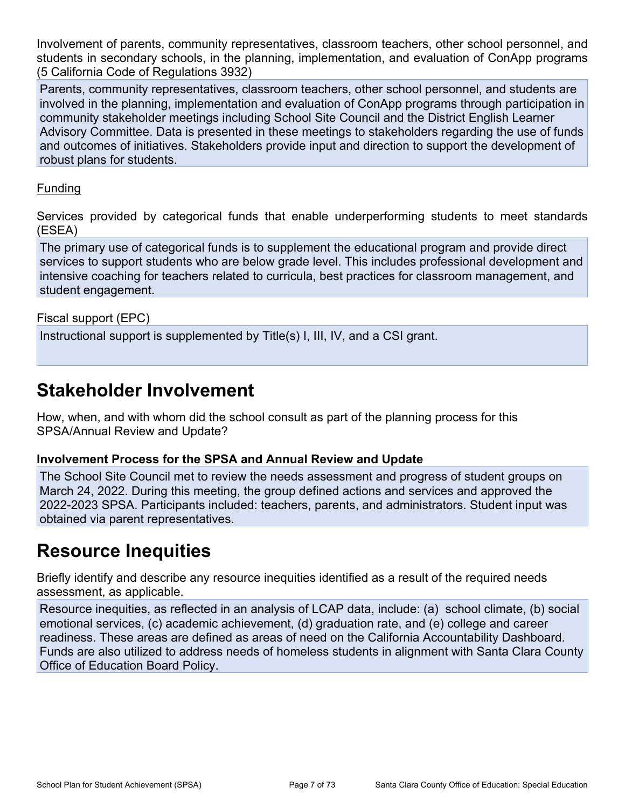Involvement of parents, community representatives, classroom teachers, other school personnel, and students in secondary schools, in the planning, implementation, and evaluation of ConApp programs (5 California Code of Regulations 3932)

Parents, community representatives, classroom teachers, other school personnel, and students are involved in the planning, implementation and evaluation of ConApp programs through participation in community stakeholder meetings including School Site Council and the District English Learner Advisory Committee. Data is presented in these meetings to stakeholders regarding the use of funds and outcomes of initiatives. Stakeholders provide input and direction to support the development of robust plans for students.

#### Funding

Services provided by categorical funds that enable underperforming students to meet standards (ESEA)

The primary use of categorical funds is to supplement the educational program and provide direct services to support students who are below grade level. This includes professional development and intensive coaching for teachers related to curricula, best practices for classroom management, and student engagement.

Fiscal support (EPC)

Instructional support is supplemented by Title(s) I, III, IV, and a CSI grant.

## **Stakeholder Involvement**

How, when, and with whom did the school consult as part of the planning process for this SPSA/Annual Review and Update?

#### **Involvement Process for the SPSA and Annual Review and Update**

The School Site Council met to review the needs assessment and progress of student groups on March 24, 2022. During this meeting, the group defined actions and services and approved the 2022-2023 SPSA. Participants included: teachers, parents, and administrators. Student input was obtained via parent representatives.

## **Resource Inequities**

Briefly identify and describe any resource inequities identified as a result of the required needs assessment, as applicable.

Resource inequities, as reflected in an analysis of LCAP data, include: (a) school climate, (b) social emotional services, (c) academic achievement, (d) graduation rate, and (e) college and career readiness. These areas are defined as areas of need on the California Accountability Dashboard. Funds are also utilized to address needs of homeless students in alignment with Santa Clara County Office of Education Board Policy.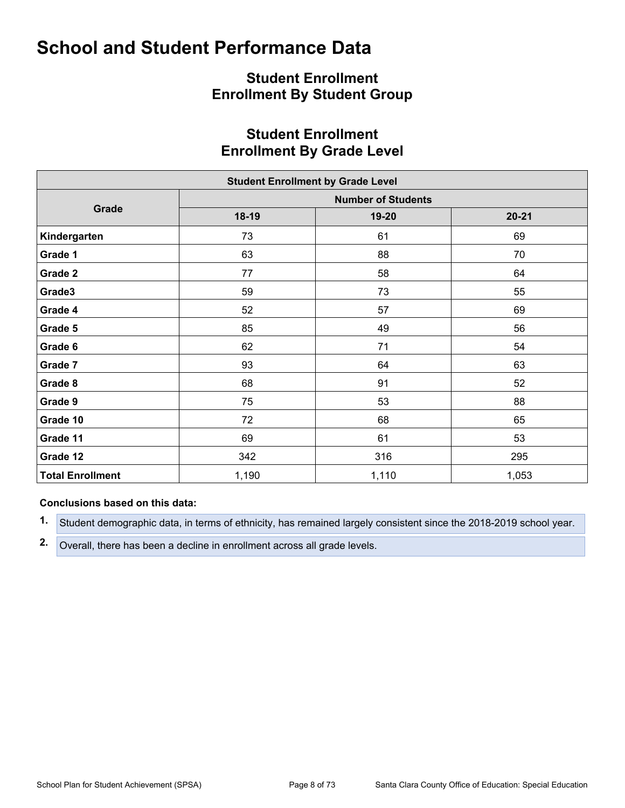### **Student Enrollment Enrollment By Student Group**

### **Student Enrollment Enrollment By Grade Level**

|                         | <b>Student Enrollment by Grade Level</b> |                           |           |
|-------------------------|------------------------------------------|---------------------------|-----------|
|                         |                                          | <b>Number of Students</b> |           |
| Grade                   | $18-19$                                  | 19-20                     | $20 - 21$ |
| Kindergarten            | 73                                       | 61                        | 69        |
| Grade 1                 | 63                                       | 88                        | 70        |
| Grade 2                 | 77                                       | 58                        | 64        |
| Grade3                  | 59                                       | 73                        | 55        |
| Grade 4                 | 52                                       | 57                        | 69        |
| Grade 5                 | 85                                       | 49                        | 56        |
| Grade 6                 | 62                                       | 71                        | 54        |
| Grade 7                 | 93                                       | 64                        | 63        |
| Grade 8                 | 68                                       | 91                        | 52        |
| Grade 9                 | 75                                       | 53                        | 88        |
| Grade 10                | 72                                       | 68                        | 65        |
| Grade 11                | 69                                       | 61                        | 53        |
| Grade 12                | 342                                      | 316                       | 295       |
| <b>Total Enrollment</b> | 1,190                                    | 1,110                     | 1,053     |

#### **Conclusions based on this data:**

**1.** Student demographic data, in terms of ethnicity, has remained largely consistent since the 2018-2019 school year.

**2.** Overall, there has been a decline in enrollment across all grade levels.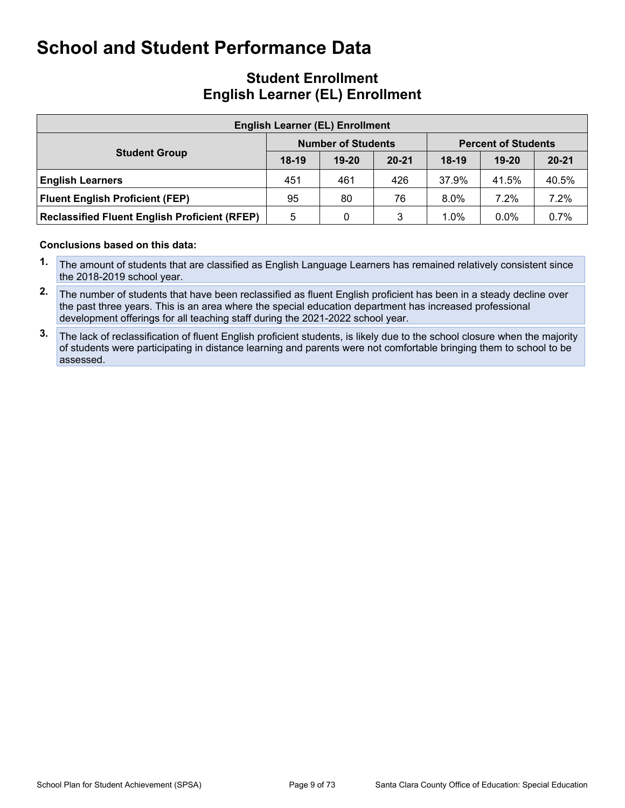### **Student Enrollment English Learner (EL) Enrollment**

| <b>English Learner (EL) Enrollment</b>               |         |                           |           |                            |           |           |  |  |  |  |  |
|------------------------------------------------------|---------|---------------------------|-----------|----------------------------|-----------|-----------|--|--|--|--|--|
|                                                      |         | <b>Number of Students</b> |           | <b>Percent of Students</b> |           |           |  |  |  |  |  |
| <b>Student Group</b>                                 | $18-19$ | $19 - 20$                 | $20 - 21$ | $18-19$                    | $19 - 20$ | $20 - 21$ |  |  |  |  |  |
| <b>English Learners</b>                              | 451     | 461                       | 426       | 37.9%                      | 41.5%     | 40.5%     |  |  |  |  |  |
| <b>Fluent English Proficient (FEP)</b>               | 95      | 80                        | 76        | $8.0\%$                    | 7.2%      | 7.2%      |  |  |  |  |  |
| <b>Reclassified Fluent English Proficient (RFEP)</b> | 5       | 0                         | 3         | 1.0%                       | $0.0\%$   | 0.7%      |  |  |  |  |  |

#### **Conclusions based on this data:**

- **1.** The amount of students that are classified as English Language Learners has remained relatively consistent since the 2018-2019 school year.
- **2.** The number of students that have been reclassified as fluent English proficient has been in a steady decline over the past three years. This is an area where the special education department has increased professional development offerings for all teaching staff during the 2021-2022 school year.
- **3.** The lack of reclassification of fluent English proficient students, is likely due to the school closure when the majority of students were participating in distance learning and parents were not comfortable bringing them to school to be assessed.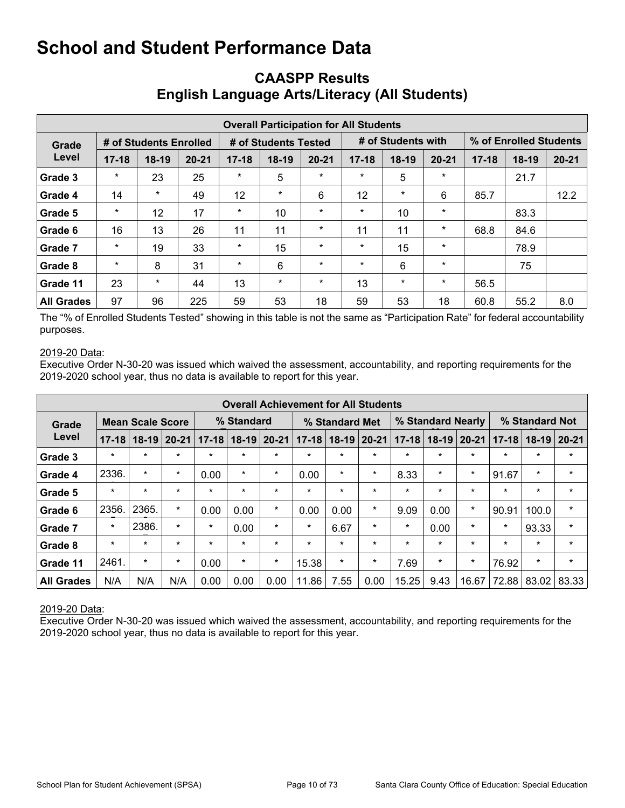|                   | <b>Overall Participation for All Students</b> |         |                      |           |         |                    |                   |         |                        |           |         |           |  |  |  |
|-------------------|-----------------------------------------------|---------|----------------------|-----------|---------|--------------------|-------------------|---------|------------------------|-----------|---------|-----------|--|--|--|
| Grade             | # of Students Enrolled                        |         | # of Students Tested |           |         | # of Students with |                   |         | % of Enrolled Students |           |         |           |  |  |  |
| Level             | $17 - 18$                                     | $18-19$ | $20 - 21$            | $17 - 18$ | $18-19$ | $20 - 21$          | $17 - 18$         | $18-19$ | $20 - 21$              | $17 - 18$ | $18-19$ | $20 - 21$ |  |  |  |
| Grade 3           | $\star$                                       | 23      | 25                   | $\star$   | 5       | $\star$            | $\star$           | 5       | $\star$                |           | 21.7    |           |  |  |  |
| Grade 4           | 14                                            | $\ast$  | 49                   | 12        | $\star$ | 6                  | $12 \overline{ }$ | $\star$ | 6                      | 85.7      |         | 12.2      |  |  |  |
| Grade 5           | $\star$                                       | 12      | 17                   | $\star$   | 10      | $\star$            | $\star$           | 10      | $\star$                |           | 83.3    |           |  |  |  |
| Grade 6           | 16                                            | 13      | 26                   | 11        | 11      | $\star$            | 11                | 11      | $\star$                | 68.8      | 84.6    |           |  |  |  |
| Grade 7           | $\star$                                       | 19      | 33                   | $\star$   | 15      | $\star$            | $\star$           | 15      | $\star$                |           | 78.9    |           |  |  |  |
| Grade 8           | $\star$                                       | 8       | 31                   | $\star$   | 6       | $\star$            | $\ast$            | 6       | $\star$                |           | 75      |           |  |  |  |
| Grade 11          | 23                                            | $\star$ | 44                   | 13        | $\star$ | $\star$            | 13                | $\star$ | $\star$                | 56.5      |         |           |  |  |  |
| <b>All Grades</b> | 97                                            | 96      | 225                  | 59        | 53      | 18                 | 59                | 53      | 18                     | 60.8      | 55.2    | 8.0       |  |  |  |

## **CAASPP Results English Language Arts/Literacy (All Students)**

The "% of Enrolled Students Tested" showing in this table is not the same as "Participation Rate" for federal accountability purposes.

#### 2019-20 Data:

Executive Order N-30-20 was issued which waived the assessment, accountability, and reporting requirements for the 2019-2020 school year, thus no data is available to report for this year.

|                   |           |                         |           |           |             |         | <b>Overall Achievement for All Students</b> |                |           |           |                   |           |                |         |           |
|-------------------|-----------|-------------------------|-----------|-----------|-------------|---------|---------------------------------------------|----------------|-----------|-----------|-------------------|-----------|----------------|---------|-----------|
| Grade             |           | <b>Mean Scale Score</b> |           |           | % Standard  |         |                                             | % Standard Met |           |           | % Standard Nearly |           | % Standard Not |         |           |
| Level             | $17 - 18$ | $18 - 19$               | $20 - 21$ | $17 - 18$ | 18-19 20-21 |         | $17 - 18$                                   | $18-19$        | $20 - 21$ | $17 - 18$ | $18-19$           | $20 - 21$ | $17 - 18$      | $18-19$ | $20 - 21$ |
| Grade 3           | $\ast$    | $\star$                 | $\star$   | $\star$   | $\star$     | $\star$ | $\star$                                     | $\star$        | $\star$   | $\star$   | $\star$           | $\star$   | $\star$        | $\star$ | $\star$   |
| Grade 4           | 2336.     | $\star$                 | $\star$   | 0.00      | $\star$     | $\star$ | 0.00                                        | $\star$        | $\star$   | 8.33      | $\star$           | $\star$   | 91.67          | $\star$ | $\star$   |
| Grade 5           | $\ast$    | $\star$                 | $\star$   | $\star$   | $\star$     | $\star$ | $\star$                                     | $\star$        | $\star$   | $\ast$    | $\star$           | $\star$   | $\ast$         | $\star$ | $\star$   |
| Grade 6           | 2356.     | 2365.                   | $\ast$    | 0.00      | 0.00        | $\ast$  | 0.00                                        | 0.00           | $\star$   | 9.09      | 0.00              | $\ast$    | 90.91          | 100.0   | $\star$   |
| Grade 7           | $\star$   | 2386.                   | $\star$   | $\star$   | 0.00        | $\ast$  | $\star$                                     | 6.67           | $\star$   | $\star$   | 0.00              | $\star$   | $\star$        | 93.33   | $\ast$    |
| Grade 8           | $\ast$    | $\star$                 | $\star$   | $\star$   | $\star$     | $\star$ | $\star$                                     | $\star$        | $\star$   | $\ast$    | $\star$           | $\star$   | $\star$        | $\star$ | $\ast$    |
| Grade 11          | 2461.     | $\star$                 | $\ast$    | 0.00      | $\star$     | $\ast$  | 15.38                                       | $\star$        | $\star$   | 7.69      | $\star$           | $\star$   | 76.92          | $\star$ | $\ast$    |
| <b>All Grades</b> | N/A       | N/A                     | N/A       | 0.00      | 0.00        | 0.00    | 11.86                                       | 7.55           | 0.00      | 15.25     | 9.43              | 16.67     | 72.88          | 83.02   | 83.33     |

#### 2019-20 Data: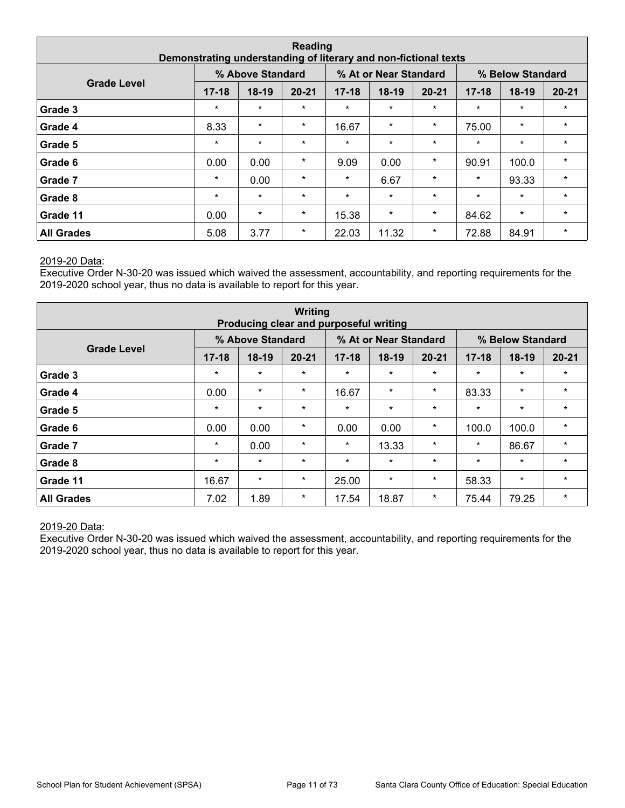| Reading<br>Demonstrating understanding of literary and non-fictional texts |           |         |           |           |         |           |           |         |           |  |  |  |
|----------------------------------------------------------------------------|-----------|---------|-----------|-----------|---------|-----------|-----------|---------|-----------|--|--|--|
| % Above Standard<br>% At or Near Standard<br>% Below Standard              |           |         |           |           |         |           |           |         |           |  |  |  |
| <b>Grade Level</b>                                                         | $17 - 18$ | $18-19$ | $20 - 21$ | $17 - 18$ | 18-19   | $20 - 21$ | $17 - 18$ | $18-19$ | $20 - 21$ |  |  |  |
| Grade 3                                                                    | $\star$   | $\star$ | $\star$   | $\star$   | $\star$ | $\star$   | $\star$   | $\star$ | $\star$   |  |  |  |
| Grade 4                                                                    | 8.33      | $\star$ | $\star$   | 16.67     | $\star$ | $\star$   | 75.00     | $\star$ | $\star$   |  |  |  |
| Grade 5                                                                    | $\star$   | $\star$ | $\star$   | $\star$   | $\star$ | $\star$   | $\star$   | $\star$ | $\star$   |  |  |  |
| Grade 6                                                                    | 0.00      | 0.00    | $\star$   | 9.09      | 0.00    | $\star$   | 90.91     | 100.0   | $\star$   |  |  |  |
| Grade 7                                                                    | $\star$   | 0.00    | $\star$   | $\star$   | 6.67    | $\star$   | $\star$   | 93.33   | $\star$   |  |  |  |
| Grade 8                                                                    | $\star$   | $\star$ | $\star$   | $\star$   | $\star$ | $\star$   | $\star$   | $\star$ | $\star$   |  |  |  |
| Grade 11                                                                   | 84.62     | $\star$ | $\star$   |           |         |           |           |         |           |  |  |  |
| <b>All Grades</b>                                                          | 5.08      | 3.77    | $\star$   | 22.03     | 11.32   | $\star$   | 72.88     | 84.91   | $\star$   |  |  |  |

Executive Order N-30-20 was issued which waived the assessment, accountability, and reporting requirements for the 2019-2020 school year, thus no data is available to report for this year.

| Writing<br>Producing clear and purposeful writing |           |                  |           |           |                       |           |           |                  |           |  |  |  |
|---------------------------------------------------|-----------|------------------|-----------|-----------|-----------------------|-----------|-----------|------------------|-----------|--|--|--|
|                                                   |           | % Above Standard |           |           | % At or Near Standard |           |           | % Below Standard |           |  |  |  |
| <b>Grade Level</b>                                | $17 - 18$ | $18-19$          | $20 - 21$ | $17 - 18$ | $18-19$               | $20 - 21$ | $17 - 18$ | $18-19$          | $20 - 21$ |  |  |  |
| Grade 3                                           | $\star$   | $\star$          | $\star$   | $\star$   | $\star$               | $\star$   | $\star$   | $\star$          | $\star$   |  |  |  |
| Grade 4                                           | 0.00      | $\star$          | $\star$   | 16.67     | $\star$               | $\star$   | 83.33     | $\star$          | $\star$   |  |  |  |
| Grade 5                                           | $\star$   | $\star$          | $\star$   | $\star$   | $\star$               | $\star$   | $\star$   | $\star$          | $\star$   |  |  |  |
| Grade 6                                           | 0.00      | 0.00             | $\star$   | 0.00      | 0.00                  | $\ast$    | 100.0     | 100.0            | $\star$   |  |  |  |
| Grade 7                                           | $\star$   | 0.00             | $\star$   | $\star$   | 13.33                 | $\star$   | $\star$   | 86.67            | $\star$   |  |  |  |
| Grade 8                                           | $\star$   | $\star$          | $\star$   | $\star$   | $\star$               | $\star$   | $\star$   | $\star$          | $\star$   |  |  |  |
| Grade 11                                          | 16.67     | $\star$          | 25.00     | $\star$   | $\star$               | 58.33     | $\star$   | $\star$          |           |  |  |  |
| <b>All Grades</b>                                 | 7.02      | 1.89             | $\star$   | 17.54     | 18.87                 | $\star$   | 75.44     | 79.25            | $\star$   |  |  |  |

#### 2019-20 Data: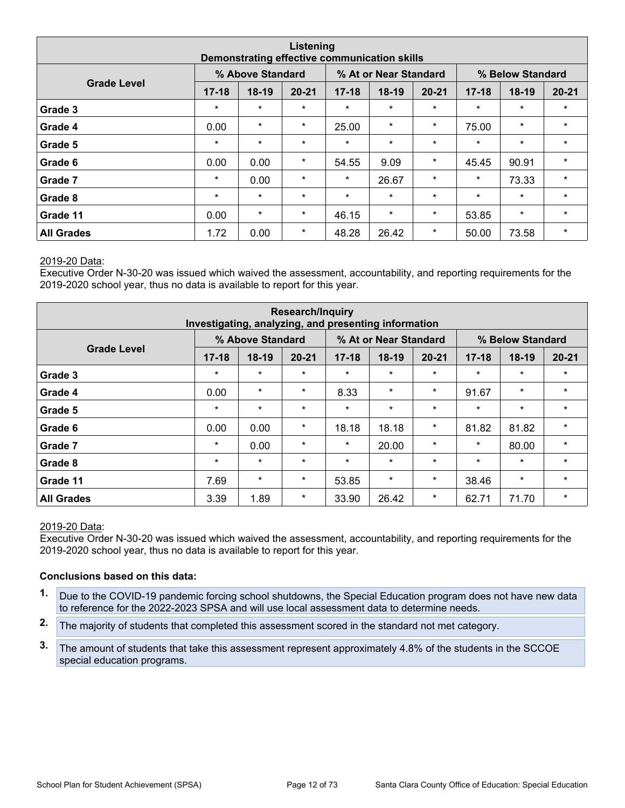| Listening<br>Demonstrating effective communication skills     |           |         |           |           |         |           |           |         |           |  |  |  |  |
|---------------------------------------------------------------|-----------|---------|-----------|-----------|---------|-----------|-----------|---------|-----------|--|--|--|--|
| % Above Standard<br>% At or Near Standard<br>% Below Standard |           |         |           |           |         |           |           |         |           |  |  |  |  |
| <b>Grade Level</b>                                            | $17 - 18$ | $18-19$ | $20 - 21$ | $17 - 18$ | 18-19   | $20 - 21$ | $17 - 18$ | $18-19$ | $20 - 21$ |  |  |  |  |
| Grade 3                                                       | $\star$   | $\star$ | $\star$   | $\star$   | $\star$ | $\star$   | $\star$   | $\star$ | $\star$   |  |  |  |  |
| Grade 4                                                       | 0.00      | $\star$ | $\star$   | 25.00     | $\star$ | $\star$   | 75.00     | $\star$ | $\star$   |  |  |  |  |
| Grade 5                                                       | $\star$   | $\star$ | $\star$   | $\star$   | $\star$ | $\star$   | $\star$   | $\star$ | $\star$   |  |  |  |  |
| Grade 6                                                       | 0.00      | 0.00    | $\star$   | 54.55     | 9.09    | $\star$   | 45.45     | 90.91   | $\star$   |  |  |  |  |
| Grade 7                                                       | $\star$   | 0.00    | $\star$   | $\star$   | 26.67   | $\star$   | $\star$   | 73.33   | $\star$   |  |  |  |  |
| Grade 8                                                       | $\star$   | $\star$ | $\star$   | $\star$   | $\star$ | $\star$   | $\star$   | $\star$ | $\star$   |  |  |  |  |
| Grade 11                                                      | 0.00      | $\star$ | $\star$   | 46.15     | $\star$ | $\star$   | 53.85     | $\star$ | $\star$   |  |  |  |  |
| <b>All Grades</b>                                             | 1.72      | 0.00    | $\star$   | 48.28     | 26.42   | $\star$   | 50.00     | 73.58   | $\star$   |  |  |  |  |

Executive Order N-30-20 was issued which waived the assessment, accountability, and reporting requirements for the 2019-2020 school year, thus no data is available to report for this year.

| <b>Research/Inquiry</b><br>Investigating, analyzing, and presenting information |                  |         |           |           |         |           |           |         |           |  |  |  |
|---------------------------------------------------------------------------------|------------------|---------|-----------|-----------|---------|-----------|-----------|---------|-----------|--|--|--|
|                                                                                 | % Below Standard |         |           |           |         |           |           |         |           |  |  |  |
| <b>Grade Level</b>                                                              | $17 - 18$        | $18-19$ | $20 - 21$ | $17 - 18$ | $18-19$ | $20 - 21$ | $17 - 18$ | $18-19$ | $20 - 21$ |  |  |  |
| Grade 3                                                                         | $\star$          | $\star$ | $\star$   | $\star$   | $\star$ | $\star$   | $\star$   | $\star$ | $\star$   |  |  |  |
| Grade 4                                                                         | 0.00             | $\star$ | $\star$   | 8.33      | $\star$ | $\star$   | 91.67     | $\star$ | $\star$   |  |  |  |
| Grade 5                                                                         | $\star$          | $\star$ | $\star$   | $\star$   | $\star$ | $\star$   | $\star$   | $\star$ | $\star$   |  |  |  |
| Grade 6                                                                         | 0.00             | 0.00    | $\star$   | 18.18     | 18.18   | $\star$   | 81.82     | 81.82   | $\star$   |  |  |  |
| Grade 7                                                                         | $\star$          | 0.00    | $\star$   | $\star$   | 20.00   | $\star$   | $\star$   | 80.00   | $\star$   |  |  |  |
| Grade 8                                                                         | $\star$          | $\star$ | $\star$   | $\star$   | $\star$ | $\star$   | $\star$   | $\star$ | $\star$   |  |  |  |
| Grade 11                                                                        | 7.69             | 53.85   | $\star$   | $\star$   | 38.46   | $\star$   | $\star$   |         |           |  |  |  |
| <b>All Grades</b>                                                               | 3.39             | 1.89    | $\star$   | 33.90     | 26.42   | $\ast$    | 62.71     | 71.70   | $\star$   |  |  |  |

#### 2019-20 Data:

Executive Order N-30-20 was issued which waived the assessment, accountability, and reporting requirements for the 2019-2020 school year, thus no data is available to report for this year.

#### **Conclusions based on this data:**

- **1.** Due to the COVID-19 pandemic forcing school shutdowns, the Special Education program does not have new data to reference for the 2022-2023 SPSA and will use local assessment data to determine needs.
- **2.** The majority of students that completed this assessment scored in the standard not met category.
- **3.** The amount of students that take this assessment represent approximately 4.8% of the students in the SCCOE special education programs.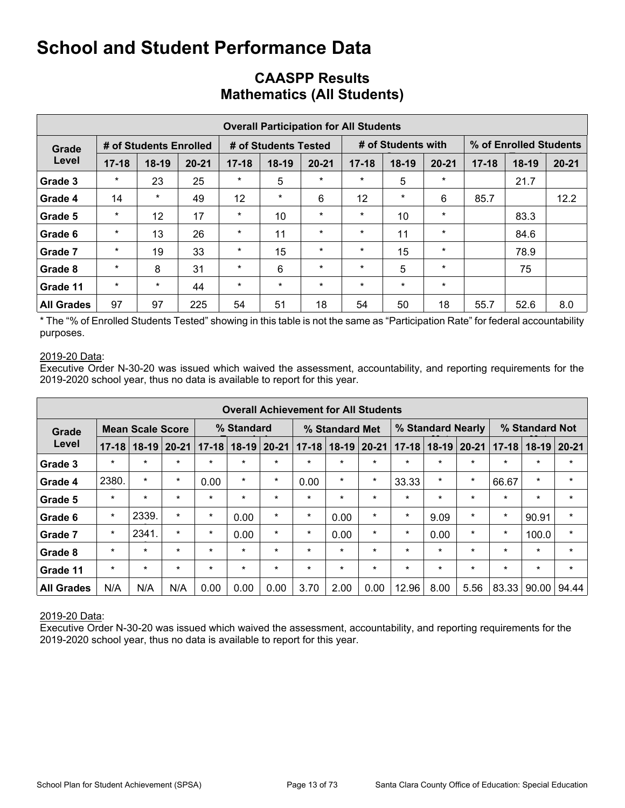|                   | <b>Overall Participation for All Students</b> |                        |           |           |                      |           |           |                    |           |           |                        |           |  |  |  |
|-------------------|-----------------------------------------------|------------------------|-----------|-----------|----------------------|-----------|-----------|--------------------|-----------|-----------|------------------------|-----------|--|--|--|
| Grade             |                                               | # of Students Enrolled |           |           | # of Students Tested |           |           | # of Students with |           |           | % of Enrolled Students |           |  |  |  |
| Level             | $17 - 18$                                     | $18-19$                | $20 - 21$ | $17 - 18$ | $18-19$              | $20 - 21$ | $17 - 18$ | $18-19$            | $20 - 21$ | $17 - 18$ | $18-19$                | $20 - 21$ |  |  |  |
| Grade 3           | $\star$                                       | 23                     | 25        | $\star$   | 5                    | $\ast$    | $\star$   | 5                  | $\star$   |           | 21.7                   |           |  |  |  |
| Grade 4           | 14                                            | $\star$                | 49        | 12        | $\star$              | 6         | 12        | $\star$            | 6         | 85.7      |                        | 12.2      |  |  |  |
| Grade 5           | $\star$                                       | 12                     | 17        | $\star$   | 10                   | $\star$   | $\star$   | 10                 | $\star$   |           | 83.3                   |           |  |  |  |
| Grade 6           | $\ast$                                        | 13                     | 26        | $\star$   | 11                   | $\star$   | $\star$   | 11                 | $\star$   |           | 84.6                   |           |  |  |  |
| Grade 7           | $\star$                                       | 19                     | 33        | $\star$   | 15                   | $\star$   | $\star$   | 15                 | $\star$   |           | 78.9                   |           |  |  |  |
| Grade 8           | $\star$                                       | 8                      | 31        | $\star$   | 6                    | $\star$   | $\star$   | 5                  | $\star$   |           | 75                     |           |  |  |  |
| Grade 11          | $\star$                                       | $\star$                | 44        | $\star$   | $\star$              | $\ast$    | $\star$   | $\star$            | $\star$   |           |                        |           |  |  |  |
| <b>All Grades</b> | 97                                            | 97                     | 225       | 54        | 51                   | 18        | 54        | 50                 | 18        | 55.7      | 52.6                   | 8.0       |  |  |  |

### **CAASPP Results Mathematics (All Students)**

\* The "% of Enrolled Students Tested" showing in this table is not the same as "Participation Rate" for federal accountability purposes.

#### 2019-20 Data:

Executive Order N-30-20 was issued which waived the assessment, accountability, and reporting requirements for the 2019-2020 school year, thus no data is available to report for this year.

|                   |           |                         |           |           |            |           | <b>Overall Achievement for All Students</b> |                |          |           |                   |           |           |                |           |
|-------------------|-----------|-------------------------|-----------|-----------|------------|-----------|---------------------------------------------|----------------|----------|-----------|-------------------|-----------|-----------|----------------|-----------|
| Grade             |           | <b>Mean Scale Score</b> |           |           | % Standard |           |                                             | % Standard Met |          |           | % Standard Nearly |           |           | % Standard Not |           |
| Level             | $17 - 18$ | $18-19$                 | $20 - 21$ | $17 - 18$ | $18-19$    | $20 - 21$ | $17 - 18$                                   | $18-19$        | $ 20-21$ | $17 - 18$ | $18 - 19$         | $20 - 21$ | $17 - 18$ | $18-19$        | $20 - 21$ |
| Grade 3           | $\star$   | $\star$                 | $\star$   | $\star$   | $\star$    | $\star$   | $\star$                                     | $\star$        | $\star$  | $\star$   | $\star$           | $\star$   | $\star$   | $\star$        | $\star$   |
| Grade 4           | 2380.     | $\star$                 | $\star$   | 0.00      | $\star$    | $\star$   | 0.00                                        | $\star$        | $\star$  | 33.33     | $\star$           | $\star$   | 66.67     | $\star$        | $\star$   |
| Grade 5           | $\star$   | $\star$                 | $\star$   | $\star$   | $\star$    | $\star$   | $\star$                                     | $\star$        | $\star$  | $\star$   | $\star$           | $\star$   | $\star$   | $\star$        | $\star$   |
| Grade 6           | $\star$   | 2339.                   | $\star$   | $\star$   | 0.00       | $\star$   | $\star$                                     | 0.00           | $\star$  | $\ast$    | 9.09              | $\ast$    | $\ast$    | 90.91          | $\star$   |
| Grade 7           | $\star$   | 2341.                   | $\star$   | $\star$   | 0.00       | $\star$   | $\star$                                     | 0.00           | $\star$  | $\star$   | 0.00              | $\ast$    | $\ast$    | 100.0          | $\star$   |
| Grade 8           | $\star$   | $\star$                 | $\star$   | $\star$   | $\star$    | $\star$   | $\star$                                     | $\star$        | $\star$  | $\star$   | $\star$           | $\star$   | $\star$   | $\star$        | $\star$   |
| Grade 11          | $\star$   | $\star$                 | $\star$   | $\star$   | $\star$    | $\star$   | $\star$                                     | $\star$        | $\star$  | $\star$   | $\star$           | $\star$   | $\star$   | $\star$        | $\star$   |
| <b>All Grades</b> | N/A       | N/A                     | N/A       | 0.00      | 0.00       | 0.00      | 3.70                                        | 2.00           | 0.00     | 12.96     | 8.00              | 5.56      | 83.33     | 90.00          | 94.44     |

#### 2019-20 Data: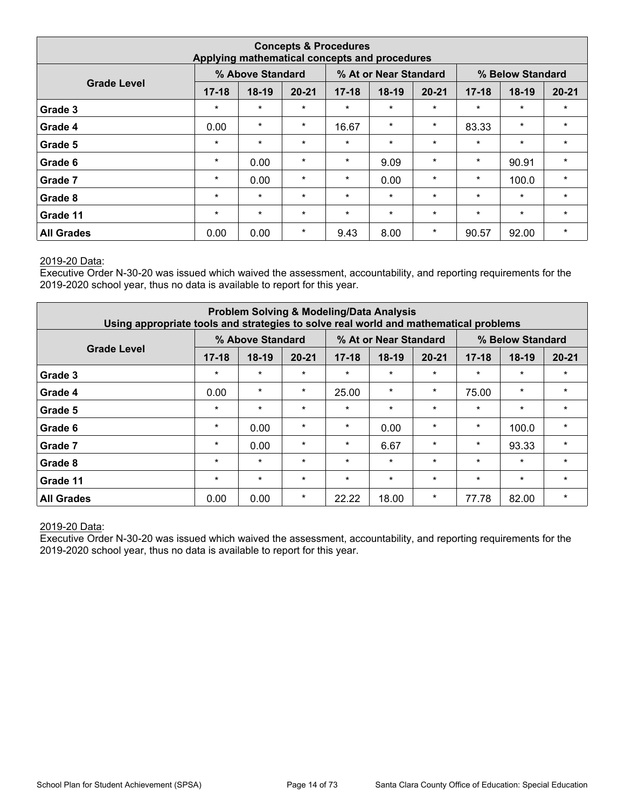|                   |                                                                                     |         |           | <b>Concepts &amp; Procedures</b><br>Applying mathematical concepts and procedures |         |           |           |         |           |  |  |  |  |  |  |
|-------------------|-------------------------------------------------------------------------------------|---------|-----------|-----------------------------------------------------------------------------------|---------|-----------|-----------|---------|-----------|--|--|--|--|--|--|
|                   | % Above Standard<br>% At or Near Standard<br>% Below Standard<br><b>Grade Level</b> |         |           |                                                                                   |         |           |           |         |           |  |  |  |  |  |  |
|                   | $17 - 18$                                                                           | $18-19$ | $20 - 21$ | $17 - 18$                                                                         | 18-19   | $20 - 21$ | $17 - 18$ | $18-19$ | $20 - 21$ |  |  |  |  |  |  |
| Grade 3           | $\star$                                                                             | $\star$ | $\star$   | $\star$                                                                           | $\star$ | $\star$   | $\star$   | $\star$ | $\star$   |  |  |  |  |  |  |
| Grade 4           | 0.00                                                                                | $\star$ | $\star$   | 16.67                                                                             | $\star$ | $\star$   | 83.33     | $\star$ | $\star$   |  |  |  |  |  |  |
| Grade 5           | $\star$                                                                             | $\star$ | $\star$   | $\star$                                                                           | $\star$ | $\star$   | $\star$   | $\star$ | $\star$   |  |  |  |  |  |  |
| Grade 6           | $\star$                                                                             | 0.00    | $\star$   | $\star$                                                                           | 9.09    | $\star$   | $\star$   | 90.91   | $\star$   |  |  |  |  |  |  |
| Grade 7           | $\star$                                                                             | 0.00    | $\star$   | $\star$                                                                           | 0.00    | $\star$   | $\star$   | 100.0   | $\star$   |  |  |  |  |  |  |
| Grade 8           | $\star$                                                                             | $\star$ | $\star$   | $\star$                                                                           | $\star$ | $\star$   | $\star$   | $\star$ | $\star$   |  |  |  |  |  |  |
| Grade 11          | $\star$                                                                             | $\star$ | $\star$   | $\star$                                                                           | $\star$ | $\star$   | $\star$   | $\star$ | $\star$   |  |  |  |  |  |  |
| <b>All Grades</b> | 0.00                                                                                | 0.00    | $\ast$    | 9.43                                                                              | 8.00    | $\star$   | 90.57     | 92.00   | $\star$   |  |  |  |  |  |  |

Executive Order N-30-20 was issued which waived the assessment, accountability, and reporting requirements for the 2019-2020 school year, thus no data is available to report for this year.

| Using appropriate tools and strategies to solve real world and mathematical problems |           |                  |           |           | <b>Problem Solving &amp; Modeling/Data Analysis</b> |           |           |                  |           |
|--------------------------------------------------------------------------------------|-----------|------------------|-----------|-----------|-----------------------------------------------------|-----------|-----------|------------------|-----------|
|                                                                                      |           | % Above Standard |           |           | % At or Near Standard                               |           |           | % Below Standard |           |
| <b>Grade Level</b>                                                                   | $17 - 18$ | $18-19$          | $20 - 21$ | $17 - 18$ | 18-19                                               | $20 - 21$ | $17 - 18$ | $18-19$          | $20 - 21$ |
| Grade 3                                                                              | $\star$   | $\star$          | $\star$   | $\star$   | $\star$                                             | $\star$   | $\star$   | $\star$          | $\star$   |
| Grade 4                                                                              | 0.00      | $\star$          | $\star$   | 25.00     | $\star$                                             | $\star$   | 75.00     | $\star$          | $\star$   |
| Grade 5                                                                              | $\star$   | $\star$          | $\star$   | $\star$   | $\star$                                             | $\star$   | $\star$   | $\star$          | $\star$   |
| Grade 6                                                                              | $\star$   | 0.00             | $\star$   | $\star$   | 0.00                                                | $\star$   | $\star$   | 100.0            | $\star$   |
| Grade 7                                                                              | $\star$   | 0.00             | $\star$   | $\star$   | 6.67                                                | $\star$   | $\star$   | 93.33            | $\star$   |
| Grade 8                                                                              | $\star$   | $\star$          | $\star$   | $\star$   | $\star$                                             | $\star$   | $\star$   | $\star$          | $\star$   |
| Grade 11                                                                             | $\star$   | $\star$          | $\star$   | $\star$   | $\star$                                             | $\star$   | $\star$   | $\star$          | $\star$   |
| <b>All Grades</b>                                                                    | 0.00      | 0.00             | $\star$   | 22.22     | 18.00                                               | $\ast$    | 77.78     | 82.00            | $\star$   |

#### 2019-20 Data: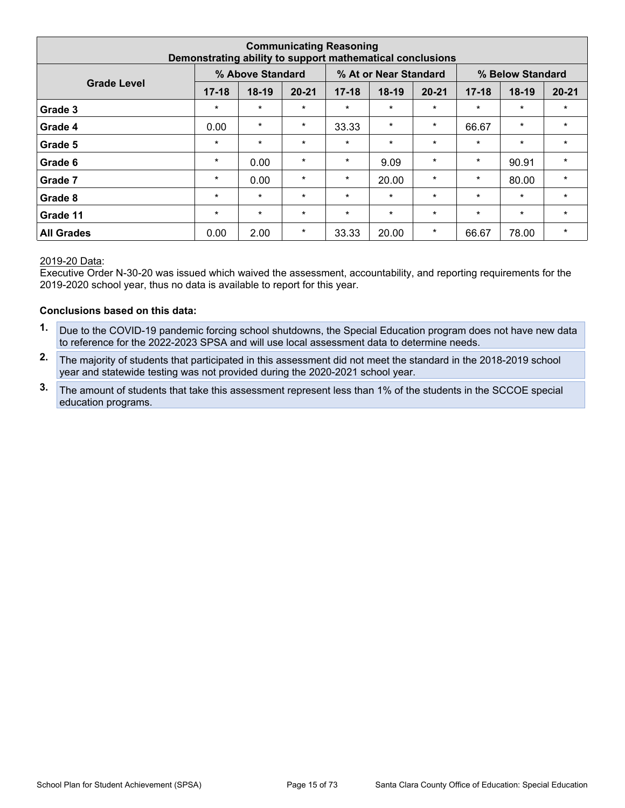|                                                                                     |           | Demonstrating ability to support mathematical conclusions |           | <b>Communicating Reasoning</b> |         |           |           |         |           |  |  |  |  |  |
|-------------------------------------------------------------------------------------|-----------|-----------------------------------------------------------|-----------|--------------------------------|---------|-----------|-----------|---------|-----------|--|--|--|--|--|
| % Above Standard<br>% At or Near Standard<br>% Below Standard<br><b>Grade Level</b> |           |                                                           |           |                                |         |           |           |         |           |  |  |  |  |  |
|                                                                                     | $17 - 18$ | $18-19$                                                   | $20 - 21$ | $17 - 18$                      | $18-19$ | $20 - 21$ | $17 - 18$ | $18-19$ | $20 - 21$ |  |  |  |  |  |
| Grade 3                                                                             | $\star$   | $\star$                                                   | $\star$   | $\star$                        | $\star$ | $\star$   | $\star$   | $\star$ | $\star$   |  |  |  |  |  |
| Grade 4                                                                             | 0.00      | $\star$                                                   | $\star$   | 33.33                          | $\star$ | $\star$   | 66.67     | $\star$ | $\star$   |  |  |  |  |  |
| Grade 5                                                                             | $\star$   | $\star$                                                   | $\star$   | $\star$                        | $\star$ | $\star$   | $\star$   | $\star$ | $\star$   |  |  |  |  |  |
| Grade 6                                                                             | $\star$   | 0.00                                                      | $\star$   | $\star$                        | 9.09    | $\star$   | $\star$   | 90.91   | $\star$   |  |  |  |  |  |
| Grade 7                                                                             | $\star$   | 0.00                                                      | $\star$   | $\star$                        | 20.00   | $\star$   | $\star$   | 80.00   | $\star$   |  |  |  |  |  |
| Grade 8                                                                             | $\star$   | $\star$                                                   | $\star$   | $\star$                        | $\star$ | $\star$   | $\star$   | $\star$ | $\star$   |  |  |  |  |  |
| Grade 11                                                                            | $\star$   | $\star$                                                   | $\star$   | $\star$                        | $\star$ | $\star$   | $\star$   | $\star$ | $\star$   |  |  |  |  |  |
| <b>All Grades</b>                                                                   | 0.00      | 2.00                                                      | $\star$   | 33.33                          | 20.00   | $\star$   | 66.67     | 78.00   | $\star$   |  |  |  |  |  |

Executive Order N-30-20 was issued which waived the assessment, accountability, and reporting requirements for the 2019-2020 school year, thus no data is available to report for this year.

#### **Conclusions based on this data:**

- **1.** Due to the COVID-19 pandemic forcing school shutdowns, the Special Education program does not have new data to reference for the 2022-2023 SPSA and will use local assessment data to determine needs.
- **2.** The majority of students that participated in this assessment did not meet the standard in the 2018-2019 school year and statewide testing was not provided during the 2020-2021 school year.
- **3.** The amount of students that take this assessment represent less than 1% of the students in the SCCOE special education programs.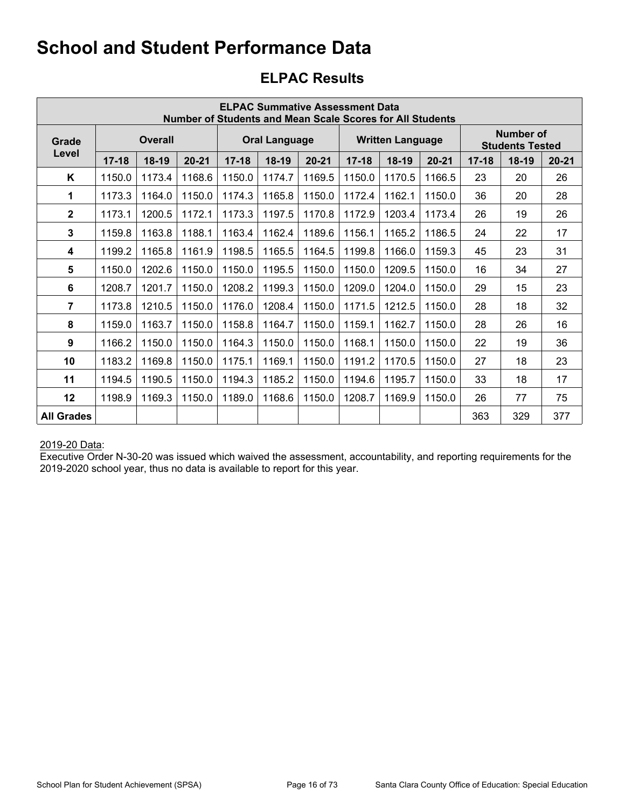## **ELPAC Results**

|                   |           |         |           |           |                      |           | <b>ELPAC Summative Assessment Data</b> | <b>Number of Students and Mean Scale Scores for All Students</b> |           |           |                                     |           |
|-------------------|-----------|---------|-----------|-----------|----------------------|-----------|----------------------------------------|------------------------------------------------------------------|-----------|-----------|-------------------------------------|-----------|
| Grade             |           | Overall |           |           | <b>Oral Language</b> |           |                                        | <b>Written Language</b>                                          |           |           | Number of<br><b>Students Tested</b> |           |
| Level             | $17 - 18$ | $18-19$ | $20 - 21$ | $17 - 18$ | 18-19                | $20 - 21$ | $17 - 18$                              | $18-19$                                                          | $20 - 21$ | $17 - 18$ | $18-19$                             | $20 - 21$ |
| K                 | 1150.0    | 1173.4  | 1168.6    | 1150.0    | 1174.7               | 1169.5    | 1150.0                                 | 1170.5                                                           | 1166.5    | 23        | 20                                  | 26        |
| 1                 | 1173.3    | 1164.0  | 1150.0    | 1174.3    | 1165.8               | 1150.0    | 1172.4                                 | 1162.1                                                           | 1150.0    | 36        | 20                                  | 28        |
| $\mathbf{2}$      | 1173.1    | 1200.5  | 1172.1    | 1173.3    | 1197.5               | 1170.8    | 1172.9                                 | 1203.4                                                           | 1173.4    | 26        | 19                                  | 26        |
| 3                 | 1159.8    | 1163.8  | 1188.1    | 1163.4    | 1162.4               | 1189.6    | 1156.1                                 | 1165.2                                                           | 1186.5    | 24        | 22                                  | 17        |
| 4                 | 1199.2    | 1165.8  | 1161.9    | 1198.5    | 1165.5               | 1164.5    | 1199.8                                 | 1166.0                                                           | 1159.3    | 45        | 23                                  | 31        |
| 5                 | 1150.0    | 1202.6  | 1150.0    | 1150.0    | 1195.5               | 1150.0    | 1150.0                                 | 1209.5                                                           | 1150.0    | 16        | 34                                  | 27        |
| 6                 | 1208.7    | 1201.7  | 1150.0    | 1208.2    | 1199.3               | 1150.0    | 1209.0                                 | 1204.0                                                           | 1150.0    | 29        | 15                                  | 23        |
| 7                 | 1173.8    | 1210.5  | 1150.0    | 1176.0    | 1208.4               | 1150.0    | 1171.5                                 | 1212.5                                                           | 1150.0    | 28        | 18                                  | 32        |
| 8                 | 1159.0    | 1163.7  | 1150.0    | 1158.8    | 1164.7               | 1150.0    | 1159.1                                 | 1162.7                                                           | 1150.0    | 28        | 26                                  | 16        |
| 9                 | 1166.2    | 1150.0  | 1150.0    | 1164.3    | 1150.0               | 1150.0    | 1168.1                                 | 1150.0                                                           | 1150.0    | 22        | 19                                  | 36        |
| 10                | 1183.2    | 1169.8  | 1150.0    | 1175.1    | 1169.1               | 1150.0    | 1191.2                                 | 1170.5                                                           | 1150.0    | 27        | 18                                  | 23        |
| 11                | 1194.5    | 1190.5  | 1150.0    | 1194.3    | 1185.2               | 1150.0    | 1194.6                                 | 1195.7                                                           | 1150.0    | 33        | 18                                  | 17        |
| 12                | 1198.9    | 1169.3  | 1150.0    | 1189.0    | 1168.6               | 1150.0    | 1208.7                                 | 1169.9                                                           | 1150.0    | 26        | 77                                  | 75        |
| <b>All Grades</b> |           |         |           |           |                      |           |                                        |                                                                  |           | 363       | 329                                 | 377       |

#### 2019-20 Data: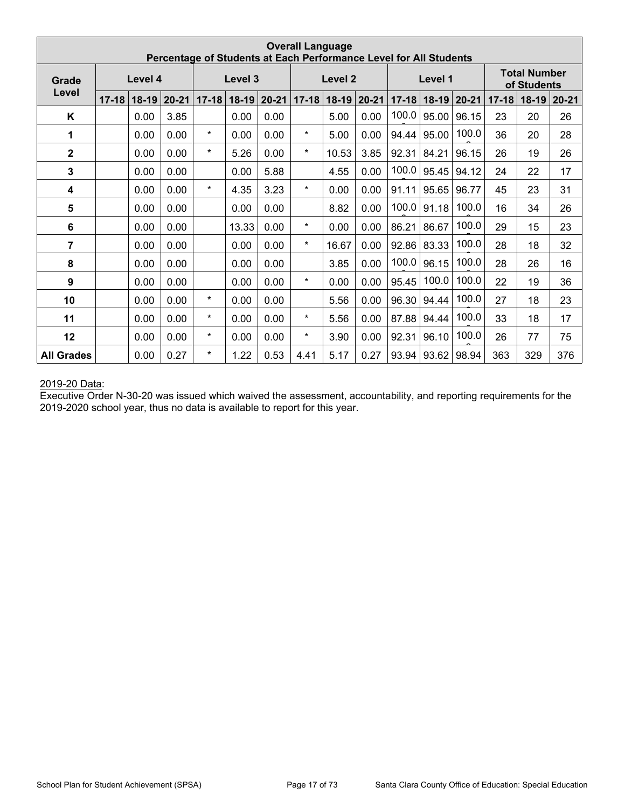|                         |           |         |           |           | Percentage of Students at Each Performance Level for All Students |           | <b>Overall Language</b> |                    |           |           |           |           |           |                                    |           |
|-------------------------|-----------|---------|-----------|-----------|-------------------------------------------------------------------|-----------|-------------------------|--------------------|-----------|-----------|-----------|-----------|-----------|------------------------------------|-----------|
| Grade                   |           | Level 4 |           |           | Level 3                                                           |           |                         | Level <sub>2</sub> |           |           | Level 1   |           |           | <b>Total Number</b><br>of Students |           |
| Level                   | $17 - 18$ | $18-19$ | $20 - 21$ | $17 - 18$ | $18-19$                                                           | $20 - 21$ | $17 - 18$               | $18-19$            | $20 - 21$ | $17 - 18$ | $18 - 19$ | $20 - 21$ | $17 - 18$ | $18-19$                            | $20 - 21$ |
| K                       |           | 0.00    | 3.85      |           | 0.00                                                              | 0.00      |                         | 5.00               | 0.00      | 100.0     | 95.00     | 96.15     | 23        | 20                                 | 26        |
| 1                       |           | 0.00    | 0.00      | $\star$   | 0.00                                                              | 0.00      | *                       | 5.00               | 0.00      | 94.44     | 95.00     | 100.0     | 36        | 20                                 | 28        |
| $\mathbf{2}$            |           | 0.00    | 0.00      | $\star$   | 5.26                                                              | 0.00      | $\star$                 | 10.53              | 3.85      | 92.31     | 84.21     | 96.15     | 26        | 19                                 | 26        |
| $\mathbf{3}$            |           | 0.00    | 0.00      |           | 0.00                                                              | 5.88      |                         | 4.55               | 0.00      | 100.0     | 95.45     | 94.12     | 24        | 22                                 | 17        |
| $\overline{\mathbf{4}}$ |           | 0.00    | 0.00      | $\star$   | 4.35                                                              | 3.23      | $\star$                 | 0.00               | 0.00      | 91.11     | 95.65     | 96.77     | 45        | 23                                 | 31        |
| $\overline{\mathbf{5}}$ |           | 0.00    | 0.00      |           | 0.00                                                              | 0.00      |                         | 8.82               | 0.00      | 100.0     | 91.18     | 100.0     | 16        | 34                                 | 26        |
| $\bf 6$                 |           | 0.00    | 0.00      |           | 13.33                                                             | 0.00      | $\star$                 | 0.00               | 0.00      | 86.21     | 86.67     | 100.0     | 29        | 15                                 | 23        |
| 7                       |           | 0.00    | 0.00      |           | 0.00                                                              | 0.00      | $\star$                 | 16.67              | 0.00      | 92.86     | 83.33     | 100.0     | 28        | 18                                 | 32        |
| 8                       |           | 0.00    | 0.00      |           | 0.00                                                              | 0.00      |                         | 3.85               | 0.00      | 100.0     | 96.15     | 100.0     | 28        | 26                                 | 16        |
| 9                       |           | 0.00    | 0.00      |           | 0.00                                                              | 0.00      | $\star$                 | 0.00               | 0.00      | 95.45     | 100.0     | 100.0     | 22        | 19                                 | 36        |
| 10                      |           | 0.00    | 0.00      | $\star$   | 0.00                                                              | 0.00      |                         | 5.56               | 0.00      | 96.30     | 94.44     | 100.0     | 27        | 18                                 | 23        |
| 11                      |           | 0.00    | 0.00      | $\star$   | 0.00                                                              | 0.00      | $\star$                 | 5.56               | 0.00      | 87.88     | 94.44     | 100.0     | 33        | 18                                 | 17        |
| 12                      |           | 0.00    | 0.00      | $\star$   | 0.00                                                              | 0.00      | *                       | 3.90               | 0.00      | 92.31     | 96.10     | 100.0     | 26        | 77                                 | 75        |
| <b>All Grades</b>       |           | 0.00    | 0.27      | $\star$   | 1.22                                                              | 0.53      | 4.41                    | 5.17               | 0.27      | 93.94     | 93.62     | 98.94     | 363       | 329                                | 376       |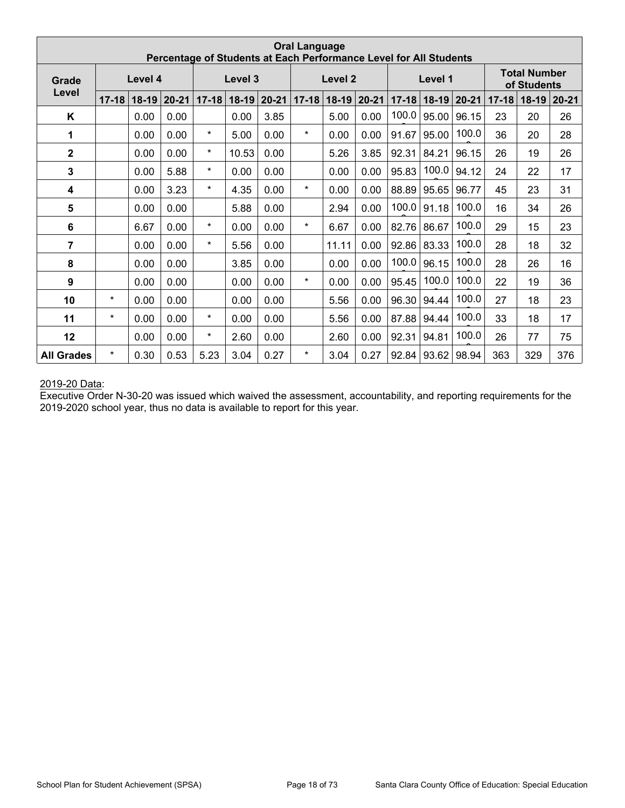|                         |           |         | Percentage of Students at Each Performance Level for All Students |           |           |           | <b>Oral Language</b> |                    |           |           |         |           |           |                                    |           |
|-------------------------|-----------|---------|-------------------------------------------------------------------|-----------|-----------|-----------|----------------------|--------------------|-----------|-----------|---------|-----------|-----------|------------------------------------|-----------|
| Grade                   |           | Level 4 |                                                                   |           | Level 3   |           |                      | Level <sub>2</sub> |           |           | Level 1 |           |           | <b>Total Number</b><br>of Students |           |
| Level                   | $17 - 18$ | $18-19$ | $20 - 21$                                                         | $17 - 18$ | $18 - 19$ | $20 - 21$ | $17 - 18$            | $18-19$            | $20 - 21$ | $17 - 18$ | $18-19$ | $20 - 21$ | $17 - 18$ | $18-19$                            | $20 - 21$ |
| K                       |           | 0.00    | 0.00                                                              |           | 0.00      | 3.85      |                      | 5.00               | 0.00      | 100.0     | 95.00   | 96.15     | 23        | 20                                 | 26        |
| 1                       |           | 0.00    | 0.00                                                              | $\star$   | 5.00      | 0.00      | $\star$              | 0.00               | 0.00      | 91.67     | 95.00   | 100.0     | 36        | 20                                 | 28        |
| $\mathbf 2$             |           | 0.00    | 0.00                                                              | $\star$   | 10.53     | 0.00      |                      | 5.26               | 3.85      | 92.31     | 84.21   | 96.15     | 26        | 19                                 | 26        |
| $\mathbf{3}$            |           | 0.00    | 5.88                                                              | $\star$   | 0.00      | 0.00      |                      | 0.00               | 0.00      | 95.83     | 100.0   | 94.12     | 24        | 22                                 | 17        |
| 4                       |           | 0.00    | 3.23                                                              | $\star$   | 4.35      | 0.00      | $\star$              | 0.00               | 0.00      | 88.89     | 95.65   | 96.77     | 45        | 23                                 | 31        |
| $\overline{\mathbf{5}}$ |           | 0.00    | 0.00                                                              |           | 5.88      | 0.00      |                      | 2.94               | 0.00      | 100.0     | 91.18   | 100.0     | 16        | 34                                 | 26        |
| 6                       |           | 6.67    | 0.00                                                              | $\star$   | 0.00      | 0.00      | $\star$              | 6.67               | 0.00      | 82.76     | 86.67   | 100.0     | 29        | 15                                 | 23        |
| $\overline{7}$          |           | 0.00    | 0.00                                                              | $\star$   | 5.56      | 0.00      |                      | 11.11              | 0.00      | 92.86     | 83.33   | 100.0     | 28        | 18                                 | 32        |
| 8                       |           | 0.00    | 0.00                                                              |           | 3.85      | 0.00      |                      | 0.00               | 0.00      | 100.0     | 96.15   | 100.0     | 28        | 26                                 | 16        |
| 9                       |           | 0.00    | 0.00                                                              |           | 0.00      | 0.00      | $\star$              | 0.00               | 0.00      | 95.45     | 100.0   | 100.0     | 22        | 19                                 | 36        |
| 10                      | $\star$   | 0.00    | 0.00                                                              |           | 0.00      | 0.00      |                      | 5.56               | 0.00      | 96.30     | 94.44   | 100.0     | 27        | 18                                 | 23        |
| 11                      | $\star$   | 0.00    | 0.00                                                              | $\star$   | 0.00      | 0.00      |                      | 5.56               | 0.00      | 87.88     | 94.44   | 100.0     | 33        | 18                                 | 17        |
| 12                      |           | 0.00    | 0.00                                                              | $\star$   | 2.60      | 0.00      |                      | 2.60               | 0.00      | 92.31     | 94.81   | 100.0     | 26        | 77                                 | 75        |
| <b>All Grades</b>       | $\star$   | 0.30    | 0.53                                                              | 5.23      | 3.04      | 0.27      | $\star$              | 3.04               | 0.27      | 92.84     | 93.62   | 98.94     | 363       | 329                                | 376       |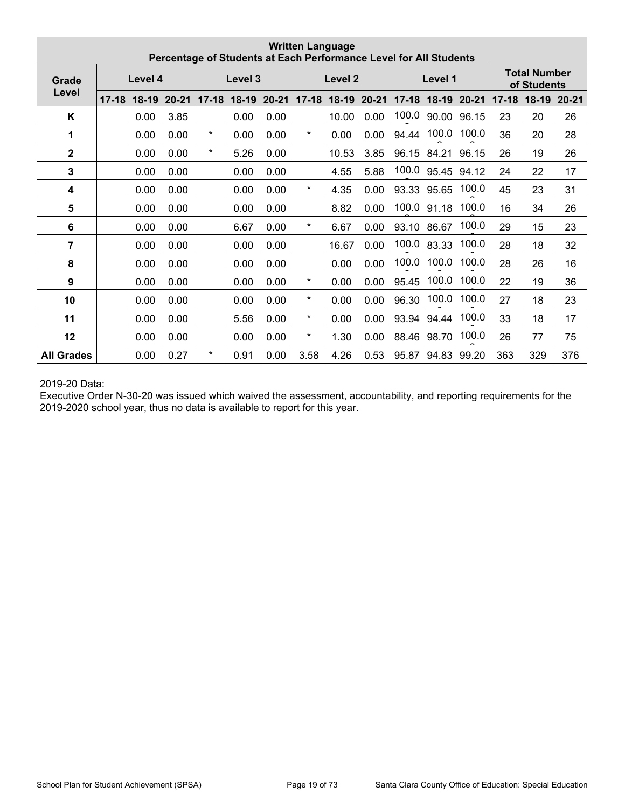|                   |           |         |           |           |         |           | <b>Written Language</b> |                    |           | Percentage of Students at Each Performance Level for All Students |           |           |           |                                    |           |
|-------------------|-----------|---------|-----------|-----------|---------|-----------|-------------------------|--------------------|-----------|-------------------------------------------------------------------|-----------|-----------|-----------|------------------------------------|-----------|
| Grade             |           | Level 4 |           |           | Level 3 |           |                         | Level <sub>2</sub> |           |                                                                   | Level 1   |           |           | <b>Total Number</b><br>of Students |           |
| Level             | $17 - 18$ | $18-19$ | $20 - 21$ | $17 - 18$ | $18-19$ | $20 - 21$ | $17 - 18$               | $18-19$            | $20 - 21$ | $17 - 18$                                                         | $18 - 19$ | $20 - 21$ | $17 - 18$ | $18-19$                            | $20 - 21$ |
| Κ                 |           | 0.00    | 3.85      |           | 0.00    | 0.00      |                         | 10.00              | 0.00      | 100.0                                                             | 90.00     | 96.15     | 23        | 20                                 | 26        |
| 1                 |           | 0.00    | 0.00      | $\star$   | 0.00    | 0.00      | $\star$                 | 0.00               | 0.00      | 94.44                                                             | 100.0     | 100.0     | 36        | 20                                 | 28        |
| $\mathbf 2$       |           | 0.00    | 0.00      | $\star$   | 5.26    | 0.00      |                         | 10.53              | 3.85      | 96.15                                                             | 84.21     | 96.15     | 26        | 19                                 | 26        |
| $\overline{3}$    |           | 0.00    | 0.00      |           | 0.00    | 0.00      |                         | 4.55               | 5.88      | 100.0                                                             | 95.45     | 94.12     | 24        | 22                                 | 17        |
| 4                 |           | 0.00    | 0.00      |           | 0.00    | 0.00      | $\star$                 | 4.35               | 0.00      | 93.33                                                             | 95.65     | 100.0     | 45        | 23                                 | 31        |
| 5                 |           | 0.00    | 0.00      |           | 0.00    | 0.00      |                         | 8.82               | 0.00      | 100.0                                                             | 91.18     | 100.0     | 16        | 34                                 | 26        |
| 6                 |           | 0.00    | 0.00      |           | 6.67    | 0.00      | $\star$                 | 6.67               | 0.00      | 93.10                                                             | 86.67     | 100.0     | 29        | 15                                 | 23        |
| $\overline{7}$    |           | 0.00    | 0.00      |           | 0.00    | 0.00      |                         | 16.67              | 0.00      | 100.0                                                             | 83.33     | 100.0     | 28        | 18                                 | 32        |
| 8                 |           | 0.00    | 0.00      |           | 0.00    | 0.00      |                         | 0.00               | 0.00      | 100.0                                                             | 100.0     | 100.0     | 28        | 26                                 | 16        |
| 9                 |           | 0.00    | 0.00      |           | 0.00    | 0.00      | $\star$                 | 0.00               | 0.00      | 95.45                                                             | 100.0     | 100.0     | 22        | 19                                 | 36        |
| 10                |           | 0.00    | 0.00      |           | 0.00    | 0.00      | $\star$                 | 0.00               | 0.00      | 96.30                                                             | 100.0     | 100.0     | 27        | 18                                 | 23        |
| 11                |           | 0.00    | 0.00      |           | 5.56    | 0.00      | $\star$                 | 0.00               | 0.00      | 93.94                                                             | 94.44     | 100.0     | 33        | 18                                 | 17        |
| 12                |           | 0.00    | 0.00      |           | 0.00    | 0.00      | $\star$                 | 1.30               | 0.00      | 88.46                                                             | 98.70     | 100.0     | 26        | 77                                 | 75        |
| <b>All Grades</b> |           | 0.00    | 0.27      | $\star$   | 0.91    | 0.00      | 3.58                    | 4.26               | 0.53      | 95.87                                                             | 94.83     | 99.20     | 363       | 329                                | 376       |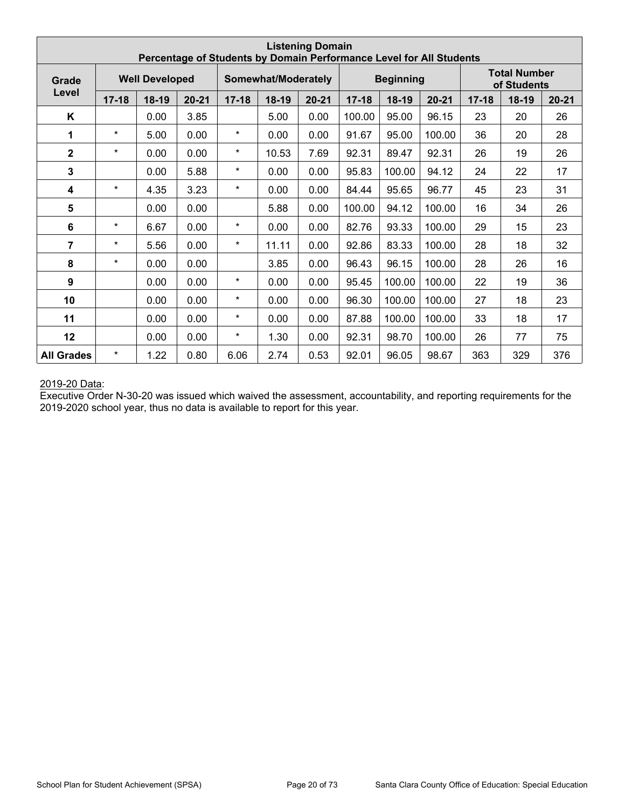|                         |           |                       |           |           |                     | <b>Listening Domain</b> |           | Percentage of Students by Domain Performance Level for All Students |           |           |                                    |           |
|-------------------------|-----------|-----------------------|-----------|-----------|---------------------|-------------------------|-----------|---------------------------------------------------------------------|-----------|-----------|------------------------------------|-----------|
| Grade                   |           | <b>Well Developed</b> |           |           | Somewhat/Moderately |                         |           | <b>Beginning</b>                                                    |           |           | <b>Total Number</b><br>of Students |           |
| Level                   | $17 - 18$ | $18-19$               | $20 - 21$ | $17 - 18$ | $18-19$             | $20 - 21$               | $17 - 18$ | $18-19$                                                             | $20 - 21$ | $17 - 18$ | 18-19                              | $20 - 21$ |
| K                       |           | 0.00                  | 3.85      |           | 5.00                | 0.00                    | 100.00    | 95.00                                                               | 96.15     | 23        | 20                                 | 26        |
| 1                       | $\star$   | 5.00                  | 0.00      | $\star$   | 0.00                | 0.00                    | 91.67     | 95.00                                                               | 100.00    | 36        | 20                                 | 28        |
| $\overline{2}$          | $\star$   | 0.00                  | 0.00      | $\star$   | 10.53               | 7.69                    | 92.31     | 89.47                                                               | 92.31     | 26        | 19                                 | 26        |
| $\overline{3}$          |           | 0.00                  | 5.88      | $\star$   | 0.00                | 0.00                    | 95.83     | 100.00                                                              | 94.12     | 24        | 22                                 | 17        |
| $\overline{\mathbf{4}}$ | $\star$   | 4.35                  | 3.23      | $\star$   | 0.00                | 0.00                    | 84.44     | 95.65                                                               | 96.77     | 45        | 23                                 | 31        |
| $\overline{\mathbf{5}}$ |           | 0.00                  | 0.00      |           | 5.88                | 0.00                    | 100.00    | 94.12                                                               | 100.00    | 16        | 34                                 | 26        |
| $\bf 6$                 | $\star$   | 6.67                  | 0.00      | $\star$   | 0.00                | 0.00                    | 82.76     | 93.33                                                               | 100.00    | 29        | 15                                 | 23        |
| 7                       | $\star$   | 5.56                  | 0.00      | $\star$   | 11.11               | 0.00                    | 92.86     | 83.33                                                               | 100.00    | 28        | 18                                 | 32        |
| 8                       | $\star$   | 0.00                  | 0.00      |           | 3.85                | 0.00                    | 96.43     | 96.15                                                               | 100.00    | 28        | 26                                 | 16        |
| 9                       |           | 0.00                  | 0.00      | $\star$   | 0.00                | 0.00                    | 95.45     | 100.00                                                              | 100.00    | 22        | 19                                 | 36        |
| 10                      |           | 0.00                  | 0.00      | $\star$   | 0.00                | 0.00                    | 96.30     | 100.00                                                              | 100.00    | 27        | 18                                 | 23        |
| 11                      |           | 0.00                  | 0.00      | $\star$   | 0.00                | 0.00                    | 87.88     | 100.00                                                              | 100.00    | 33        | 18                                 | 17        |
| 12                      |           | 0.00                  | 0.00      | $\star$   | 1.30                | 0.00                    | 92.31     | 98.70                                                               | 100.00    | 26        | 77                                 | 75        |
| <b>All Grades</b>       | $\star$   | 1.22                  | 0.80      | 6.06      | 2.74                | 0.53                    | 92.01     | 96.05                                                               | 98.67     | 363       | 329                                | 376       |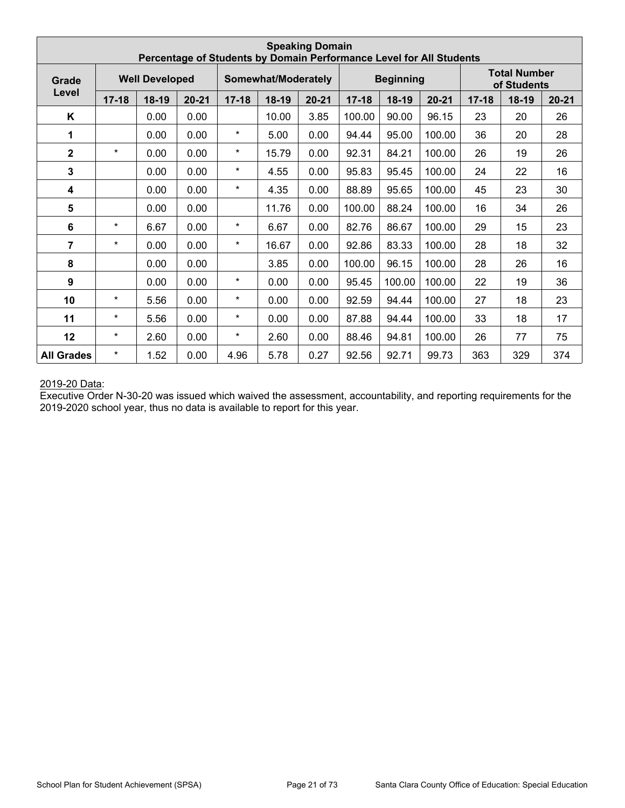|                         |           |                       |           |           |                     | <b>Speaking Domain</b> |           |                  | Percentage of Students by Domain Performance Level for All Students |           |                                    |           |
|-------------------------|-----------|-----------------------|-----------|-----------|---------------------|------------------------|-----------|------------------|---------------------------------------------------------------------|-----------|------------------------------------|-----------|
| Grade                   |           | <b>Well Developed</b> |           |           | Somewhat/Moderately |                        |           | <b>Beginning</b> |                                                                     |           | <b>Total Number</b><br>of Students |           |
| Level                   | $17 - 18$ | $18-19$               | $20 - 21$ | $17 - 18$ | $18-19$             | $20 - 21$              | $17 - 18$ | $18-19$          | $20 - 21$                                                           | $17 - 18$ | 18-19                              | $20 - 21$ |
| K                       |           | 0.00                  | 0.00      |           | 10.00               | 3.85                   | 100.00    | 90.00            | 96.15                                                               | 23        | 20                                 | 26        |
| 1                       |           | 0.00                  | 0.00      | $\star$   | 5.00                | 0.00                   | 94.44     | 95.00            | 100.00                                                              | 36        | 20                                 | 28        |
| $\overline{2}$          | $\star$   | 0.00                  | 0.00      | $\star$   | 15.79               | 0.00                   | 92.31     | 84.21            | 100.00                                                              | 26        | 19                                 | 26        |
| $\overline{3}$          |           | 0.00                  | 0.00      | $\star$   | 4.55                | 0.00                   | 95.83     | 95.45            | 100.00                                                              | 24        | 22                                 | 16        |
| $\overline{\mathbf{4}}$ |           | 0.00                  | 0.00      | $\star$   | 4.35                | 0.00                   | 88.89     | 95.65            | 100.00                                                              | 45        | 23                                 | 30        |
| 5                       |           | 0.00                  | 0.00      |           | 11.76               | 0.00                   | 100.00    | 88.24            | 100.00                                                              | 16        | 34                                 | 26        |
| $\bf 6$                 | $\star$   | 6.67                  | 0.00      | $\star$   | 6.67                | 0.00                   | 82.76     | 86.67            | 100.00                                                              | 29        | 15                                 | 23        |
| 7                       | $\star$   | 0.00                  | 0.00      | $\star$   | 16.67               | 0.00                   | 92.86     | 83.33            | 100.00                                                              | 28        | 18                                 | 32        |
| 8                       |           | 0.00                  | 0.00      |           | 3.85                | 0.00                   | 100.00    | 96.15            | 100.00                                                              | 28        | 26                                 | 16        |
| 9                       |           | 0.00                  | 0.00      | $\star$   | 0.00                | 0.00                   | 95.45     | 100.00           | 100.00                                                              | 22        | 19                                 | 36        |
| 10                      | $\star$   | 5.56                  | 0.00      | $\star$   | 0.00                | 0.00                   | 92.59     | 94.44            | 100.00                                                              | 27        | 18                                 | 23        |
| 11                      | $\star$   | 5.56                  | 0.00      | $\star$   | 0.00                | 0.00                   | 87.88     | 94.44            | 100.00                                                              | 33        | 18                                 | 17        |
| 12                      | $\star$   | 2.60                  | 0.00      | $\star$   | 2.60                | 0.00                   | 88.46     | 94.81            | 100.00                                                              | 26        | 77                                 | 75        |
| <b>All Grades</b>       | $\star$   | 1.52                  | 0.00      | 4.96      | 5.78                | 0.27                   | 92.56     | 92.71            | 99.73                                                               | 363       | 329                                | 374       |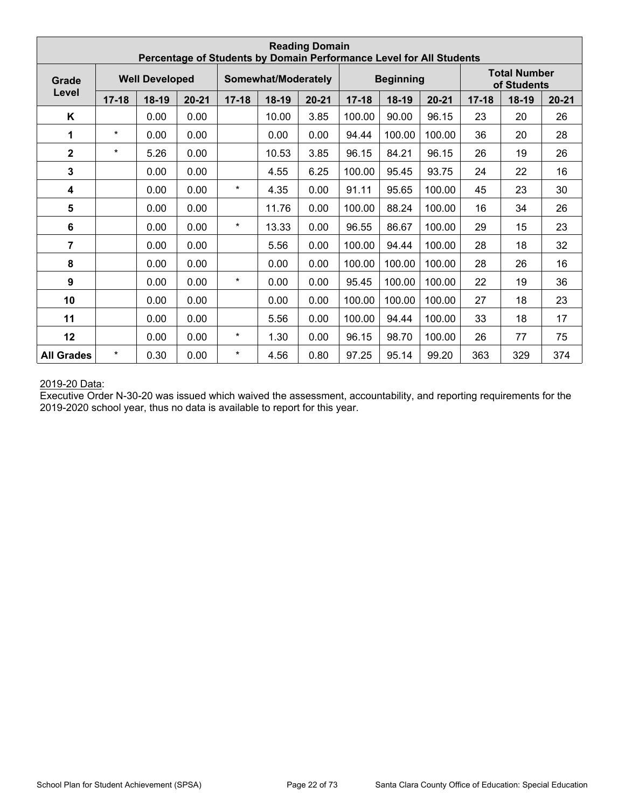|                         |           |                       |           |           |                     | <b>Reading Domain</b> | Percentage of Students by Domain Performance Level for All Students |                  |           |           |                                    |           |
|-------------------------|-----------|-----------------------|-----------|-----------|---------------------|-----------------------|---------------------------------------------------------------------|------------------|-----------|-----------|------------------------------------|-----------|
| Grade                   |           | <b>Well Developed</b> |           |           | Somewhat/Moderately |                       |                                                                     | <b>Beginning</b> |           |           | <b>Total Number</b><br>of Students |           |
| Level                   | $17 - 18$ | 18-19                 | $20 - 21$ | $17 - 18$ | $18-19$             | $20 - 21$             | $17 - 18$                                                           | $18-19$          | $20 - 21$ | $17 - 18$ | 18-19                              | $20 - 21$ |
| K                       |           | 0.00                  | 0.00      |           | 10.00               | 3.85                  | 100.00                                                              | 90.00            | 96.15     | 23        | 20                                 | 26        |
| 1                       | $\star$   | 0.00                  | 0.00      |           | 0.00                | 0.00                  | 94.44                                                               | 100.00           | 100.00    | 36        | 20                                 | 28        |
| $\mathbf 2$             | $\star$   | 5.26                  | 0.00      |           | 10.53               | 3.85                  | 96.15                                                               | 84.21            | 96.15     | 26        | 19                                 | 26        |
| $\mathbf{3}$            |           | 0.00                  | 0.00      |           | 4.55                | 6.25                  | 100.00                                                              | 95.45            | 93.75     | 24        | 22                                 | 16        |
| 4                       |           | 0.00                  | 0.00      | $\star$   | 4.35                | 0.00                  | 91.11                                                               | 95.65            | 100.00    | 45        | 23                                 | 30        |
| 5                       |           | 0.00                  | 0.00      |           | 11.76               | 0.00                  | 100.00                                                              | 88.24            | 100.00    | 16        | 34                                 | 26        |
| 6                       |           | 0.00                  | 0.00      | $\star$   | 13.33               | 0.00                  | 96.55                                                               | 86.67            | 100.00    | 29        | 15                                 | 23        |
| $\overline{\mathbf{7}}$ |           | 0.00                  | 0.00      |           | 5.56                | 0.00                  | 100.00                                                              | 94.44            | 100.00    | 28        | 18                                 | 32        |
| 8                       |           | 0.00                  | 0.00      |           | 0.00                | 0.00                  | 100.00                                                              | 100.00           | 100.00    | 28        | 26                                 | 16        |
| 9                       |           | 0.00                  | 0.00      | $\star$   | 0.00                | 0.00                  | 95.45                                                               | 100.00           | 100.00    | 22        | 19                                 | 36        |
| 10                      |           | 0.00                  | 0.00      |           | 0.00                | 0.00                  | 100.00                                                              | 100.00           | 100.00    | 27        | 18                                 | 23        |
| 11                      |           | 0.00                  | 0.00      |           | 5.56                | 0.00                  | 100.00                                                              | 94.44            | 100.00    | 33        | 18                                 | 17        |
| 12                      |           | 0.00                  | 0.00      | $\star$   | 1.30                | 0.00                  | 96.15                                                               | 98.70            | 100.00    | 26        | 77                                 | 75        |
| <b>All Grades</b>       | $\star$   | 0.30                  | 0.00      | $\star$   | 4.56                | 0.80                  | 97.25                                                               | 95.14            | 99.20     | 363       | 329                                | 374       |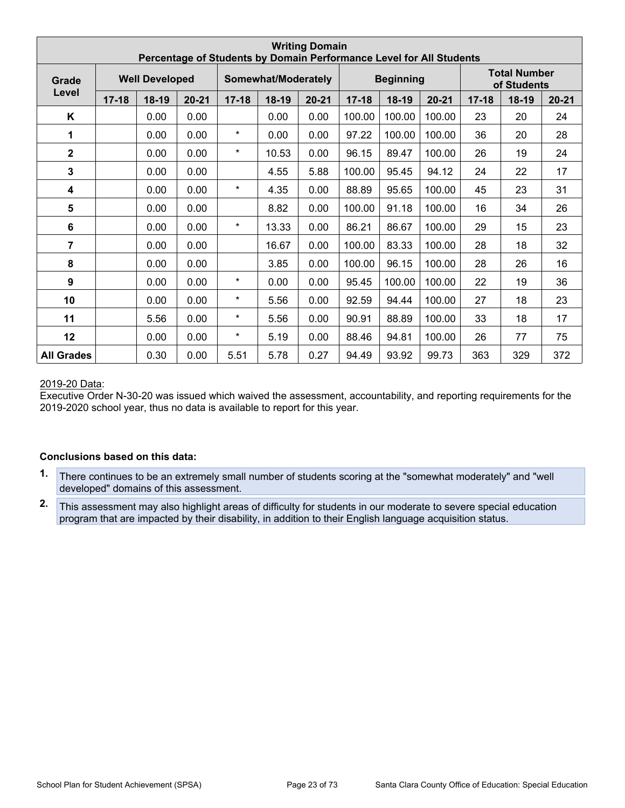|                         |           |                       |           |           |                     | <b>Writing Domain</b> | Percentage of Students by Domain Performance Level for All Students |                  |           |           |                                    |           |
|-------------------------|-----------|-----------------------|-----------|-----------|---------------------|-----------------------|---------------------------------------------------------------------|------------------|-----------|-----------|------------------------------------|-----------|
| Grade                   |           | <b>Well Developed</b> |           |           | Somewhat/Moderately |                       |                                                                     | <b>Beginning</b> |           |           | <b>Total Number</b><br>of Students |           |
| Level                   | $17 - 18$ | $18-19$               | $20 - 21$ | $17 - 18$ | $18-19$             | $20 - 21$             | $17 - 18$                                                           | $18-19$          | $20 - 21$ | $17 - 18$ | 18-19                              | $20 - 21$ |
| Κ                       |           | 0.00                  | 0.00      |           | 0.00                | 0.00                  | 100.00                                                              | 100.00           | 100.00    | 23        | 20                                 | 24        |
| 1                       |           | 0.00                  | 0.00      | $\star$   | 0.00                | 0.00                  | 97.22                                                               | 100.00           | 100.00    | 36        | 20                                 | 28        |
| $\mathbf{2}$            |           | 0.00                  | 0.00      | $\star$   | 10.53               | 0.00                  | 96.15                                                               | 89.47            | 100.00    | 26        | 19                                 | 24        |
| $\mathbf{3}$            |           | 0.00                  | 0.00      |           | 4.55                | 5.88                  | 100.00                                                              | 95.45            | 94.12     | 24        | 22                                 | 17        |
| $\overline{\mathbf{4}}$ |           | 0.00                  | 0.00      | $\star$   | 4.35                | 0.00                  | 88.89                                                               | 95.65            | 100.00    | 45        | 23                                 | 31        |
| 5                       |           | 0.00                  | 0.00      |           | 8.82                | 0.00                  | 100.00                                                              | 91.18            | 100.00    | 16        | 34                                 | 26        |
| $6\phantom{1}$          |           | 0.00                  | 0.00      | $\star$   | 13.33               | 0.00                  | 86.21                                                               | 86.67            | 100.00    | 29        | 15                                 | 23        |
| 7                       |           | 0.00                  | 0.00      |           | 16.67               | 0.00                  | 100.00                                                              | 83.33            | 100.00    | 28        | 18                                 | 32        |
| 8                       |           | 0.00                  | 0.00      |           | 3.85                | 0.00                  | 100.00                                                              | 96.15            | 100.00    | 28        | 26                                 | 16        |
| 9                       |           | 0.00                  | 0.00      | $\star$   | 0.00                | 0.00                  | 95.45                                                               | 100.00           | 100.00    | 22        | 19                                 | 36        |
| 10                      |           | 0.00                  | 0.00      | $\star$   | 5.56                | 0.00                  | 92.59                                                               | 94.44            | 100.00    | 27        | 18                                 | 23        |
| 11                      |           | 5.56                  | 0.00      | $\star$   | 5.56                | 0.00                  | 90.91                                                               | 88.89            | 100.00    | 33        | 18                                 | 17        |
| 12                      |           | 0.00                  | 0.00      | $\star$   | 5.19                | 0.00                  | 88.46                                                               | 94.81            | 100.00    | 26        | 77                                 | 75        |
| <b>All Grades</b>       |           | 0.30                  | 0.00      | 5.51      | 5.78                | 0.27                  | 94.49                                                               | 93.92            | 99.73     | 363       | 329                                | 372       |

Executive Order N-30-20 was issued which waived the assessment, accountability, and reporting requirements for the 2019-2020 school year, thus no data is available to report for this year.

#### **Conclusions based on this data:**

- **1.** There continues to be an extremely small number of students scoring at the "somewhat moderately" and "well developed" domains of this assessment.
- **2.** This assessment may also highlight areas of difficulty for students in our moderate to severe special education program that are impacted by their disability, in addition to their English language acquisition status.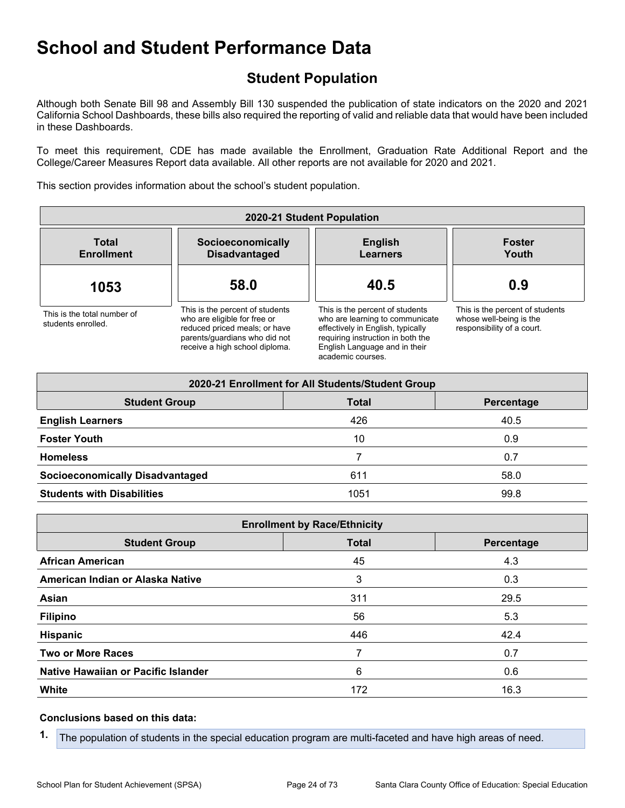## **Student Population**

Although both Senate Bill 98 and Assembly Bill 130 suspended the publication of state indicators on the 2020 and 2021 California School Dashboards, these bills also required the reporting of valid and reliable data that would have been included in these Dashboards.

To meet this requirement, CDE has made available the Enrollment, Graduation Rate Additional Report and the College/Career Measures Report data available. All other reports are not available for 2020 and 2021.

This section provides information about the school's student population.

| 2020-21 Student Population                        |                                                                                                                                                                     |                                                                                                                                                                                                    |                                                                                          |
|---------------------------------------------------|---------------------------------------------------------------------------------------------------------------------------------------------------------------------|----------------------------------------------------------------------------------------------------------------------------------------------------------------------------------------------------|------------------------------------------------------------------------------------------|
| <b>Total</b><br><b>Enrollment</b>                 | Socioeconomically<br><b>Disadvantaged</b>                                                                                                                           | <b>English</b><br><b>Learners</b>                                                                                                                                                                  | <b>Foster</b><br>Youth                                                                   |
| 1053                                              | 58.0                                                                                                                                                                | 40.5                                                                                                                                                                                               | 0.9                                                                                      |
| This is the total number of<br>students enrolled. | This is the percent of students<br>who are eligible for free or<br>reduced priced meals; or have<br>parents/quardians who did not<br>receive a high school diploma. | This is the percent of students<br>who are learning to communicate<br>effectively in English, typically<br>requiring instruction in both the<br>English Language and in their<br>academic courses. | This is the percent of students<br>whose well-being is the<br>responsibility of a court. |

| 2020-21 Enrollment for All Students/Student Group  |      |      |  |  |
|----------------------------------------------------|------|------|--|--|
| <b>Student Group</b><br><b>Total</b><br>Percentage |      |      |  |  |
| <b>English Learners</b>                            | 426  | 40.5 |  |  |
| <b>Foster Youth</b>                                | 10   | 0.9  |  |  |
| <b>Homeless</b>                                    |      | 0.7  |  |  |
| <b>Socioeconomically Disadvantaged</b>             | 611  | 58.0 |  |  |
| <b>Students with Disabilities</b>                  | 1051 | 99.8 |  |  |

| <b>Enrollment by Race/Ethnicity</b>                |     |      |  |  |  |
|----------------------------------------------------|-----|------|--|--|--|
| <b>Total</b><br><b>Student Group</b><br>Percentage |     |      |  |  |  |
| <b>African American</b>                            | 45  | 4.3  |  |  |  |
| American Indian or Alaska Native                   | 3   | 0.3  |  |  |  |
| Asian                                              | 311 | 29.5 |  |  |  |
| <b>Filipino</b>                                    | 56  | 5.3  |  |  |  |
| Hispanic                                           | 446 | 42.4 |  |  |  |
| <b>Two or More Races</b>                           | 7   | 0.7  |  |  |  |
| Native Hawaiian or Pacific Islander                | 6   | 0.6  |  |  |  |
| White                                              | 172 | 16.3 |  |  |  |

#### **Conclusions based on this data:**

**1.** The population of students in the special education program are multi-faceted and have high areas of need.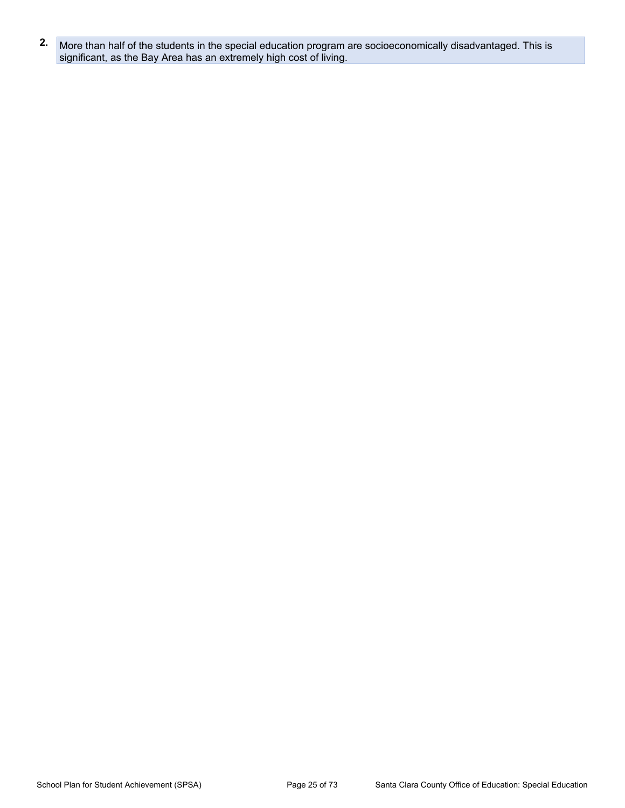**2.** More than half of the students in the special education program are socioeconomically disadvantaged. This is significant, as the Bay Area has an extremely high cost of living.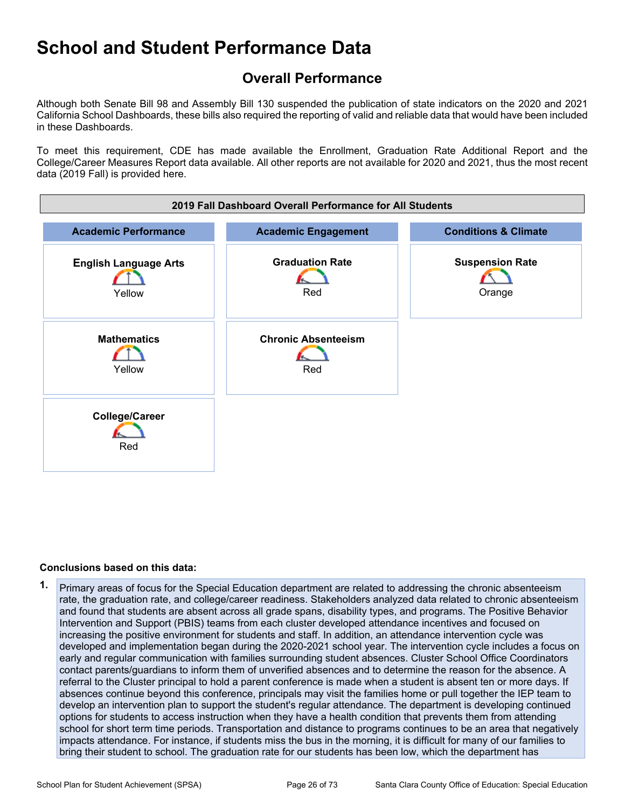## **Overall Performance**

Although both Senate Bill 98 and Assembly Bill 130 suspended the publication of state indicators on the 2020 and 2021 California School Dashboards, these bills also required the reporting of valid and reliable data that would have been included in these Dashboards.

To meet this requirement, CDE has made available the Enrollment, Graduation Rate Additional Report and the College/Career Measures Report data available. All other reports are not available for 2020 and 2021, thus the most recent data (2019 Fall) is provided here.



#### **Conclusions based on this data:**

**1.** Primary areas of focus for the Special Education department are related to addressing the chronic absenteeism rate, the graduation rate, and college/career readiness. Stakeholders analyzed data related to chronic absenteeism and found that students are absent across all grade spans, disability types, and programs. The Positive Behavior Intervention and Support (PBIS) teams from each cluster developed attendance incentives and focused on increasing the positive environment for students and staff. In addition, an attendance intervention cycle was developed and implementation began during the 2020-2021 school year. The intervention cycle includes a focus on early and regular communication with families surrounding student absences. Cluster School Office Coordinators contact parents/guardians to inform them of unverified absences and to determine the reason for the absence. A referral to the Cluster principal to hold a parent conference is made when a student is absent ten or more days. If absences continue beyond this conference, principals may visit the families home or pull together the IEP team to develop an intervention plan to support the student's regular attendance. The department is developing continued options for students to access instruction when they have a health condition that prevents them from attending school for short term time periods. Transportation and distance to programs continues to be an area that negatively impacts attendance. For instance, if students miss the bus in the morning, it is difficult for many of our families to bring their student to school. The graduation rate for our students has been low, which the department has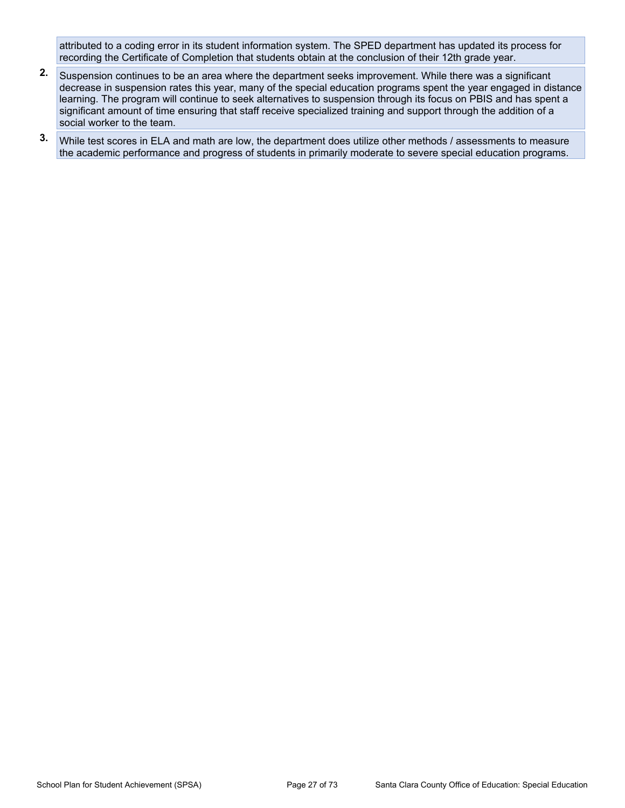attributed to a coding error in its student information system. The SPED department has updated its process for recording the Certificate of Completion that students obtain at the conclusion of their 12th grade year.

- **2.** Suspension continues to be an area where the department seeks improvement. While there was a significant decrease in suspension rates this year, many of the special education programs spent the year engaged in distance learning. The program will continue to seek alternatives to suspension through its focus on PBIS and has spent a significant amount of time ensuring that staff receive specialized training and support through the addition of a social worker to the team.
- **3.** While test scores in ELA and math are low, the department does utilize other methods / assessments to measure the academic performance and progress of students in primarily moderate to severe special education programs.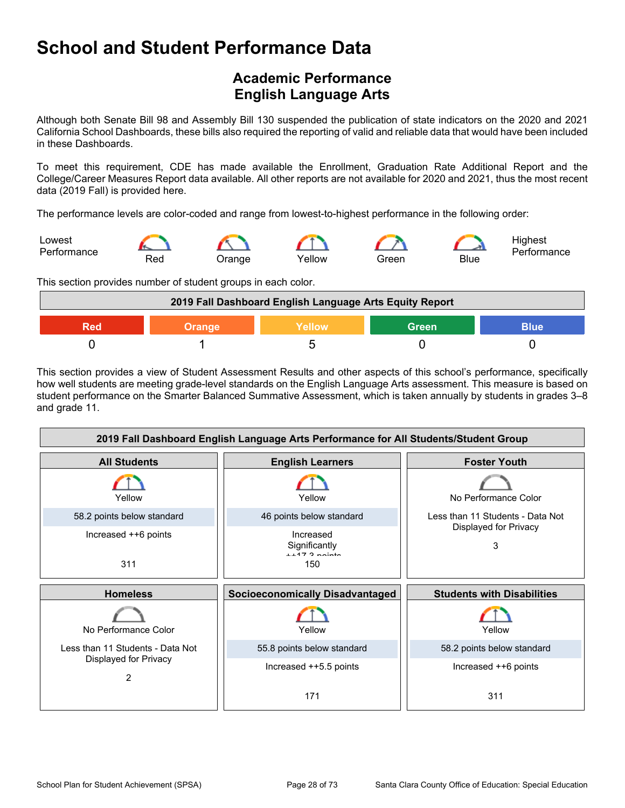## **Academic Performance English Language Arts**

Although both Senate Bill 98 and Assembly Bill 130 suspended the publication of state indicators on the 2020 and 2021 California School Dashboards, these bills also required the reporting of valid and reliable data that would have been included in these Dashboards.

To meet this requirement, CDE has made available the Enrollment, Graduation Rate Additional Report and the College/Career Measures Report data available. All other reports are not available for 2020 and 2021, thus the most recent data (2019 Fall) is provided here.

The performance levels are color-coded and range from lowest-to-highest performance in the following order:



This section provides number of student groups in each color.



This section provides a view of Student Assessment Results and other aspects of this school's performance, specifically how well students are meeting grade-level standards on the English Language Arts assessment. This measure is based on student performance on the Smarter Balanced Summative Assessment, which is taken annually by students in grades 3–8 and grade 11.

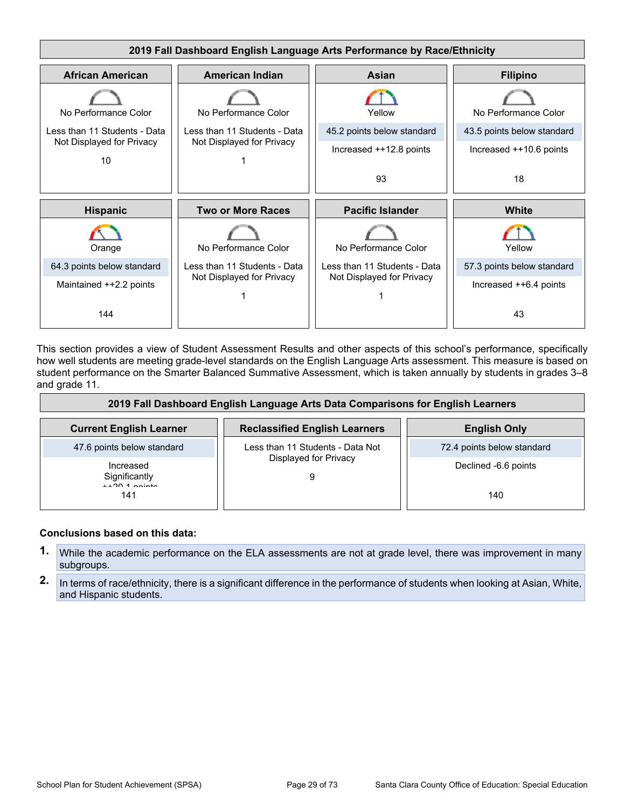

This section provides a view of Student Assessment Results and other aspects of this school's performance, specifically how well students are meeting grade-level standards on the English Language Arts assessment. This measure is based on student performance on the Smarter Balanced Summative Assessment, which is taken annually by students in grades 3–8 and grade 11.

| 2019 Fall Dashboard English Language Arts Data Comparisons for English Learners |                                      |                            |
|---------------------------------------------------------------------------------|--------------------------------------|----------------------------|
| <b>Current English Learner</b>                                                  | <b>Reclassified English Learners</b> | <b>English Only</b>        |
| 47.6 points below standard                                                      | Less than 11 Students - Data Not     | 72.4 points below standard |
| Increased<br>Significantly<br>$+120.1$ nointe                                   | Displayed for Privacy                | Declined -6.6 points       |
| 141                                                                             |                                      | 140                        |

#### **Conclusions based on this data:**

- **1.** While the academic performance on the ELA assessments are not at grade level, there was improvement in many subgroups.
- **2.** In terms of race/ethnicity, there is a significant difference in the performance of students when looking at Asian, White, and Hispanic students.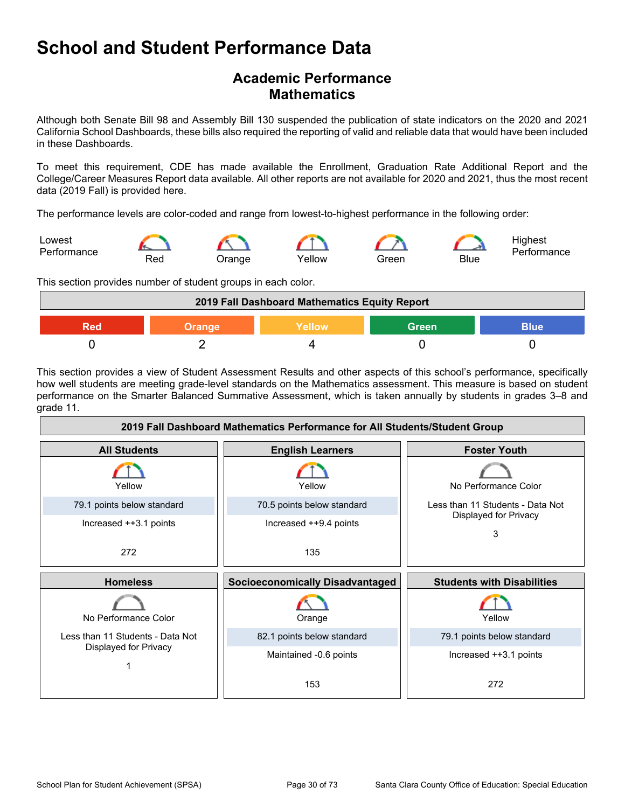### **Academic Performance Mathematics**

Although both Senate Bill 98 and Assembly Bill 130 suspended the publication of state indicators on the 2020 and 2021 California School Dashboards, these bills also required the reporting of valid and reliable data that would have been included in these Dashboards.

To meet this requirement, CDE has made available the Enrollment, Graduation Rate Additional Report and the College/Career Measures Report data available. All other reports are not available for 2020 and 2021, thus the most recent data (2019 Fall) is provided here.

The performance levels are color-coded and range from lowest-to-highest performance in the following order:



This section provides number of student groups in each color.



This section provides a view of Student Assessment Results and other aspects of this school's performance, specifically how well students are meeting grade-level standards on the Mathematics assessment. This measure is based on student performance on the Smarter Balanced Summative Assessment, which is taken annually by students in grades 3–8 and grade 11.

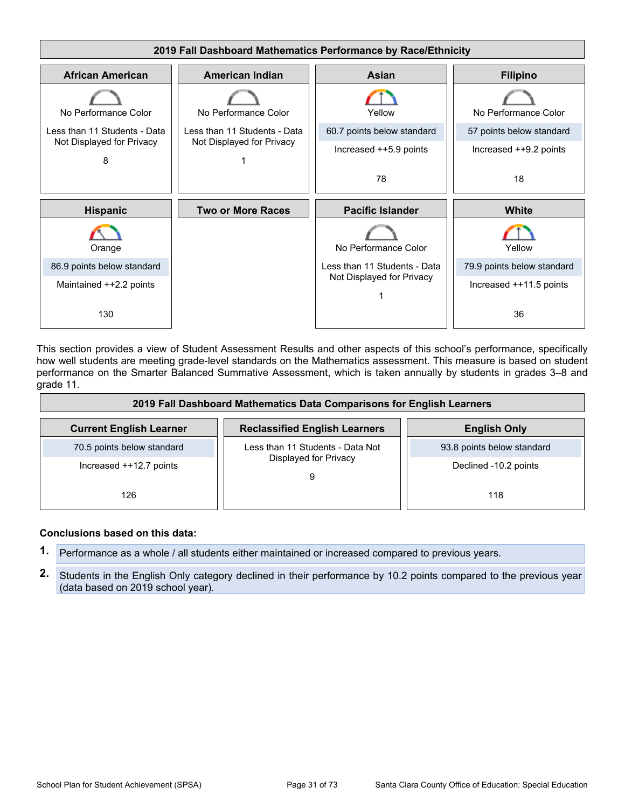

This section provides a view of Student Assessment Results and other aspects of this school's performance, specifically how well students are meeting grade-level standards on the Mathematics assessment. This measure is based on student performance on the Smarter Balanced Summative Assessment, which is taken annually by students in grades 3–8 and grade 11.

| 2019 Fall Dashboard Mathematics Data Comparisons for English Learners |                                      |                            |
|-----------------------------------------------------------------------|--------------------------------------|----------------------------|
| <b>Current English Learner</b>                                        | <b>Reclassified English Learners</b> | <b>English Only</b>        |
| 70.5 points below standard                                            | Less than 11 Students - Data Not     | 93.8 points below standard |
| Increased ++12.7 points                                               | Displayed for Privacy                | Declined -10.2 points      |
| 126                                                                   |                                      | 118                        |

#### **Conclusions based on this data:**

- **1.** Performance as a whole / all students either maintained or increased compared to previous years.
- **2.** Students in the English Only category declined in their performance by 10.2 points compared to the previous year (data based on 2019 school year).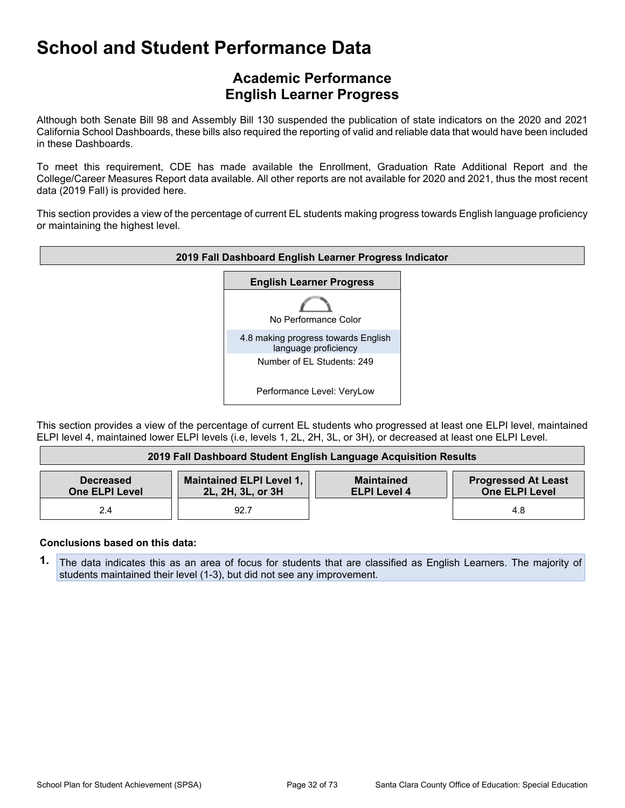### **Academic Performance English Learner Progress**

Although both Senate Bill 98 and Assembly Bill 130 suspended the publication of state indicators on the 2020 and 2021 California School Dashboards, these bills also required the reporting of valid and reliable data that would have been included in these Dashboards.

To meet this requirement, CDE has made available the Enrollment, Graduation Rate Additional Report and the College/Career Measures Report data available. All other reports are not available for 2020 and 2021, thus the most recent data (2019 Fall) is provided here.

This section provides a view of the percentage of current EL students making progress towards English language proficiency or maintaining the highest level.



This section provides a view of the percentage of current EL students who progressed at least one ELPI level, maintained ELPI level 4, maintained lower ELPI levels (i.e, levels 1, 2L, 2H, 3L, or 3H), or decreased at least one ELPI Level.

| 2019 Fall Dashboard Student English Language Acquisition Results |                                               |                                          |                                                     |
|------------------------------------------------------------------|-----------------------------------------------|------------------------------------------|-----------------------------------------------------|
| <b>Decreased</b><br><b>One ELPI Level</b>                        | Maintained ELPI Level 1,<br>2L, 2H, 3L, or 3H | <b>Maintained</b><br><b>ELPI Level 4</b> | <b>Progressed At Least</b><br><b>One ELPI Level</b> |
| 2.4                                                              | 92.7                                          |                                          | 4.8                                                 |

#### **Conclusions based on this data:**

**1.** The data indicates this as an area of focus for students that are classified as English Learners. The majority of students maintained their level (1-3), but did not see any improvement.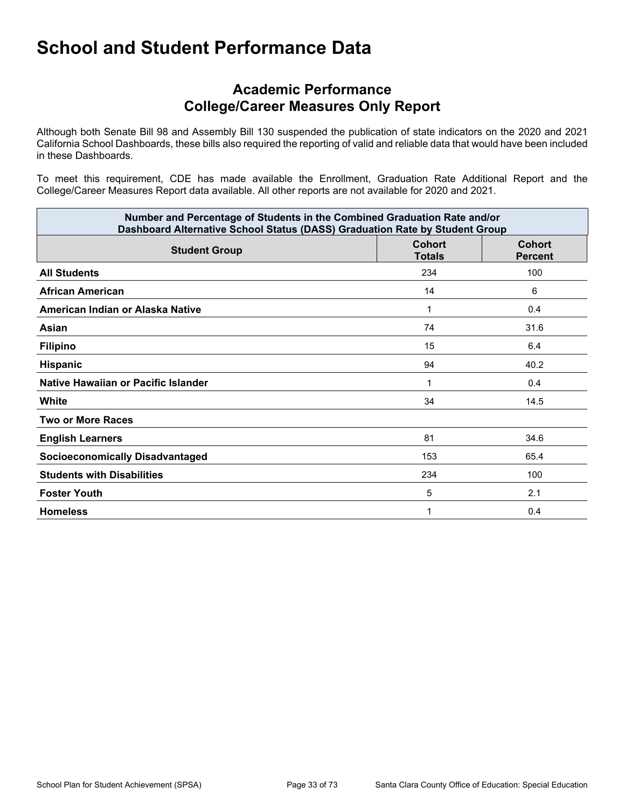### **Academic Performance College/Career Measures Only Report**

Although both Senate Bill 98 and Assembly Bill 130 suspended the publication of state indicators on the 2020 and 2021 California School Dashboards, these bills also required the reporting of valid and reliable data that would have been included in these Dashboards.

To meet this requirement, CDE has made available the Enrollment, Graduation Rate Additional Report and the College/Career Measures Report data available. All other reports are not available for 2020 and 2021.

| Number and Percentage of Students in the Combined Graduation Rate and/or<br>Dashboard Alternative School Status (DASS) Graduation Rate by Student Group |                                |                                 |
|---------------------------------------------------------------------------------------------------------------------------------------------------------|--------------------------------|---------------------------------|
| <b>Student Group</b>                                                                                                                                    | <b>Cohort</b><br><b>Totals</b> | <b>Cohort</b><br><b>Percent</b> |
| <b>All Students</b>                                                                                                                                     | 234                            | 100                             |
| <b>African American</b>                                                                                                                                 | 14                             | 6                               |
| American Indian or Alaska Native                                                                                                                        | 1                              | 0.4                             |
| Asian                                                                                                                                                   | 74                             | 31.6                            |
| <b>Filipino</b>                                                                                                                                         | 15                             | 6.4                             |
| <b>Hispanic</b>                                                                                                                                         | 94                             | 40.2                            |
| Native Hawaiian or Pacific Islander                                                                                                                     | 1                              | 0.4                             |
| White                                                                                                                                                   | 34                             | 14.5                            |
| <b>Two or More Races</b>                                                                                                                                |                                |                                 |
| <b>English Learners</b>                                                                                                                                 | 81                             | 34.6                            |
| <b>Socioeconomically Disadvantaged</b>                                                                                                                  | 153                            | 65.4                            |
| <b>Students with Disabilities</b>                                                                                                                       | 234                            | 100                             |
| <b>Foster Youth</b>                                                                                                                                     | 5                              | 2.1                             |
| <b>Homeless</b>                                                                                                                                         | 1                              | 0.4                             |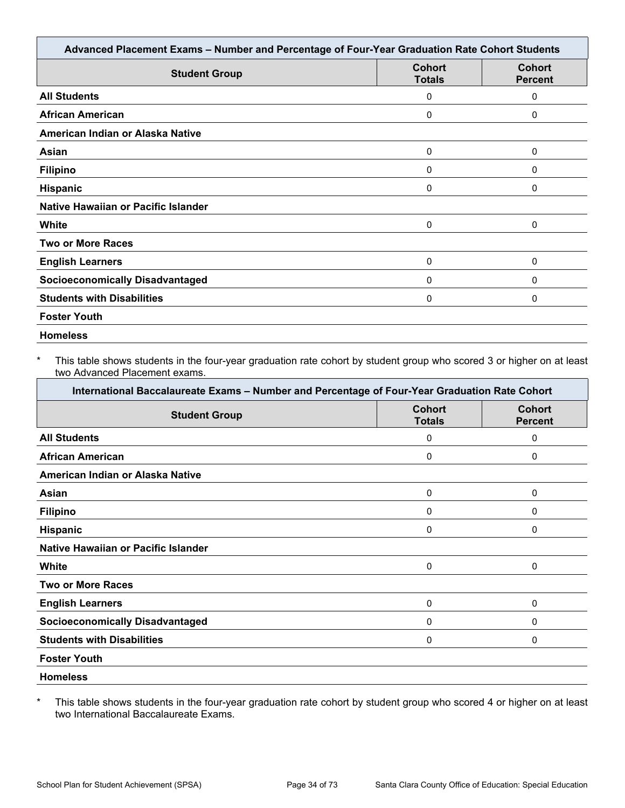| Advanced Placement Exams - Number and Percentage of Four-Year Graduation Rate Cohort Students |                                |                                 |  |
|-----------------------------------------------------------------------------------------------|--------------------------------|---------------------------------|--|
| <b>Student Group</b>                                                                          | <b>Cohort</b><br><b>Totals</b> | <b>Cohort</b><br><b>Percent</b> |  |
| <b>All Students</b>                                                                           | 0                              | 0                               |  |
| <b>African American</b>                                                                       | 0                              | 0                               |  |
| American Indian or Alaska Native                                                              |                                |                                 |  |
| Asian                                                                                         | 0                              | 0                               |  |
| <b>Filipino</b>                                                                               | 0                              | 0                               |  |
| <b>Hispanic</b>                                                                               | 0                              | 0                               |  |
| Native Hawaiian or Pacific Islander                                                           |                                |                                 |  |
| White                                                                                         | 0                              | 0                               |  |
| <b>Two or More Races</b>                                                                      |                                |                                 |  |
| <b>English Learners</b>                                                                       | 0                              | 0                               |  |
| <b>Socioeconomically Disadvantaged</b>                                                        | 0                              | 0                               |  |
| <b>Students with Disabilities</b>                                                             | 0                              | 0                               |  |
| <b>Foster Youth</b>                                                                           |                                |                                 |  |
| <b>Homeless</b>                                                                               |                                |                                 |  |

This table shows students in the four-year graduation rate cohort by student group who scored 3 or higher on at least two Advanced Placement exams.

| International Baccalaureate Exams - Number and Percentage of Four-Year Graduation Rate Cohort |                                |                                 |
|-----------------------------------------------------------------------------------------------|--------------------------------|---------------------------------|
| <b>Student Group</b>                                                                          | <b>Cohort</b><br><b>Totals</b> | <b>Cohort</b><br><b>Percent</b> |
| <b>All Students</b>                                                                           | 0                              | 0                               |
| <b>African American</b>                                                                       | 0                              | 0                               |
| American Indian or Alaska Native                                                              |                                |                                 |
| Asian                                                                                         | 0                              | 0                               |
| <b>Filipino</b>                                                                               | 0                              | 0                               |
| <b>Hispanic</b>                                                                               | 0                              | 0                               |
| Native Hawaiian or Pacific Islander                                                           |                                |                                 |
| White                                                                                         | 0                              | 0                               |
| <b>Two or More Races</b>                                                                      |                                |                                 |
| <b>English Learners</b>                                                                       | 0                              | 0                               |
| <b>Socioeconomically Disadvantaged</b>                                                        | 0                              | 0                               |
| <b>Students with Disabilities</b>                                                             | 0                              | 0                               |
| <b>Foster Youth</b>                                                                           |                                |                                 |
| <b>Homeless</b>                                                                               |                                |                                 |

\* This table shows students in the four-year graduation rate cohort by student group who scored 4 or higher on at least two International Baccalaureate Exams.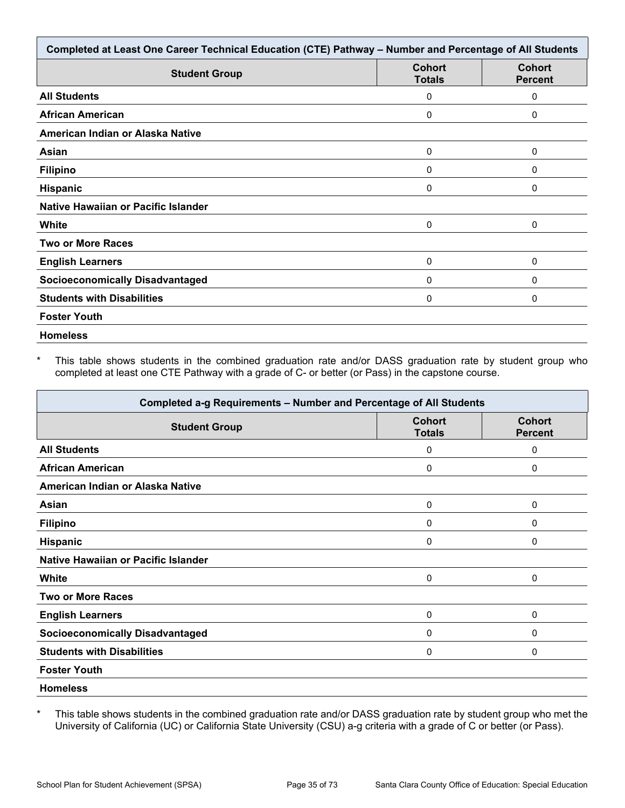| Completed at Least One Career Technical Education (CTE) Pathway - Number and Percentage of All Students |                                |                                 |
|---------------------------------------------------------------------------------------------------------|--------------------------------|---------------------------------|
| <b>Student Group</b>                                                                                    | <b>Cohort</b><br><b>Totals</b> | <b>Cohort</b><br><b>Percent</b> |
| <b>All Students</b>                                                                                     | 0                              | 0                               |
| <b>African American</b>                                                                                 | 0                              | 0                               |
| American Indian or Alaska Native                                                                        |                                |                                 |
| Asian                                                                                                   | 0                              | 0                               |
| <b>Filipino</b>                                                                                         | 0                              | 0                               |
| Hispanic                                                                                                | 0                              | 0                               |
| Native Hawaiian or Pacific Islander                                                                     |                                |                                 |
| White                                                                                                   | 0                              | 0                               |
| <b>Two or More Races</b>                                                                                |                                |                                 |
| <b>English Learners</b>                                                                                 | 0                              | 0                               |
| <b>Socioeconomically Disadvantaged</b>                                                                  | 0                              | 0                               |
| <b>Students with Disabilities</b>                                                                       | 0                              | 0                               |
| <b>Foster Youth</b>                                                                                     |                                |                                 |
| <b>Homeless</b>                                                                                         |                                |                                 |

This table shows students in the combined graduation rate and/or DASS graduation rate by student group who completed at least one CTE Pathway with a grade of C- or better (or Pass) in the capstone course.

| Completed a-g Requirements - Number and Percentage of All Students |                                |                                 |
|--------------------------------------------------------------------|--------------------------------|---------------------------------|
| <b>Student Group</b>                                               | <b>Cohort</b><br><b>Totals</b> | <b>Cohort</b><br><b>Percent</b> |
| <b>All Students</b>                                                | 0                              | 0                               |
| <b>African American</b>                                            | 0                              | 0                               |
| American Indian or Alaska Native                                   |                                |                                 |
| Asian                                                              | 0                              | 0                               |
| <b>Filipino</b>                                                    | $\mathbf{0}$                   | 0                               |
| Hispanic                                                           | 0                              | 0                               |
| Native Hawaiian or Pacific Islander                                |                                |                                 |
| White                                                              | 0                              | 0                               |
| <b>Two or More Races</b>                                           |                                |                                 |
| <b>English Learners</b>                                            | 0                              | 0                               |
| <b>Socioeconomically Disadvantaged</b>                             | 0                              | 0                               |
| <b>Students with Disabilities</b>                                  | 0                              | 0                               |
| <b>Foster Youth</b>                                                |                                |                                 |
| <b>Homeless</b>                                                    |                                |                                 |

\* This table shows students in the combined graduation rate and/or DASS graduation rate by student group who met the University of California (UC) or California State University (CSU) a-g criteria with a grade of C or better (or Pass).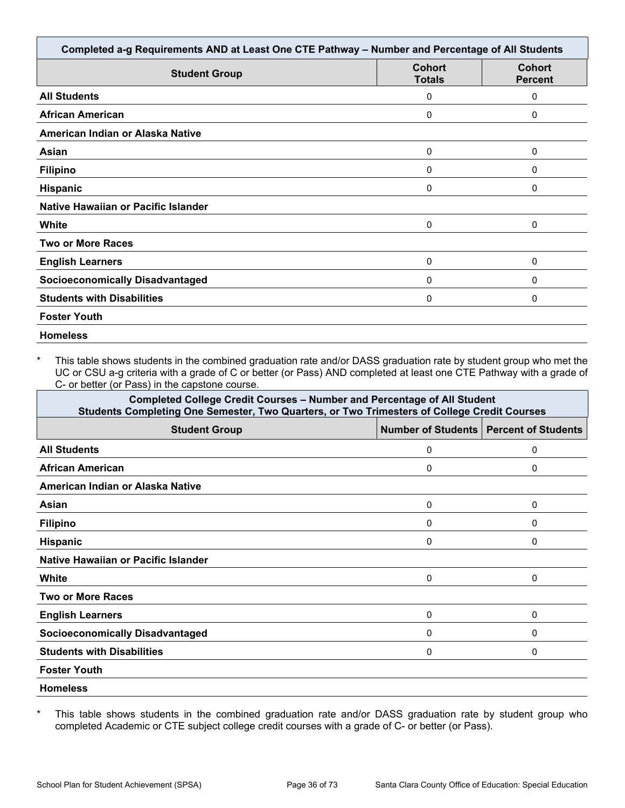|                                        | Completed a-g Requirements AND at Least One CTE Pathway - Number and Percentage of All Students |                                 |
|----------------------------------------|-------------------------------------------------------------------------------------------------|---------------------------------|
| <b>Student Group</b>                   | <b>Cohort</b><br><b>Totals</b>                                                                  | <b>Cohort</b><br><b>Percent</b> |
| <b>All Students</b>                    | 0                                                                                               | 0                               |
| <b>African American</b>                | 0                                                                                               | 0                               |
| American Indian or Alaska Native       |                                                                                                 |                                 |
| Asian                                  | 0                                                                                               | 0                               |
| <b>Filipino</b>                        | 0                                                                                               | 0                               |
| <b>Hispanic</b>                        | 0                                                                                               | 0                               |
| Native Hawaiian or Pacific Islander    |                                                                                                 |                                 |
| White                                  | 0                                                                                               | 0                               |
| <b>Two or More Races</b>               |                                                                                                 |                                 |
| <b>English Learners</b>                | 0                                                                                               | 0                               |
| <b>Socioeconomically Disadvantaged</b> | 0                                                                                               | 0                               |
| <b>Students with Disabilities</b>      | 0                                                                                               | 0                               |
| <b>Foster Youth</b>                    |                                                                                                 |                                 |

\* This table shows students in the combined graduation rate and/or DASS graduation rate by student group who met the UC or CSU a-g criteria with a grade of C or better (or Pass) AND completed at least one CTE Pathway with a grade of C- or better (or Pass) in the capstone course.

| <b>Completed College Credit Courses - Number and Percentage of All Student</b><br>Students Completing One Semester, Two Quarters, or Two Trimesters of College Credit Courses |   |                                               |
|-------------------------------------------------------------------------------------------------------------------------------------------------------------------------------|---|-----------------------------------------------|
| <b>Student Group</b>                                                                                                                                                          |   | <b>Number of Students Percent of Students</b> |
| <b>All Students</b>                                                                                                                                                           | 0 | 0                                             |
| <b>African American</b>                                                                                                                                                       | 0 | 0                                             |
| American Indian or Alaska Native                                                                                                                                              |   |                                               |
| Asian                                                                                                                                                                         | 0 | 0                                             |
| <b>Filipino</b>                                                                                                                                                               | 0 | 0                                             |
| <b>Hispanic</b>                                                                                                                                                               | 0 | 0                                             |
| Native Hawaiian or Pacific Islander                                                                                                                                           |   |                                               |
| White                                                                                                                                                                         | 0 | 0                                             |
| <b>Two or More Races</b>                                                                                                                                                      |   |                                               |
| <b>English Learners</b>                                                                                                                                                       | 0 | 0                                             |
| <b>Socioeconomically Disadvantaged</b>                                                                                                                                        | 0 | 0                                             |
| <b>Students with Disabilities</b>                                                                                                                                             | 0 | 0                                             |
| <b>Foster Youth</b>                                                                                                                                                           |   |                                               |
| <b>Homeless</b>                                                                                                                                                               |   |                                               |

\* This table shows students in the combined graduation rate and/or DASS graduation rate by student group who completed Academic or CTE subject college credit courses with a grade of C- or better (or Pass).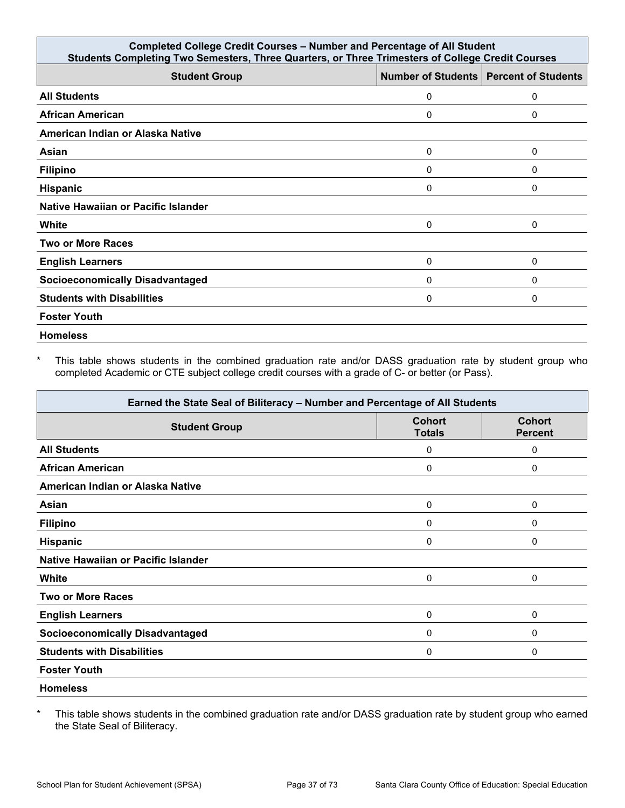| <b>Completed College Credit Courses - Number and Percentage of All Student</b><br>Students Completing Two Semesters, Three Quarters, or Three Trimesters of College Credit Courses |   |                                          |
|------------------------------------------------------------------------------------------------------------------------------------------------------------------------------------|---|------------------------------------------|
| <b>Student Group</b>                                                                                                                                                               |   | Number of Students   Percent of Students |
| <b>All Students</b>                                                                                                                                                                | 0 | 0                                        |
| <b>African American</b>                                                                                                                                                            | 0 | 0                                        |
| American Indian or Alaska Native                                                                                                                                                   |   |                                          |
| Asian                                                                                                                                                                              | 0 | 0                                        |
| <b>Filipino</b>                                                                                                                                                                    | 0 | 0                                        |
| <b>Hispanic</b>                                                                                                                                                                    | 0 | 0                                        |
| Native Hawaiian or Pacific Islander                                                                                                                                                |   |                                          |
| White                                                                                                                                                                              | 0 | 0                                        |
| <b>Two or More Races</b>                                                                                                                                                           |   |                                          |
| <b>English Learners</b>                                                                                                                                                            | 0 | 0                                        |
| <b>Socioeconomically Disadvantaged</b>                                                                                                                                             | 0 | 0                                        |
| <b>Students with Disabilities</b>                                                                                                                                                  | 0 | 0                                        |
| <b>Foster Youth</b>                                                                                                                                                                |   |                                          |
| <b>Homeless</b>                                                                                                                                                                    |   |                                          |

\* This table shows students in the combined graduation rate and/or DASS graduation rate by student group who completed Academic or CTE subject college credit courses with a grade of C- or better (or Pass).

| Earned the State Seal of Biliteracy - Number and Percentage of All Students |                                |                                 |
|-----------------------------------------------------------------------------|--------------------------------|---------------------------------|
| <b>Student Group</b>                                                        | <b>Cohort</b><br><b>Totals</b> | <b>Cohort</b><br><b>Percent</b> |
| <b>All Students</b>                                                         | 0                              | 0                               |
| <b>African American</b>                                                     | 0                              | 0                               |
| American Indian or Alaska Native                                            |                                |                                 |
| Asian                                                                       | 0                              | 0                               |
| <b>Filipino</b>                                                             | 0                              | 0                               |
| <b>Hispanic</b>                                                             | 0                              | 0                               |
| Native Hawaiian or Pacific Islander                                         |                                |                                 |
| <b>White</b>                                                                | $\mathbf 0$                    | 0                               |
| <b>Two or More Races</b>                                                    |                                |                                 |
| <b>English Learners</b>                                                     | 0                              | 0                               |
| <b>Socioeconomically Disadvantaged</b>                                      | 0                              | 0                               |
| <b>Students with Disabilities</b>                                           | 0                              | 0                               |
| <b>Foster Youth</b>                                                         |                                |                                 |
| <b>Homeless</b>                                                             |                                |                                 |

\* This table shows students in the combined graduation rate and/or DASS graduation rate by student group who earned the State Seal of Biliteracy.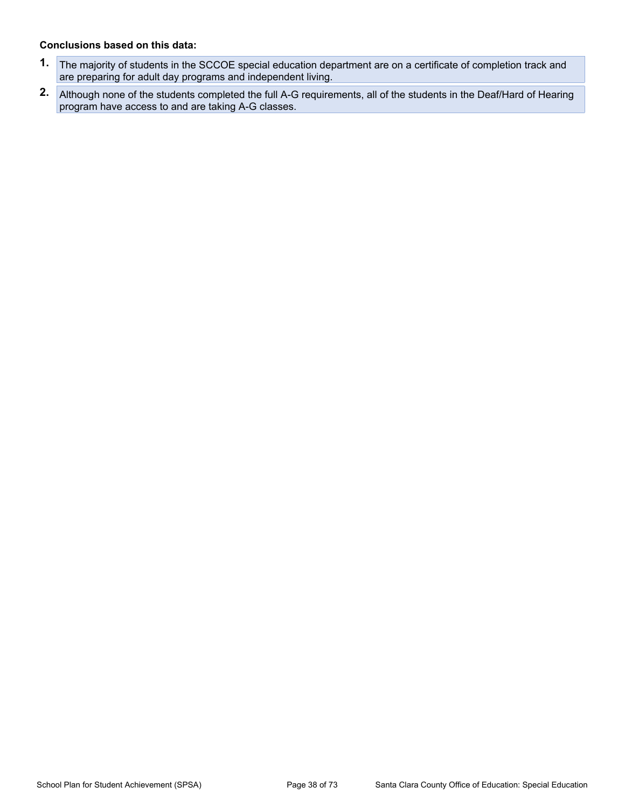#### **Conclusions based on this data:**

- **1.** The majority of students in the SCCOE special education department are on a certificate of completion track and are preparing for adult day programs and independent living.
- **2.** Although none of the students completed the full A-G requirements, all of the students in the Deaf/Hard of Hearing program have access to and are taking A-G classes.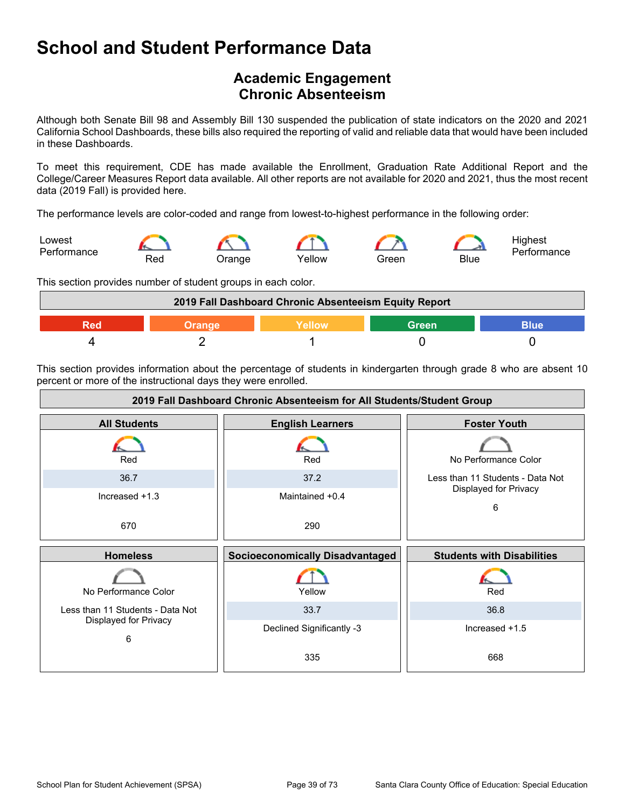## **School and Student Performance Data**

### **Academic Engagement Chronic Absenteeism**

Although both Senate Bill 98 and Assembly Bill 130 suspended the publication of state indicators on the 2020 and 2021 California School Dashboards, these bills also required the reporting of valid and reliable data that would have been included in these Dashboards.

To meet this requirement, CDE has made available the Enrollment, Graduation Rate Additional Report and the College/Career Measures Report data available. All other reports are not available for 2020 and 2021, thus the most recent data (2019 Fall) is provided here.

The performance levels are color-coded and range from lowest-to-highest performance in the following order:



This section provides number of student groups in each color.



This section provides information about the percentage of students in kindergarten through grade 8 who are absent 10 percent or more of the instructional days they were enrolled.

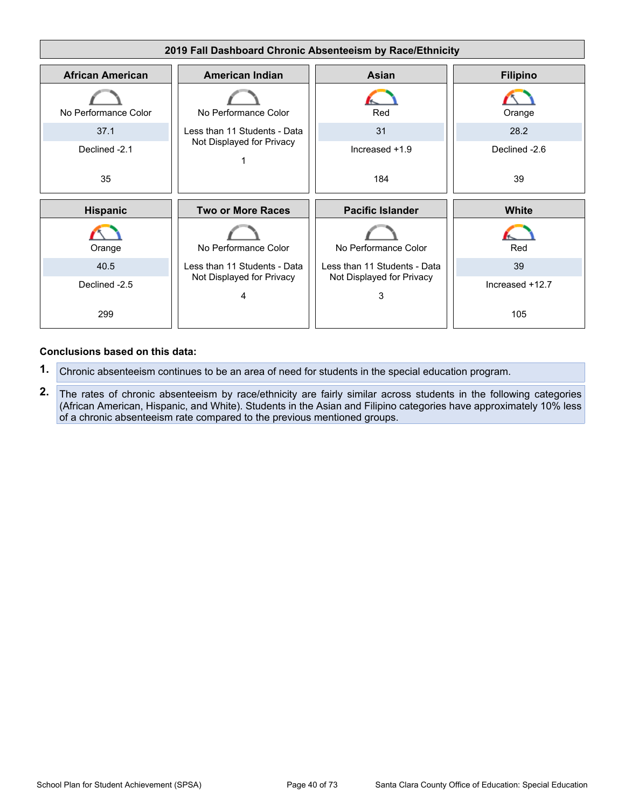

#### **Conclusions based on this data:**

- **1.** Chronic absenteeism continues to be an area of need for students in the special education program.
- **2.** The rates of chronic absenteeism by race/ethnicity are fairly similar across students in the following categories (African American, Hispanic, and White). Students in the Asian and Filipino categories have approximately 10% less of a chronic absenteeism rate compared to the previous mentioned groups.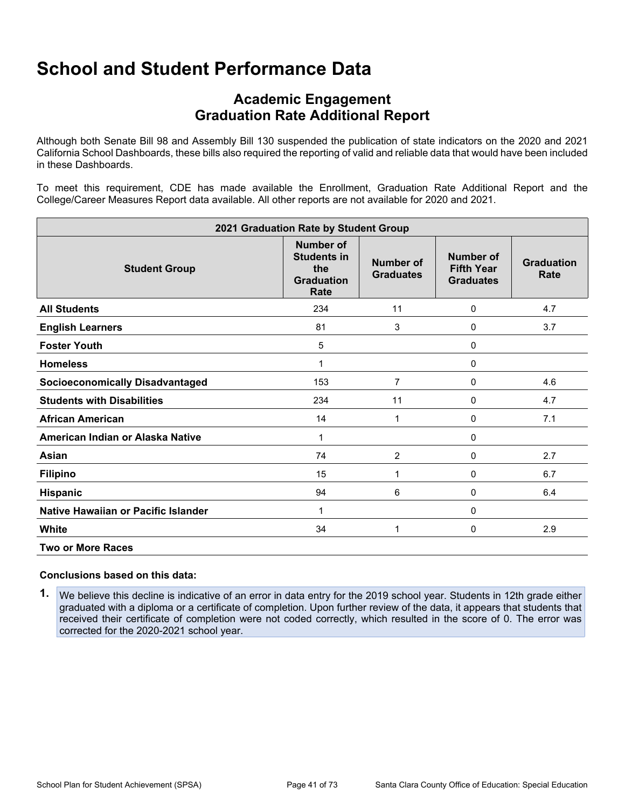## **School and Student Performance Data**

### **Academic Engagement Graduation Rate Additional Report**

Although both Senate Bill 98 and Assembly Bill 130 suspended the publication of state indicators on the 2020 and 2021 California School Dashboards, these bills also required the reporting of valid and reliable data that would have been included in these Dashboards.

To meet this requirement, CDE has made available the Enrollment, Graduation Rate Additional Report and the College/Career Measures Report data available. All other reports are not available for 2020 and 2021.

| 2021 Graduation Rate by Student Group  |                                                                            |                                      |                                                    |                           |
|----------------------------------------|----------------------------------------------------------------------------|--------------------------------------|----------------------------------------------------|---------------------------|
| <b>Student Group</b>                   | <b>Number of</b><br><b>Students in</b><br>the<br><b>Graduation</b><br>Rate | <b>Number of</b><br><b>Graduates</b> | Number of<br><b>Fifth Year</b><br><b>Graduates</b> | <b>Graduation</b><br>Rate |
| <b>All Students</b>                    | 234                                                                        | 11                                   | 0                                                  | 4.7                       |
| <b>English Learners</b>                | 81                                                                         | 3                                    | 0                                                  | 3.7                       |
| <b>Foster Youth</b>                    | 5                                                                          |                                      | 0                                                  |                           |
| <b>Homeless</b>                        | 1                                                                          |                                      | 0                                                  |                           |
| <b>Socioeconomically Disadvantaged</b> | 153                                                                        | $\overline{7}$                       | 0                                                  | 4.6                       |
| <b>Students with Disabilities</b>      | 234                                                                        | 11                                   | 0                                                  | 4.7                       |
| <b>African American</b>                | 14                                                                         | 1                                    | 0                                                  | 7.1                       |
| American Indian or Alaska Native       | 1                                                                          |                                      | 0                                                  |                           |
| Asian                                  | 74                                                                         | $\overline{2}$                       | 0                                                  | 2.7                       |
| <b>Filipino</b>                        | 15                                                                         | 1                                    | 0                                                  | 6.7                       |
| Hispanic                               | 94                                                                         | 6                                    | 0                                                  | 6.4                       |
| Native Hawaiian or Pacific Islander    | 1                                                                          |                                      | 0                                                  |                           |
| White                                  | 34                                                                         | 1                                    | 0                                                  | 2.9                       |
| <b>Two or More Races</b>               |                                                                            |                                      |                                                    |                           |

#### **Conclusions based on this data:**

**1.** We believe this decline is indicative of an error in data entry for the 2019 school year. Students in 12th grade either graduated with a diploma or a certificate of completion. Upon further review of the data, it appears that students that received their certificate of completion were not coded correctly, which resulted in the score of 0. The error was corrected for the 2020-2021 school year.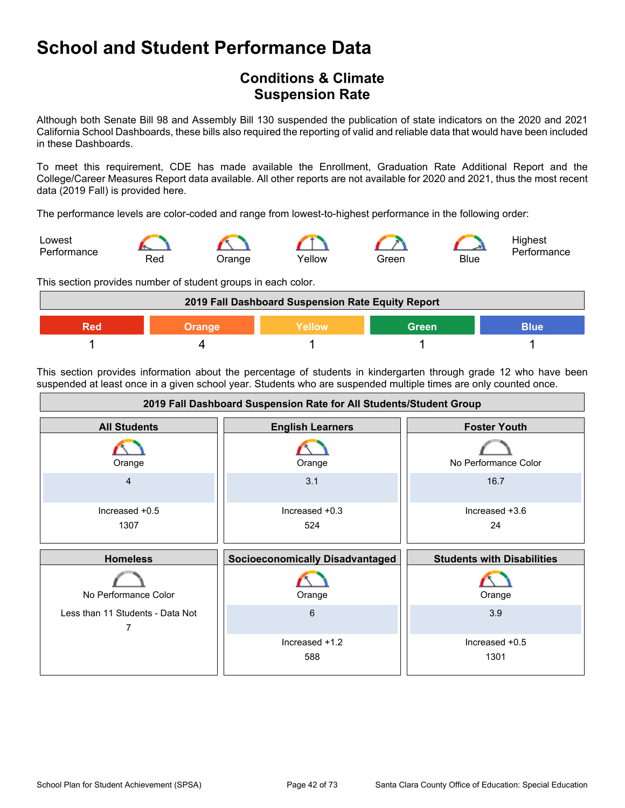## **School and Student Performance Data**

### **Conditions & Climate Suspension Rate**

Although both Senate Bill 98 and Assembly Bill 130 suspended the publication of state indicators on the 2020 and 2021 California School Dashboards, these bills also required the reporting of valid and reliable data that would have been included in these Dashboards.

To meet this requirement, CDE has made available the Enrollment, Graduation Rate Additional Report and the College/Career Measures Report data available. All other reports are not available for 2020 and 2021, thus the most recent data (2019 Fall) is provided here.

The performance levels are color-coded and range from lowest-to-highest performance in the following order:



This section provides number of student groups in each color.



This section provides information about the percentage of students in kindergarten through grade 12 who have been suspended at least once in a given school year. Students who are suspended multiple times are only counted once.

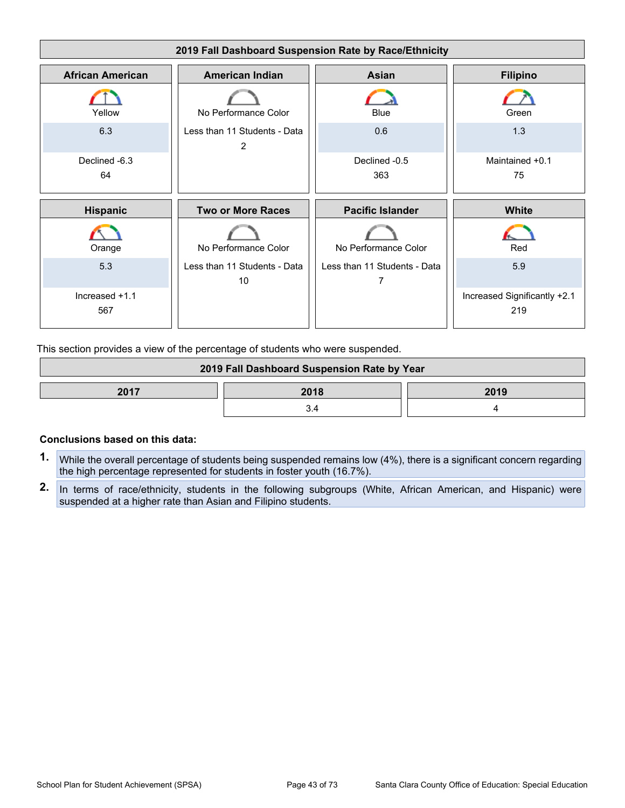

This section provides a view of the percentage of students who were suspended.

| 2019 Fall Dashboard Suspension Rate by Year |  |  |
|---------------------------------------------|--|--|
| 2017<br>2018<br>2019                        |  |  |
|                                             |  |  |

#### **Conclusions based on this data:**

- **1.** While the overall percentage of students being suspended remains low (4%), there is a significant concern regarding the high percentage represented for students in foster youth (16.7%).
- **2.** In terms of race/ethnicity, students in the following subgroups (White, African American, and Hispanic) were suspended at a higher rate than Asian and Filipino students.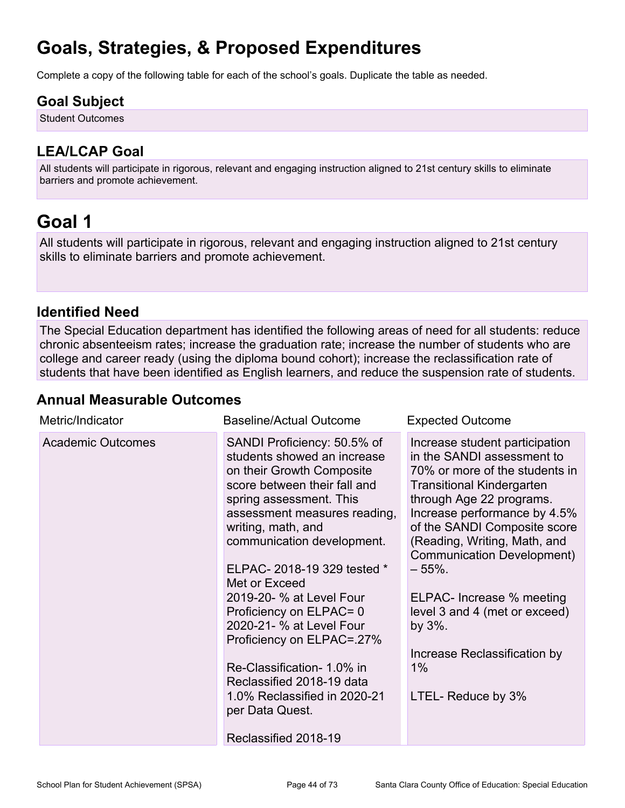# **Goals, Strategies, & Proposed Expenditures**

Complete a copy of the following table for each of the school's goals. Duplicate the table as needed.

### **Goal Subject**

Student Outcomes

### **LEA/LCAP Goal**

All students will participate in rigorous, relevant and engaging instruction aligned to 21st century skills to eliminate barriers and promote achievement.

## **Goal 1**

All students will participate in rigorous, relevant and engaging instruction aligned to 21st century skills to eliminate barriers and promote achievement.

#### **Identified Need**

The Special Education department has identified the following areas of need for all students: reduce chronic absenteeism rates; increase the graduation rate; increase the number of students who are college and career ready (using the diploma bound cohort); increase the reclassification rate of students that have been identified as English learners, and reduce the suspension rate of students.

#### **Annual Measurable Outcomes**

| Metric/Indicator         | <b>Baseline/Actual Outcome</b>                                                                                                                                                                                                                                                                                                                                                                                                                                                                                                              | <b>Expected Outcome</b>                                                                                                                                                                                                                                                                                                                                                                                                                           |
|--------------------------|---------------------------------------------------------------------------------------------------------------------------------------------------------------------------------------------------------------------------------------------------------------------------------------------------------------------------------------------------------------------------------------------------------------------------------------------------------------------------------------------------------------------------------------------|---------------------------------------------------------------------------------------------------------------------------------------------------------------------------------------------------------------------------------------------------------------------------------------------------------------------------------------------------------------------------------------------------------------------------------------------------|
| <b>Academic Outcomes</b> | SANDI Proficiency: 50.5% of<br>students showed an increase<br>on their Growth Composite<br>score between their fall and<br>spring assessment. This<br>assessment measures reading,<br>writing, math, and<br>communication development.<br>ELPAC-2018-19 329 tested *<br>Met or Exceed<br>2019-20- % at Level Four<br>Proficiency on ELPAC= 0<br>2020-21- % at Level Four<br>Proficiency on ELPAC=.27%<br>Re-Classification- 1.0% in<br>Reclassified 2018-19 data<br>1.0% Reclassified in 2020-21<br>per Data Quest.<br>Reclassified 2018-19 | Increase student participation<br>in the SANDI assessment to<br>70% or more of the students in<br><b>Transitional Kindergarten</b><br>through Age 22 programs.<br>Increase performance by 4.5%<br>of the SANDI Composite score<br>(Reading, Writing, Math, and<br><b>Communication Development)</b><br>– 55%.<br>ELPAC- Increase % meeting<br>level 3 and 4 (met or exceed)<br>by 3%.<br>Increase Reclassification by<br>1%<br>LTEL- Reduce by 3% |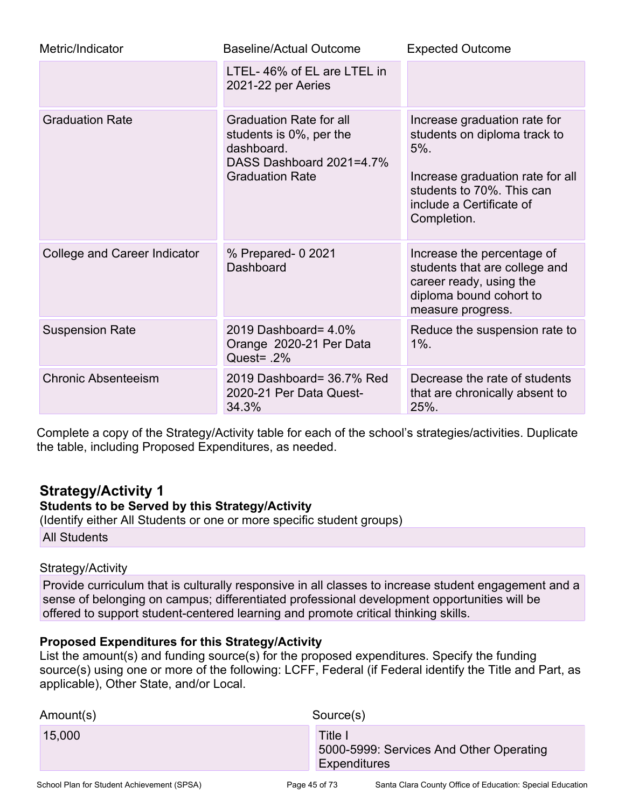| Metric/Indicator             | <b>Baseline/Actual Outcome</b>                                                                                                | <b>Expected Outcome</b>                                                                                                                                                             |
|------------------------------|-------------------------------------------------------------------------------------------------------------------------------|-------------------------------------------------------------------------------------------------------------------------------------------------------------------------------------|
|                              | LTEL-46% of EL are LTEL in<br>2021-22 per Aeries                                                                              |                                                                                                                                                                                     |
| <b>Graduation Rate</b>       | <b>Graduation Rate for all</b><br>students is 0%, per the<br>dashboard.<br>DASS Dashboard 2021=4.7%<br><b>Graduation Rate</b> | Increase graduation rate for<br>students on diploma track to<br>$5\%$ .<br>Increase graduation rate for all<br>students to 70%. This can<br>include a Certificate of<br>Completion. |
| College and Career Indicator | % Prepared- 0 2021<br>Dashboard                                                                                               | Increase the percentage of<br>students that are college and<br>career ready, using the<br>diploma bound cohort to<br>measure progress.                                              |
| <b>Suspension Rate</b>       | 2019 Dashboard= 4.0%<br>Orange 2020-21 Per Data<br>Quest= $.2\%$                                                              | Reduce the suspension rate to<br>$1\%$ .                                                                                                                                            |
| <b>Chronic Absenteeism</b>   | 2019 Dashboard= 36.7% Red<br>2020-21 Per Data Quest-<br>34.3%                                                                 | Decrease the rate of students<br>that are chronically absent to<br>25%.                                                                                                             |

Complete a copy of the Strategy/Activity table for each of the school's strategies/activities. Duplicate the table, including Proposed Expenditures, as needed.

### **Strategy/Activity 1**

#### **Students to be Served by this Strategy/Activity**

(Identify either All Students or one or more specific student groups) All Students

#### Strategy/Activity

Provide curriculum that is culturally responsive in all classes to increase student engagement and a sense of belonging on campus; differentiated professional development opportunities will be offered to support student-centered learning and promote critical thinking skills.

#### **Proposed Expenditures for this Strategy/Activity**

List the amount(s) and funding source(s) for the proposed expenditures. Specify the funding source(s) using one or more of the following: LCFF, Federal (if Federal identify the Title and Part, as applicable), Other State, and/or Local.

| Amount(s) | Source(s)                                                                 |
|-----------|---------------------------------------------------------------------------|
| 15,000    | Title I<br>5000-5999: Services And Other Operating<br><b>Expenditures</b> |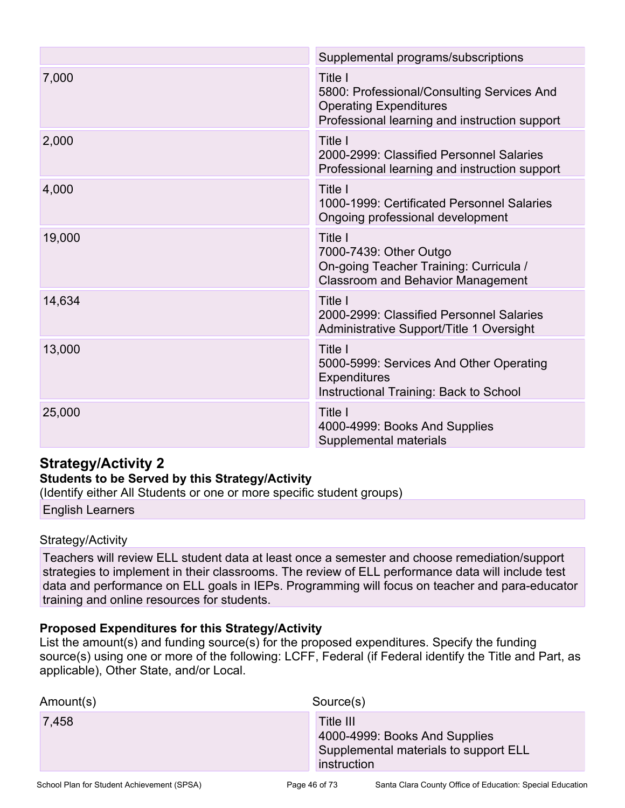|        | Supplemental programs/subscriptions                                                                                                     |
|--------|-----------------------------------------------------------------------------------------------------------------------------------------|
| 7,000  | Title I<br>5800: Professional/Consulting Services And<br><b>Operating Expenditures</b><br>Professional learning and instruction support |
| 2,000  | Title I<br>2000-2999: Classified Personnel Salaries<br>Professional learning and instruction support                                    |
| 4,000  | Title I<br>1000-1999: Certificated Personnel Salaries<br>Ongoing professional development                                               |
| 19,000 | Title I<br>7000-7439: Other Outgo<br>On-going Teacher Training: Curricula /<br><b>Classroom and Behavior Management</b>                 |
| 14,634 | Title I<br>2000-2999: Classified Personnel Salaries<br>Administrative Support/Title 1 Oversight                                         |
| 13,000 | Title I<br>5000-5999: Services And Other Operating<br><b>Expenditures</b><br><b>Instructional Training: Back to School</b>              |
| 25,000 | Title I<br>4000-4999: Books And Supplies<br>Supplemental materials                                                                      |

### **Strategy/Activity 2**

#### **Students to be Served by this Strategy/Activity**

(Identify either All Students or one or more specific student groups)

English Learners

#### Strategy/Activity

Teachers will review ELL student data at least once a semester and choose remediation/support strategies to implement in their classrooms. The review of ELL performance data will include test data and performance on ELL goals in IEPs. Programming will focus on teacher and para-educator training and online resources for students.

#### **Proposed Expenditures for this Strategy/Activity**

List the amount(s) and funding source(s) for the proposed expenditures. Specify the funding source(s) using one or more of the following: LCFF, Federal (if Federal identify the Title and Part, as applicable), Other State, and/or Local.

| Amount(s) | Source(s)                                                                                          |
|-----------|----------------------------------------------------------------------------------------------------|
| 7,458     | Title III<br>4000-4999: Books And Supplies<br>Supplemental materials to support ELL<br>instruction |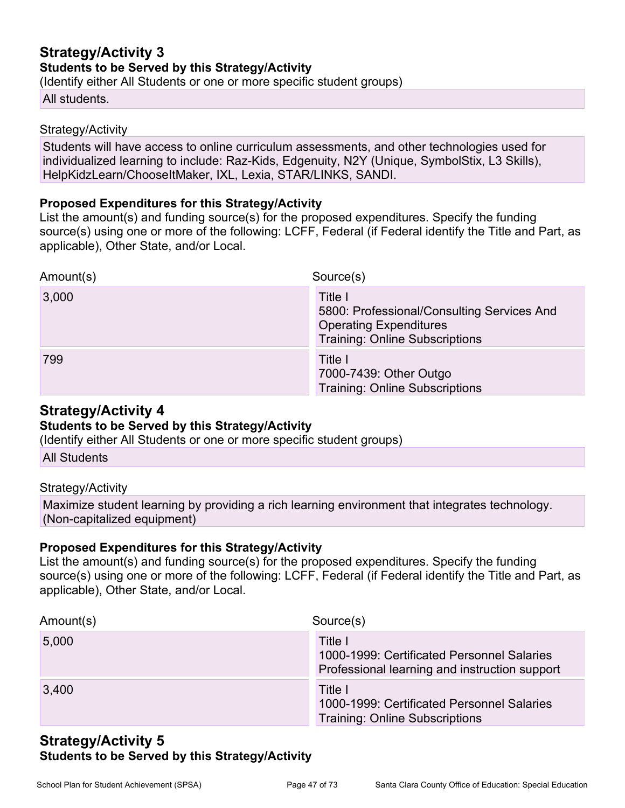### **Strategy/Activity 3 Students to be Served by this Strategy/Activity**

(Identify either All Students or one or more specific student groups)

#### All students.

#### Strategy/Activity

Students will have access to online curriculum assessments, and other technologies used for individualized learning to include: Raz-Kids, Edgenuity, N2Y (Unique, SymbolStix, L3 Skills), HelpKidzLearn/ChooseItMaker, IXL, Lexia, STAR/LINKS, SANDI.

#### **Proposed Expenditures for this Strategy/Activity**

List the amount(s) and funding source(s) for the proposed expenditures. Specify the funding source(s) using one or more of the following: LCFF, Federal (if Federal identify the Title and Part, as applicable), Other State, and/or Local.

| Amount(s) | Source(s)                                                                                                                       |
|-----------|---------------------------------------------------------------------------------------------------------------------------------|
| 3,000     | Title I<br>5800: Professional/Consulting Services And<br><b>Operating Expenditures</b><br><b>Training: Online Subscriptions</b> |
| 799       | Title I<br>7000-7439: Other Outgo<br><b>Training: Online Subscriptions</b>                                                      |

#### **Strategy/Activity 4**

#### **Students to be Served by this Strategy/Activity**

(Identify either All Students or one or more specific student groups)

All Students

#### Strategy/Activity

Maximize student learning by providing a rich learning environment that integrates technology. (Non-capitalized equipment)

#### **Proposed Expenditures for this Strategy/Activity**

List the amount(s) and funding source(s) for the proposed expenditures. Specify the funding source(s) using one or more of the following: LCFF, Federal (if Federal identify the Title and Part, as applicable), Other State, and/or Local.

| Amount(s) | Source(s)                                                                                              |
|-----------|--------------------------------------------------------------------------------------------------------|
| 5,000     | Title I<br>1000-1999: Certificated Personnel Salaries<br>Professional learning and instruction support |
| 3,400     | Title I<br>1000-1999: Certificated Personnel Salaries<br><b>Training: Online Subscriptions</b>         |

#### **Strategy/Activity 5 Students to be Served by this Strategy/Activity**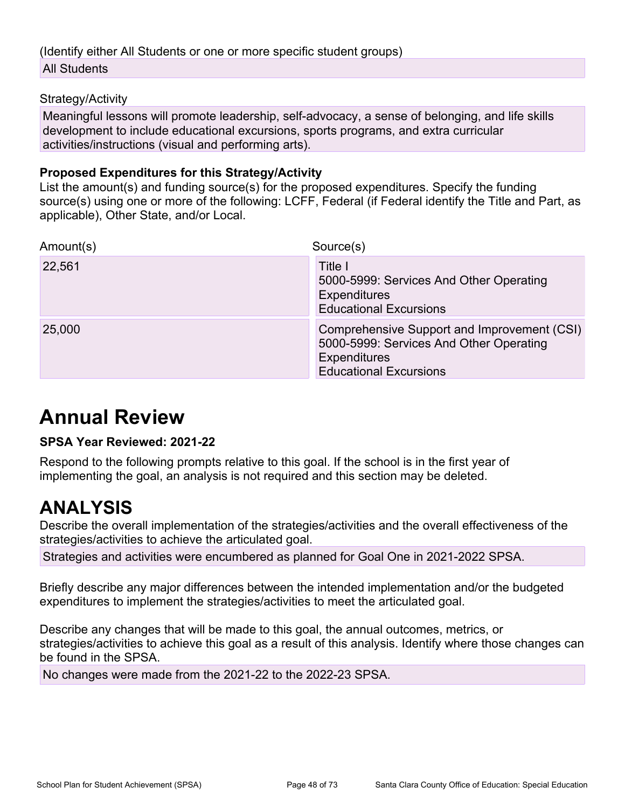#### (Identify either All Students or one or more specific student groups) All Students

#### Strategy/Activity

Meaningful lessons will promote leadership, self-advocacy, a sense of belonging, and life skills development to include educational excursions, sports programs, and extra curricular activities/instructions (visual and performing arts).

#### **Proposed Expenditures for this Strategy/Activity**

List the amount(s) and funding source(s) for the proposed expenditures. Specify the funding source(s) using one or more of the following: LCFF, Federal (if Federal identify the Title and Part, as applicable), Other State, and/or Local.

| Amount(s) | Source(s)                                                                                                                               |
|-----------|-----------------------------------------------------------------------------------------------------------------------------------------|
| 22,561    | Title I<br>5000-5999: Services And Other Operating<br><b>Expenditures</b><br><b>Educational Excursions</b>                              |
| 25,000    | Comprehensive Support and Improvement (CSI)<br>5000-5999: Services And Other Operating<br>Expenditures<br><b>Educational Excursions</b> |

# **Annual Review**

#### **SPSA Year Reviewed: 2021-22**

Respond to the following prompts relative to this goal. If the school is in the first year of implementing the goal, an analysis is not required and this section may be deleted.

## **ANALYSIS**

Describe the overall implementation of the strategies/activities and the overall effectiveness of the strategies/activities to achieve the articulated goal.

Strategies and activities were encumbered as planned for Goal One in 2021-2022 SPSA.

Briefly describe any major differences between the intended implementation and/or the budgeted expenditures to implement the strategies/activities to meet the articulated goal.

Describe any changes that will be made to this goal, the annual outcomes, metrics, or strategies/activities to achieve this goal as a result of this analysis. Identify where those changes can be found in the SPSA.

No changes were made from the 2021-22 to the 2022-23 SPSA.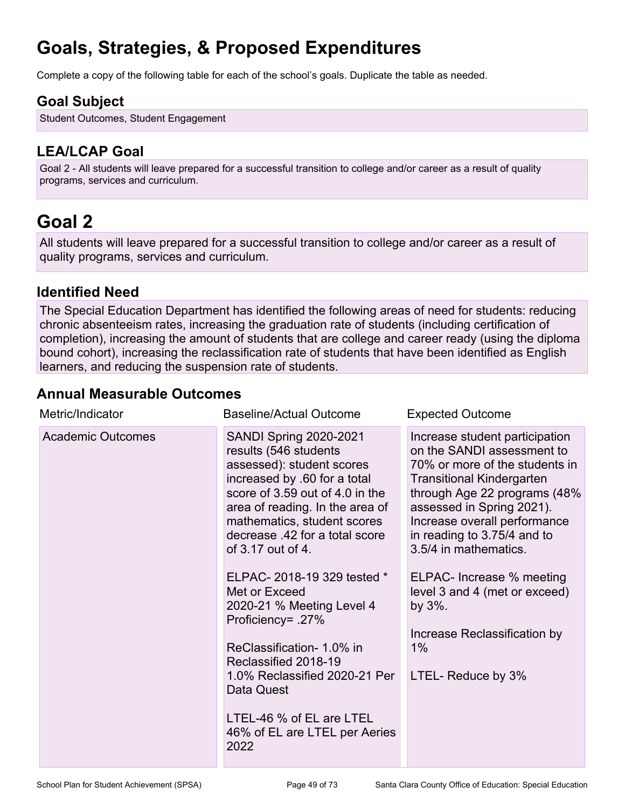# **Goals, Strategies, & Proposed Expenditures**

Complete a copy of the following table for each of the school's goals. Duplicate the table as needed.

### **Goal Subject**

Student Outcomes, Student Engagement

### **LEA/LCAP Goal**

Goal 2 - All students will leave prepared for a successful transition to college and/or career as a result of quality programs, services and curriculum.

## **Goal 2**

All students will leave prepared for a successful transition to college and/or career as a result of quality programs, services and curriculum.

#### **Identified Need**

The Special Education Department has identified the following areas of need for students: reducing chronic absenteeism rates, increasing the graduation rate of students (including certification of completion), increasing the amount of students that are college and career ready (using the diploma bound cohort), increasing the reclassification rate of students that have been identified as English learners, and reducing the suspension rate of students.

#### **Annual Measurable Outcomes**

| Metric/Indicator         | <b>Baseline/Actual Outcome</b>                                                                                                                                                                                                                                                                                                                                                                                                                                                                                                                            | <b>Expected Outcome</b>                                                                                                                                                                                                                                                                                                                                                                                                        |
|--------------------------|-----------------------------------------------------------------------------------------------------------------------------------------------------------------------------------------------------------------------------------------------------------------------------------------------------------------------------------------------------------------------------------------------------------------------------------------------------------------------------------------------------------------------------------------------------------|--------------------------------------------------------------------------------------------------------------------------------------------------------------------------------------------------------------------------------------------------------------------------------------------------------------------------------------------------------------------------------------------------------------------------------|
| <b>Academic Outcomes</b> | <b>SANDI Spring 2020-2021</b><br>results (546 students<br>assessed): student scores<br>increased by .60 for a total<br>score of 3.59 out of 4.0 in the<br>area of reading. In the area of<br>mathematics, student scores<br>decrease .42 for a total score<br>of 3.17 out of 4.<br>ELPAC-2018-19 329 tested *<br>Met or Exceed<br>2020-21 % Meeting Level 4<br>Proficiency= .27%<br>ReClassification- 1.0% in<br>Reclassified 2018-19<br>1.0% Reclassified 2020-21 Per<br>Data Quest<br>LTEL-46 % of EL are LTEL<br>46% of EL are LTEL per Aeries<br>2022 | Increase student participation<br>on the SANDI assessment to<br>70% or more of the students in<br><b>Transitional Kindergarten</b><br>through Age 22 programs (48%<br>assessed in Spring 2021).<br>Increase overall performance<br>in reading to 3.75/4 and to<br>3.5/4 in mathematics.<br>ELPAC- Increase % meeting<br>level 3 and 4 (met or exceed)<br>by 3%.<br>Increase Reclassification by<br>$1\%$<br>LTEL- Reduce by 3% |
|                          |                                                                                                                                                                                                                                                                                                                                                                                                                                                                                                                                                           |                                                                                                                                                                                                                                                                                                                                                                                                                                |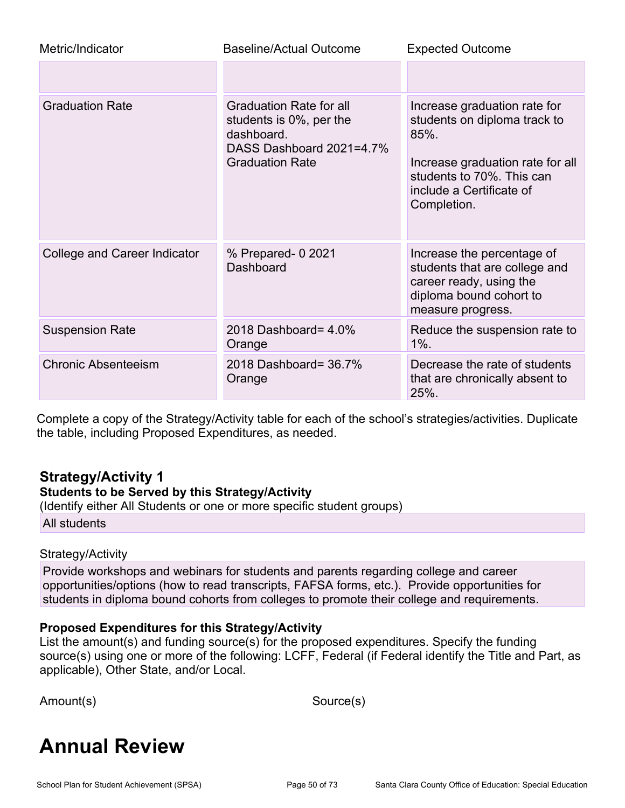| Metric/Indicator             | <b>Baseline/Actual Outcome</b>                                                                                                | <b>Expected Outcome</b>                                                                                                                                                             |
|------------------------------|-------------------------------------------------------------------------------------------------------------------------------|-------------------------------------------------------------------------------------------------------------------------------------------------------------------------------------|
|                              |                                                                                                                               |                                                                                                                                                                                     |
| <b>Graduation Rate</b>       | <b>Graduation Rate for all</b><br>students is 0%, per the<br>dashboard.<br>DASS Dashboard 2021=4.7%<br><b>Graduation Rate</b> | Increase graduation rate for<br>students on diploma track to<br>$85%$ .<br>Increase graduation rate for all<br>students to 70%. This can<br>include a Certificate of<br>Completion. |
| College and Career Indicator | % Prepared- 0 2021<br>Dashboard                                                                                               | Increase the percentage of<br>students that are college and<br>career ready, using the<br>diploma bound cohort to<br>measure progress.                                              |
| <b>Suspension Rate</b>       | 2018 Dashboard= 4.0%<br>Orange                                                                                                | Reduce the suspension rate to<br>$1\%$ .                                                                                                                                            |
| <b>Chronic Absenteeism</b>   | 2018 Dashboard= 36.7%<br>Orange                                                                                               | Decrease the rate of students<br>that are chronically absent to<br>25%.                                                                                                             |

Complete a copy of the Strategy/Activity table for each of the school's strategies/activities. Duplicate the table, including Proposed Expenditures, as needed.

#### **Strategy/Activity 1**

#### **Students to be Served by this Strategy/Activity**

(Identify either All Students or one or more specific student groups)

All students

#### Strategy/Activity

Provide workshops and webinars for students and parents regarding college and career opportunities/options (how to read transcripts, FAFSA forms, etc.). Provide opportunities for students in diploma bound cohorts from colleges to promote their college and requirements.

#### **Proposed Expenditures for this Strategy/Activity**

List the amount(s) and funding source(s) for the proposed expenditures. Specify the funding source(s) using one or more of the following: LCFF, Federal (if Federal identify the Title and Part, as applicable), Other State, and/or Local.

Amount(s) Source(s)

# **Annual Review**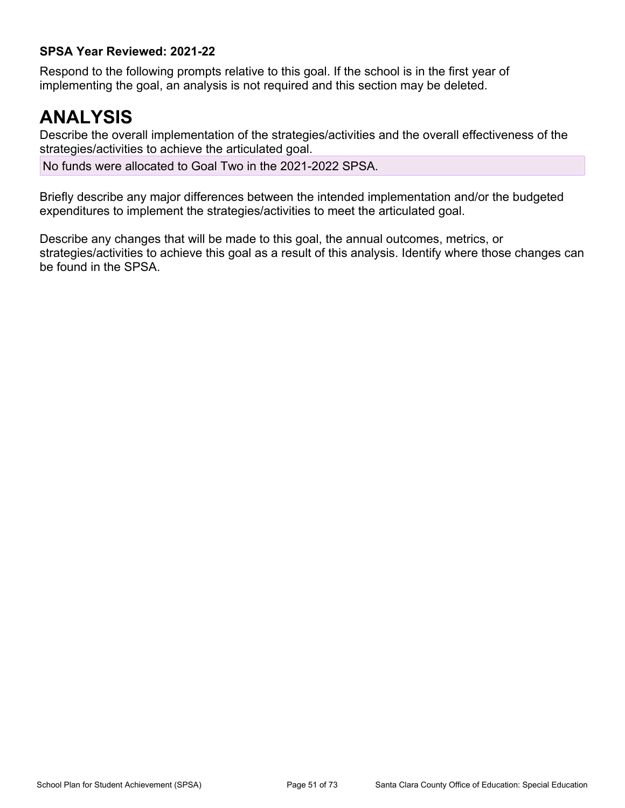#### **SPSA Year Reviewed: 2021-22**

Respond to the following prompts relative to this goal. If the school is in the first year of implementing the goal, an analysis is not required and this section may be deleted.

## **ANALYSIS**

Describe the overall implementation of the strategies/activities and the overall effectiveness of the strategies/activities to achieve the articulated goal.

No funds were allocated to Goal Two in the 2021-2022 SPSA.

Briefly describe any major differences between the intended implementation and/or the budgeted expenditures to implement the strategies/activities to meet the articulated goal.

Describe any changes that will be made to this goal, the annual outcomes, metrics, or strategies/activities to achieve this goal as a result of this analysis. Identify where those changes can be found in the SPSA.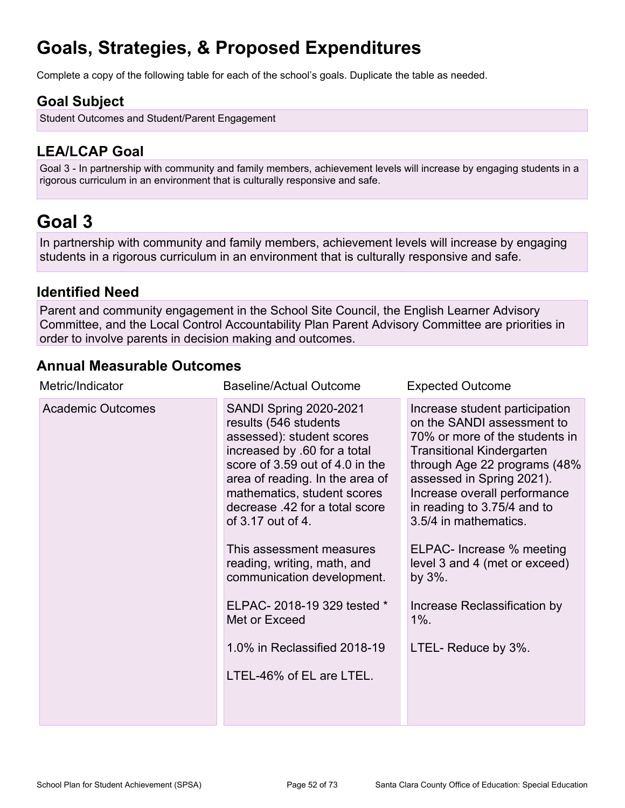# **Goals, Strategies, & Proposed Expenditures**

Complete a copy of the following table for each of the school's goals. Duplicate the table as needed.

### **Goal Subject**

Student Outcomes and Student/Parent Engagement

### **LEA/LCAP Goal**

Goal 3 - In partnership with community and family members, achievement levels will increase by engaging students in a rigorous curriculum in an environment that is culturally responsive and safe.

## **Goal 3**

In partnership with community and family members, achievement levels will increase by engaging students in a rigorous curriculum in an environment that is culturally responsive and safe.

#### **Identified Need**

Parent and community engagement in the School Site Council, the English Learner Advisory Committee, and the Local Control Accountability Plan Parent Advisory Committee are priorities in order to involve parents in decision making and outcomes.

### **Annual Measurable Outcomes**

| Metric/Indicator         | <b>Baseline/Actual Outcome</b>                                                                                                                                                                                                                                                                                                                                                                                                                                                      | <b>Expected Outcome</b>                                                                                                                                                                                                                                                                                                                                                                                                               |
|--------------------------|-------------------------------------------------------------------------------------------------------------------------------------------------------------------------------------------------------------------------------------------------------------------------------------------------------------------------------------------------------------------------------------------------------------------------------------------------------------------------------------|---------------------------------------------------------------------------------------------------------------------------------------------------------------------------------------------------------------------------------------------------------------------------------------------------------------------------------------------------------------------------------------------------------------------------------------|
| <b>Academic Outcomes</b> | <b>SANDI Spring 2020-2021</b><br>results (546 students<br>assessed): student scores<br>increased by .60 for a total<br>score of 3.59 out of 4.0 in the<br>area of reading. In the area of<br>mathematics, student scores<br>decrease .42 for a total score<br>of 3.17 out of 4.<br>This assessment measures<br>reading, writing, math, and<br>communication development.<br>ELPAC-2018-19 329 tested *<br>Met or Exceed<br>1.0% in Reclassified 2018-19<br>LTEL-46% of EL are LTEL. | Increase student participation<br>on the SANDI assessment to<br>70% or more of the students in<br><b>Transitional Kindergarten</b><br>through Age 22 programs (48%<br>assessed in Spring 2021).<br>Increase overall performance<br>in reading to 3.75/4 and to<br>3.5/4 in mathematics.<br>ELPAC- Increase % meeting<br>level 3 and 4 (met or exceed)<br>by $3\%$ .<br>Increase Reclassification by<br>$1\%$ .<br>LTEL- Reduce by 3%. |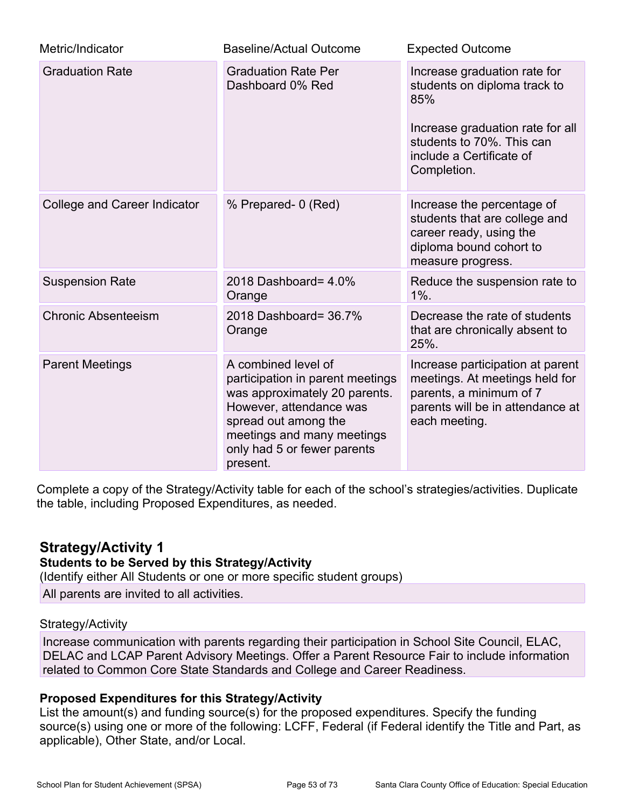| Metric/Indicator             | <b>Baseline/Actual Outcome</b>                                                                                                                                                                                       | <b>Expected Outcome</b>                                                                                                                                                         |
|------------------------------|----------------------------------------------------------------------------------------------------------------------------------------------------------------------------------------------------------------------|---------------------------------------------------------------------------------------------------------------------------------------------------------------------------------|
| <b>Graduation Rate</b>       | <b>Graduation Rate Per</b><br>Dashboard 0% Red                                                                                                                                                                       | Increase graduation rate for<br>students on diploma track to<br>85%<br>Increase graduation rate for all<br>students to 70%. This can<br>include a Certificate of<br>Completion. |
| College and Career Indicator | % Prepared- 0 (Red)                                                                                                                                                                                                  | Increase the percentage of<br>students that are college and<br>career ready, using the<br>diploma bound cohort to<br>measure progress.                                          |
| <b>Suspension Rate</b>       | 2018 Dashboard= 4.0%<br>Orange                                                                                                                                                                                       | Reduce the suspension rate to<br>$1\%$ .                                                                                                                                        |
| <b>Chronic Absenteeism</b>   | 2018 Dashboard= 36.7%<br>Orange                                                                                                                                                                                      | Decrease the rate of students<br>that are chronically absent to<br>25%.                                                                                                         |
| <b>Parent Meetings</b>       | A combined level of<br>participation in parent meetings<br>was approximately 20 parents.<br>However, attendance was<br>spread out among the<br>meetings and many meetings<br>only had 5 or fewer parents<br>present. | Increase participation at parent<br>meetings. At meetings held for<br>parents, a minimum of 7<br>parents will be in attendance at<br>each meeting.                              |

Complete a copy of the Strategy/Activity table for each of the school's strategies/activities. Duplicate the table, including Proposed Expenditures, as needed.

### **Strategy/Activity 1**

#### **Students to be Served by this Strategy/Activity**

(Identify either All Students or one or more specific student groups)

All parents are invited to all activities.

#### Strategy/Activity

Increase communication with parents regarding their participation in School Site Council, ELAC, DELAC and LCAP Parent Advisory Meetings. Offer a Parent Resource Fair to include information related to Common Core State Standards and College and Career Readiness.

### **Proposed Expenditures for this Strategy/Activity**

List the amount(s) and funding source(s) for the proposed expenditures. Specify the funding source(s) using one or more of the following: LCFF, Federal (if Federal identify the Title and Part, as applicable), Other State, and/or Local.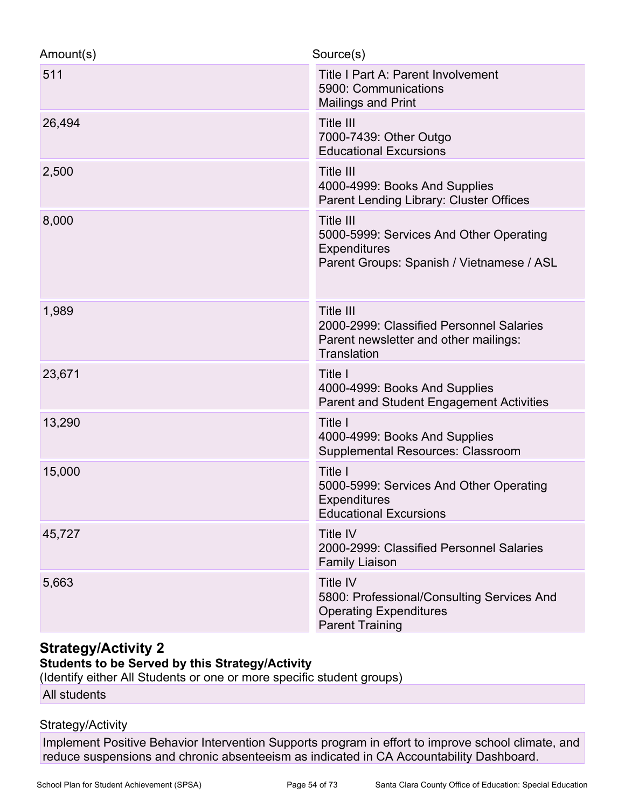| Amount(s) | Source(s)                                                                                                                |
|-----------|--------------------------------------------------------------------------------------------------------------------------|
| 511       | Title I Part A: Parent Involvement<br>5900: Communications<br><b>Mailings and Print</b>                                  |
| 26,494    | <b>Title III</b><br>7000-7439: Other Outgo<br><b>Educational Excursions</b>                                              |
| 2,500     | Title III<br>4000-4999: Books And Supplies<br>Parent Lending Library: Cluster Offices                                    |
| 8,000     | Title III<br>5000-5999: Services And Other Operating<br>Expenditures<br>Parent Groups: Spanish / Vietnamese / ASL        |
| 1,989     | Title III<br>2000-2999: Classified Personnel Salaries<br>Parent newsletter and other mailings:<br><b>Translation</b>     |
| 23,671    | Title I<br>4000-4999: Books And Supplies<br><b>Parent and Student Engagement Activities</b>                              |
| 13,290    | Title I<br>4000-4999: Books And Supplies<br><b>Supplemental Resources: Classroom</b>                                     |
| 15,000    | Title I<br>5000-5999: Services And Other Operating<br><b>Expenditures</b><br><b>Educational Excursions</b>               |
| 45,727    | <b>Title IV</b><br>2000-2999: Classified Personnel Salaries<br><b>Family Liaison</b>                                     |
| 5,663     | <b>Title IV</b><br>5800: Professional/Consulting Services And<br><b>Operating Expenditures</b><br><b>Parent Training</b> |

### **Strategy/Activity 2**

#### **Students to be Served by this Strategy/Activity**

(Identify either All Students or one or more specific student groups)

All students

#### Strategy/Activity

Implement Positive Behavior Intervention Supports program in effort to improve school climate, and reduce suspensions and chronic absenteeism as indicated in CA Accountability Dashboard.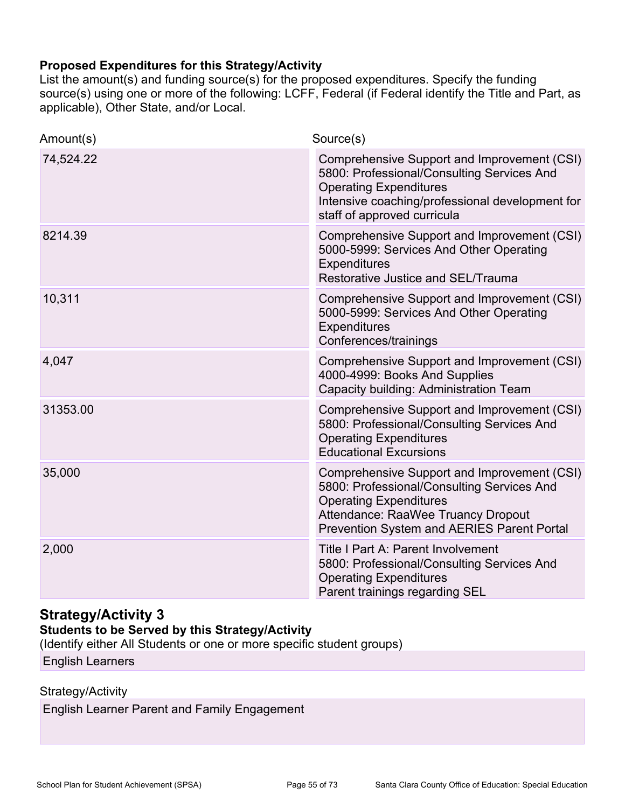#### **Proposed Expenditures for this Strategy/Activity**

List the amount(s) and funding source(s) for the proposed expenditures. Specify the funding source(s) using one or more of the following: LCFF, Federal (if Federal identify the Title and Part, as applicable), Other State, and/or Local.

| Amount(s) | Source(s)                                                                                                                                                                                                      |
|-----------|----------------------------------------------------------------------------------------------------------------------------------------------------------------------------------------------------------------|
| 74,524.22 | Comprehensive Support and Improvement (CSI)<br>5800: Professional/Consulting Services And<br><b>Operating Expenditures</b><br>Intensive coaching/professional development for<br>staff of approved curricula   |
| 8214.39   | Comprehensive Support and Improvement (CSI)<br>5000-5999: Services And Other Operating<br><b>Expenditures</b><br>Restorative Justice and SEL/Trauma                                                            |
| 10,311    | Comprehensive Support and Improvement (CSI)<br>5000-5999: Services And Other Operating<br><b>Expenditures</b><br>Conferences/trainings                                                                         |
| 4,047     | Comprehensive Support and Improvement (CSI)<br>4000-4999: Books And Supplies<br>Capacity building: Administration Team                                                                                         |
| 31353.00  | Comprehensive Support and Improvement (CSI)<br>5800: Professional/Consulting Services And<br><b>Operating Expenditures</b><br><b>Educational Excursions</b>                                                    |
| 35,000    | Comprehensive Support and Improvement (CSI)<br>5800: Professional/Consulting Services And<br><b>Operating Expenditures</b><br>Attendance: RaaWee Truancy Dropout<br>Prevention System and AERIES Parent Portal |
| 2,000     | Title I Part A: Parent Involvement<br>5800: Professional/Consulting Services And<br><b>Operating Expenditures</b><br>Parent trainings regarding SEL                                                            |

### **Strategy/Activity 3**

#### **Students to be Served by this Strategy/Activity**

(Identify either All Students or one or more specific student groups)

English Learners

#### Strategy/Activity

English Learner Parent and Family Engagement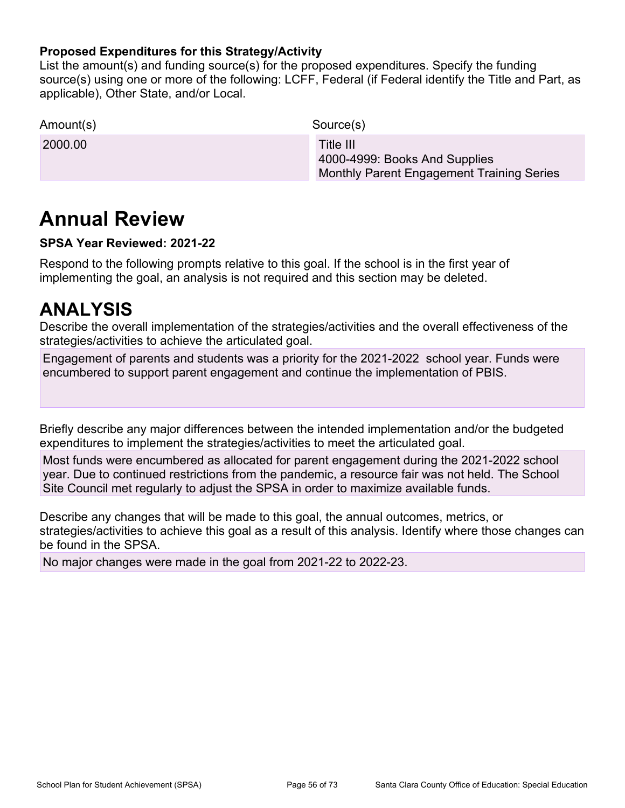#### **Proposed Expenditures for this Strategy/Activity**

List the amount(s) and funding source(s) for the proposed expenditures. Specify the funding source(s) using one or more of the following: LCFF, Federal (if Federal identify the Title and Part, as applicable), Other State, and/or Local.

| Amount(s) | Source(s)                                                                               |
|-----------|-----------------------------------------------------------------------------------------|
| 2000.00   | Title III<br>4000-4999: Books And Supplies<br>Monthly Parent Engagement Training Series |

## **Annual Review**

#### **SPSA Year Reviewed: 2021-22**

Respond to the following prompts relative to this goal. If the school is in the first year of implementing the goal, an analysis is not required and this section may be deleted.

## **ANALYSIS**

Describe the overall implementation of the strategies/activities and the overall effectiveness of the strategies/activities to achieve the articulated goal.

Engagement of parents and students was a priority for the 2021-2022 school year. Funds were encumbered to support parent engagement and continue the implementation of PBIS.

Briefly describe any major differences between the intended implementation and/or the budgeted expenditures to implement the strategies/activities to meet the articulated goal.

Most funds were encumbered as allocated for parent engagement during the 2021-2022 school year. Due to continued restrictions from the pandemic, a resource fair was not held. The School Site Council met regularly to adjust the SPSA in order to maximize available funds.

Describe any changes that will be made to this goal, the annual outcomes, metrics, or strategies/activities to achieve this goal as a result of this analysis. Identify where those changes can be found in the SPSA.

No major changes were made in the goal from 2021-22 to 2022-23.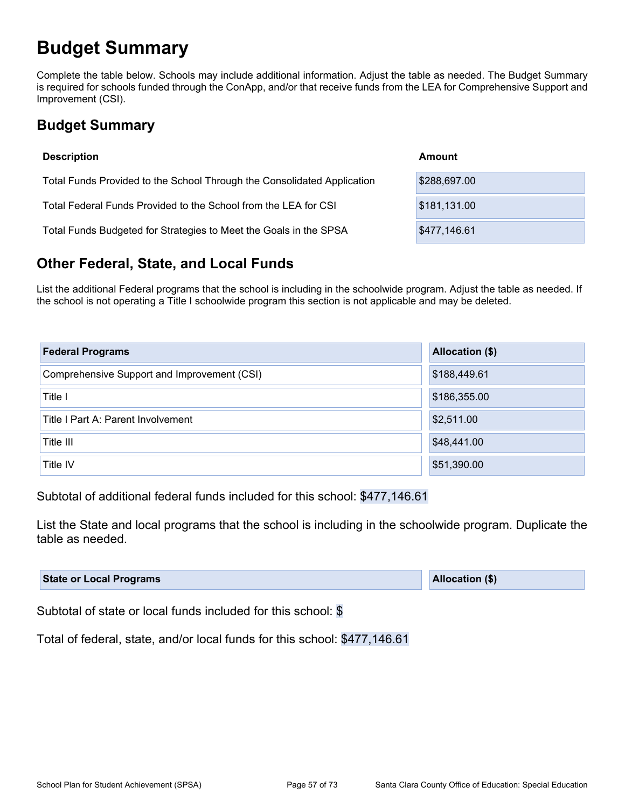## **Budget Summary**

Complete the table below. Schools may include additional information. Adjust the table as needed. The Budget Summary is required for schools funded through the ConApp, and/or that receive funds from the LEA for Comprehensive Support and Improvement (CSI).

## **Budget Summary**

| <b>Description</b>                                                      | Amount       |
|-------------------------------------------------------------------------|--------------|
| Total Funds Provided to the School Through the Consolidated Application | \$288,697.00 |
| Total Federal Funds Provided to the School from the LEA for CSI         | \$181,131.00 |
| Total Funds Budgeted for Strategies to Meet the Goals in the SPSA       | \$477,146.61 |

### **Other Federal, State, and Local Funds**

List the additional Federal programs that the school is including in the schoolwide program. Adjust the table as needed. If the school is not operating a Title I schoolwide program this section is not applicable and may be deleted.

| <b>Federal Programs</b>                     | Allocation (\$) |
|---------------------------------------------|-----------------|
| Comprehensive Support and Improvement (CSI) | \$188,449.61    |
| Title I                                     | \$186,355.00    |
| Title I Part A: Parent Involvement          | \$2,511.00      |
| Title III                                   | \$48,441.00     |
| Title IV                                    | \$51,390.00     |

Subtotal of additional federal funds included for this school: \$477,146.61

List the State and local programs that the school is including in the schoolwide program. Duplicate the table as needed.

| <b>State or Local Programs</b> | <b>Allocation (\$)</b> |
|--------------------------------|------------------------|
|--------------------------------|------------------------|

Subtotal of state or local funds included for this school: \$

Total of federal, state, and/or local funds for this school: \$477,146.61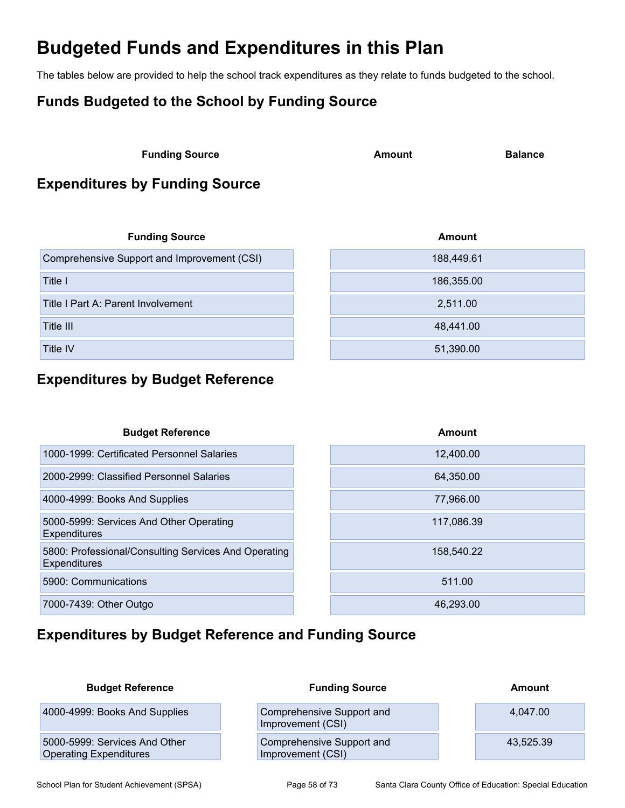## **Budgeted Funds and Expenditures in this Plan**

The tables below are provided to help the school track expenditures as they relate to funds budgeted to the school.

## **Funds Budgeted to the School by Funding Source**

**Funding Source Amount Balance** 

## **Expenditures by Funding Source**

| <b>Funding Source</b>                       | Amount     |
|---------------------------------------------|------------|
| Comprehensive Support and Improvement (CSI) | 188,449.61 |
| Title I                                     | 186,355.00 |
| Title I Part A: Parent Involvement          | 2,511.00   |
| Title III                                   | 48,441.00  |
| <b>Title IV</b>                             | 51,390.00  |

### **Expenditures by Budget Reference**

| <b>Budget Reference</b>                                                     | Amount     |
|-----------------------------------------------------------------------------|------------|
| 1000-1999: Certificated Personnel Salaries                                  | 12,400.00  |
| 2000-2999: Classified Personnel Salaries                                    | 64,350.00  |
| 4000-4999: Books And Supplies                                               | 77,966.00  |
| 5000-5999: Services And Other Operating<br><b>Expenditures</b>              | 117,086.39 |
| 5800: Professional/Consulting Services And Operating<br><b>Expenditures</b> | 158,540.22 |
| 5900: Communications                                                        | 511.00     |
| 7000-7439: Other Outgo                                                      | 46.293.00  |

## **Expenditures by Budget Reference and Funding Source**

| <b>Budget Reference</b>                                        | <b>Funding Source</b>                          | Amount    |
|----------------------------------------------------------------|------------------------------------------------|-----------|
| 4000-4999: Books And Supplies                                  | Comprehensive Support and<br>Improvement (CSI) | 4.047.00  |
| 5000-5999: Services And Other<br><b>Operating Expenditures</b> | Comprehensive Support and<br>Improvement (CSI) | 43,525.39 |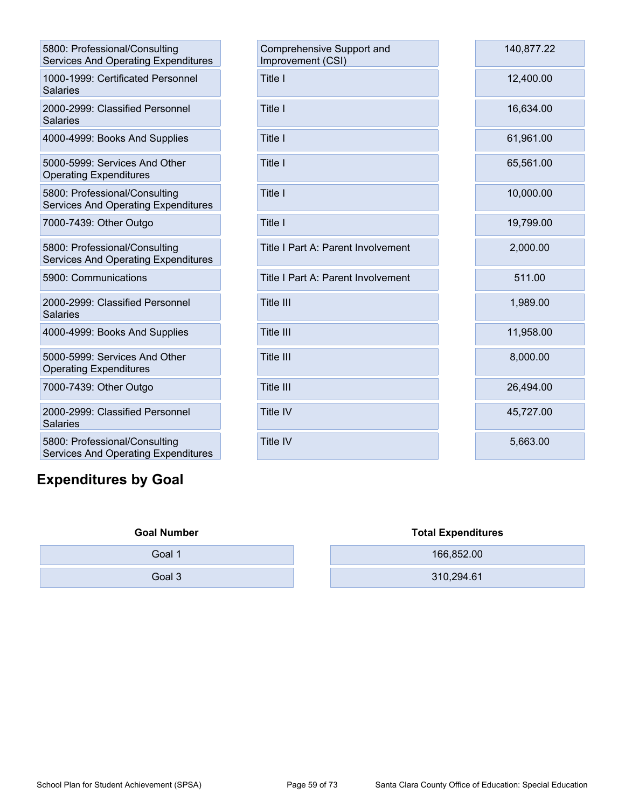| 5800: Professional/Consulting<br><b>Services And Operating Expenditures</b> |
|-----------------------------------------------------------------------------|
| 1000-1999: Certificated Personnel<br><b>Salaries</b>                        |
| 2000-2999: Classified Personnel<br>Salaries                                 |
| 4000-4999: Books And Supplies                                               |
| 5000-5999: Services And Other<br><b>Operating Expenditures</b>              |
| 5800: Professional/Consulting<br>Services And Operating Expenditures        |
| 7000-7439: Other Outgo                                                      |
| 5800: Professional/Consulting<br><b>Services And Operating Expenditures</b> |
| 5900: Communications                                                        |
| 2000-2999: Classified Personnel<br><b>Salaries</b>                          |
| 4000-4999: Books And Supplies                                               |
| 5000-5999: Services And Other<br><b>Operating Expenditures</b>              |
| 7000-7439: Other Outgo                                                      |
| 2000-2999: Classified Personnel<br><b>Salaries</b>                          |
| 5800: Professional/Consulting<br>Services And Operating Expenditures        |

## **Expenditures by Goal**

| 5800: Professional/Consulting<br>Services And Operating Expenditures | Comprehensive Support and<br>Improvement (CSI) | 140,877.22 |
|----------------------------------------------------------------------|------------------------------------------------|------------|
| 1000-1999: Certificated Personnel<br>Salaries                        | Title I                                        | 12,400.00  |
| 2000-2999: Classified Personnel<br><b>Salaries</b>                   | Title I                                        | 16,634.00  |
| 4000-4999: Books And Supplies                                        | Title I                                        | 61,961.00  |
| 5000-5999: Services And Other<br><b>Operating Expenditures</b>       | Title I                                        | 65,561.00  |
| 5800: Professional/Consulting<br>Services And Operating Expenditures | Title I                                        | 10,000.00  |
| 7000-7439: Other Outgo                                               | Title I                                        | 19,799.00  |
| 5800: Professional/Consulting<br>Services And Operating Expenditures | Title I Part A: Parent Involvement             | 2,000.00   |
| 5900: Communications                                                 | Title I Part A: Parent Involvement             | 511.00     |
| 2000-2999: Classified Personnel<br><b>Salaries</b>                   | Title III                                      | 1,989.00   |
| 4000-4999: Books And Supplies                                        | <b>Title III</b>                               | 11,958.00  |
| 5000-5999: Services And Other<br><b>Operating Expenditures</b>       | <b>Title III</b>                               | 8,000.00   |
| 7000-7439: Other Outgo                                               | <b>Title III</b>                               | 26,494.00  |
| 2000-2999: Classified Personnel<br><b>Salaries</b>                   | <b>Title IV</b>                                | 45,727.00  |
| 5800: Professional/Consulting                                        | <b>Title IV</b>                                | 5,663.00   |

| <b>Goal Number</b> | <b>Total Expenditures</b> |
|--------------------|---------------------------|
| Goal 1             | 166,852.00                |
| Goal 3             | 310,294.61                |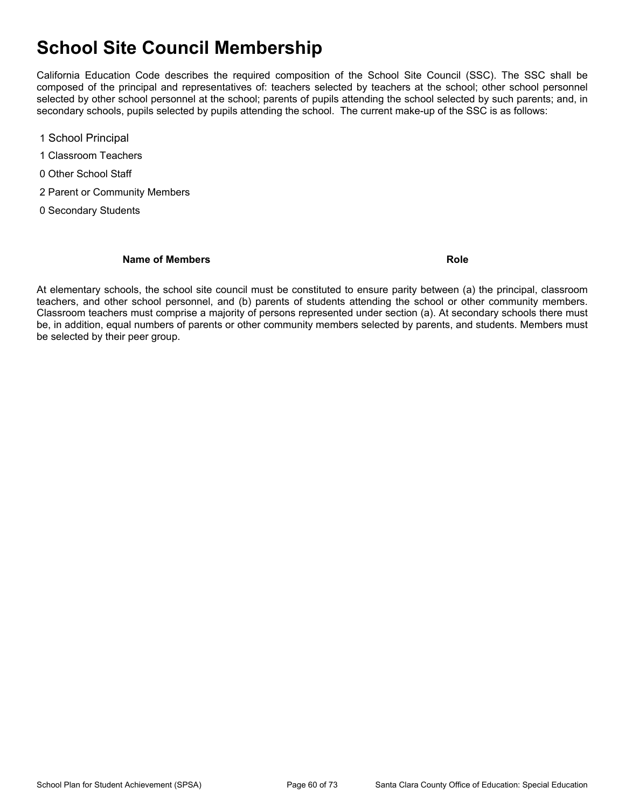## **School Site Council Membership**

California Education Code describes the required composition of the School Site Council (SSC). The SSC shall be composed of the principal and representatives of: teachers selected by teachers at the school; other school personnel selected by other school personnel at the school; parents of pupils attending the school selected by such parents; and, in secondary schools, pupils selected by pupils attending the school. The current make-up of the SSC is as follows:

- 1 School Principal
- 1 Classroom Teachers
- 0 Other School Staff
- 2 Parent or Community Members
- 0 Secondary Students

#### **Name of Members Role**

At elementary schools, the school site council must be constituted to ensure parity between (a) the principal, classroom teachers, and other school personnel, and (b) parents of students attending the school or other community members. Classroom teachers must comprise a majority of persons represented under section (a). At secondary schools there must be, in addition, equal numbers of parents or other community members selected by parents, and students. Members must be selected by their peer group.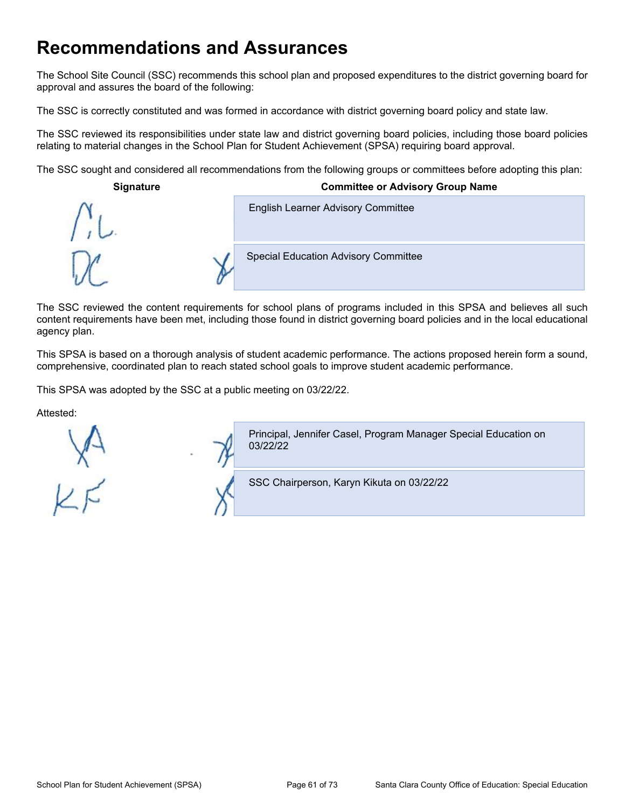## **Recommendations and Assurances**

The School Site Council (SSC) recommends this school plan and proposed expenditures to the district governing board for approval and assures the board of the following:

The SSC is correctly constituted and was formed in accordance with district governing board policy and state law.

The SSC reviewed its responsibilities under state law and district governing board policies, including those board policies relating to material changes in the School Plan for Student Achievement (SPSA) requiring board approval.

The SSC sought and considered all recommendations from the following groups or committees before adopting this plan:

| <b>Signature</b> | <b>Committee or Advisory Group Name</b>     |  |
|------------------|---------------------------------------------|--|
|                  | <b>English Learner Advisory Committee</b>   |  |
|                  | <b>Special Education Advisory Committee</b> |  |

The SSC reviewed the content requirements for school plans of programs included in this SPSA and believes all such content requirements have been met, including those found in district governing board policies and in the local educational agency plan.

This SPSA is based on a thorough analysis of student academic performance. The actions proposed herein form a sound, comprehensive, coordinated plan to reach stated school goals to improve student academic performance.

This SPSA was adopted by the SSC at a public meeting on 03/22/22.

Attested:



Principal, Jennifer Casel, Program Manager Special Education on 03/22/22

SSC Chairperson, Karyn Kikuta on 03/22/22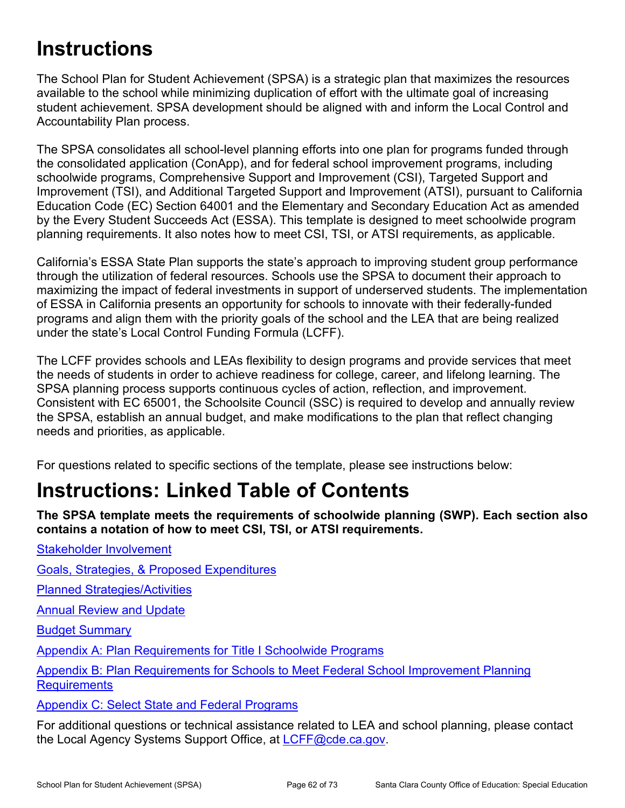# **Instructions**

The School Plan for Student Achievement (SPSA) is a strategic plan that maximizes the resources available to the school while minimizing duplication of effort with the ultimate goal of increasing student achievement. SPSA development should be aligned with and inform the Local Control and Accountability Plan process.

The SPSA consolidates all school-level planning efforts into one plan for programs funded through the consolidated application (ConApp), and for federal school improvement programs, including schoolwide programs, Comprehensive Support and Improvement (CSI), Targeted Support and Improvement (TSI), and Additional Targeted Support and Improvement (ATSI), pursuant to California Education Code (EC) Section 64001 and the Elementary and Secondary Education Act as amended by the Every Student Succeeds Act (ESSA). This template is designed to meet schoolwide program planning requirements. It also notes how to meet CSI, TSI, or ATSI requirements, as applicable.

California's ESSA State Plan supports the state's approach to improving student group performance through the utilization of federal resources. Schools use the SPSA to document their approach to maximizing the impact of federal investments in support of underserved students. The implementation of ESSA in California presents an opportunity for schools to innovate with their federally-funded programs and align them with the priority goals of the school and the LEA that are being realized under the state's Local Control Funding Formula (LCFF).

The LCFF provides schools and LEAs flexibility to design programs and provide services that meet the needs of students in order to achieve readiness for college, career, and lifelong learning. The SPSA planning process supports continuous cycles of action, reflection, and improvement. Consistent with EC 65001, the Schoolsite Council (SSC) is required to develop and annually review the SPSA, establish an annual budget, and make modifications to the plan that reflect changing needs and priorities, as applicable.

For questions related to specific sections of the template, please see instructions below:

# **Instructions: Linked Table of Contents**

**The SPSA template meets the requirements of schoolwide planning (SWP). Each section also contains a notation of how to meet CSI, TSI, or ATSI requirements.** 

Goals, Strategies, & Proposed Expenditures

Planned Strategies/Activities

**Annual Review and Update** 

Stakeholder Involvement

Budget Summary

Appendix A: Plan Requirements for Title I Schoolwide Programs

Appendix B: Plan Requirements for Schools to Meet Federal School Improvement Planning **Requirements** 

Appendix C: Select State and Federal Programs

For additional questions or technical assistance related to LEA and school planning, please contact the Local Agency Systems Support Office, at LCFF@cde.ca.gov.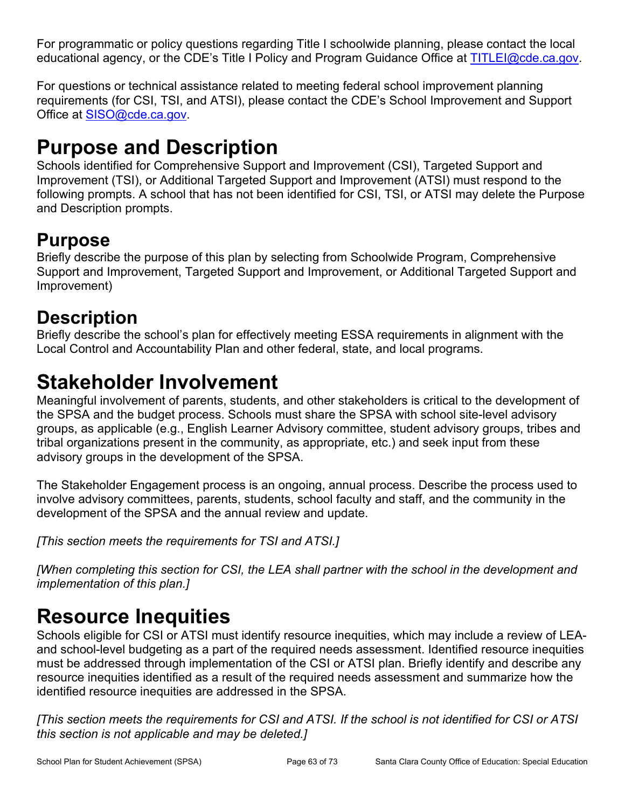For programmatic or policy questions regarding Title I schoolwide planning, please contact the local educational agency, or the CDE's Title I Policy and Program Guidance Office at TITLEI@cde.ca.gov.

For questions or technical assistance related to meeting federal school improvement planning requirements (for CSI, TSI, and ATSI), please contact the CDE's School Improvement and Support Office at SISO@cde.ca.gov.

# **Purpose and Description**

Schools identified for Comprehensive Support and Improvement (CSI), Targeted Support and Improvement (TSI), or Additional Targeted Support and Improvement (ATSI) must respond to the following prompts. A school that has not been identified for CSI, TSI, or ATSI may delete the Purpose and Description prompts.

## **Purpose**

Briefly describe the purpose of this plan by selecting from Schoolwide Program, Comprehensive Support and Improvement, Targeted Support and Improvement, or Additional Targeted Support and Improvement)

## **Description**

Briefly describe the school's plan for effectively meeting ESSA requirements in alignment with the Local Control and Accountability Plan and other federal, state, and local programs.

# **Stakeholder Involvement**

Meaningful involvement of parents, students, and other stakeholders is critical to the development of the SPSA and the budget process. Schools must share the SPSA with school site-level advisory groups, as applicable (e.g., English Learner Advisory committee, student advisory groups, tribes and tribal organizations present in the community, as appropriate, etc.) and seek input from these advisory groups in the development of the SPSA.

The Stakeholder Engagement process is an ongoing, annual process. Describe the process used to involve advisory committees, parents, students, school faculty and staff, and the community in the development of the SPSA and the annual review and update.

*[This section meets the requirements for TSI and ATSI.]*

*[When completing this section for CSI, the LEA shall partner with the school in the development and implementation of this plan.]*

# **Resource Inequities**

Schools eligible for CSI or ATSI must identify resource inequities, which may include a review of LEAand school-level budgeting as a part of the required needs assessment. Identified resource inequities must be addressed through implementation of the CSI or ATSI plan. Briefly identify and describe any resource inequities identified as a result of the required needs assessment and summarize how the identified resource inequities are addressed in the SPSA.

*[This section meets the requirements for CSI and ATSI. If the school is not identified for CSI or ATSI this section is not applicable and may be deleted.]*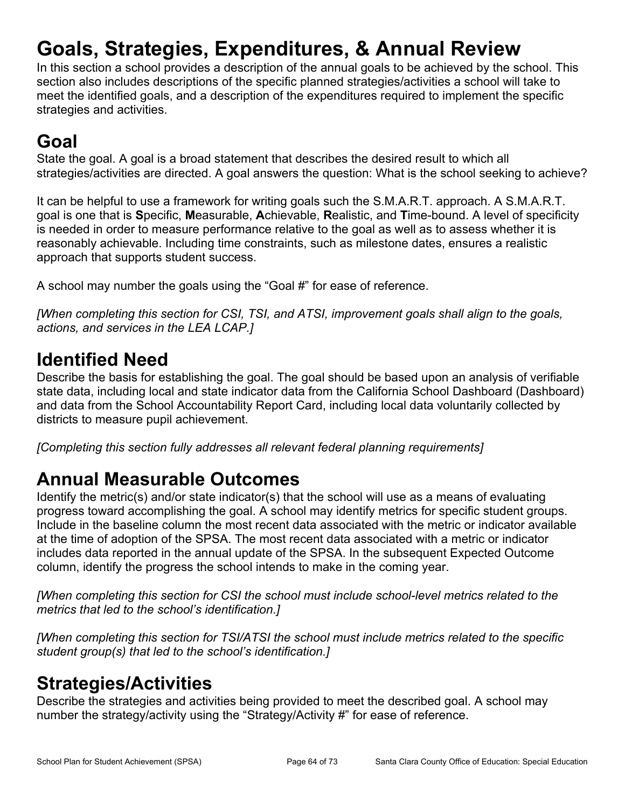# **Goals, Strategies, Expenditures, & Annual Review**

In this section a school provides a description of the annual goals to be achieved by the school. This section also includes descriptions of the specific planned strategies/activities a school will take to meet the identified goals, and a description of the expenditures required to implement the specific strategies and activities.

# **Goal**

State the goal. A goal is a broad statement that describes the desired result to which all strategies/activities are directed. A goal answers the question: What is the school seeking to achieve?

It can be helpful to use a framework for writing goals such the S.M.A.R.T. approach. A S.M.A.R.T. goal is one that is **S**pecific, **M**easurable, **A**chievable, **R**ealistic, and **T**ime-bound. A level of specificity is needed in order to measure performance relative to the goal as well as to assess whether it is reasonably achievable. Including time constraints, such as milestone dates, ensures a realistic approach that supports student success.

A school may number the goals using the "Goal #" for ease of reference.

*[When completing this section for CSI, TSI, and ATSI, improvement goals shall align to the goals, actions, and services in the LEA LCAP.]*

## **Identified Need**

Describe the basis for establishing the goal. The goal should be based upon an analysis of verifiable state data, including local and state indicator data from the California School Dashboard (Dashboard) and data from the School Accountability Report Card, including local data voluntarily collected by districts to measure pupil achievement.

*[Completing this section fully addresses all relevant federal planning requirements]*

## **Annual Measurable Outcomes**

Identify the metric(s) and/or state indicator(s) that the school will use as a means of evaluating progress toward accomplishing the goal. A school may identify metrics for specific student groups. Include in the baseline column the most recent data associated with the metric or indicator available at the time of adoption of the SPSA. The most recent data associated with a metric or indicator includes data reported in the annual update of the SPSA. In the subsequent Expected Outcome column, identify the progress the school intends to make in the coming year.

*[When completing this section for CSI the school must include school-level metrics related to the metrics that led to the school's identification.]*

*[When completing this section for TSI/ATSI the school must include metrics related to the specific student group(s) that led to the school's identification.]* 

## **Strategies/Activities**

Describe the strategies and activities being provided to meet the described goal. A school may number the strategy/activity using the "Strategy/Activity #" for ease of reference.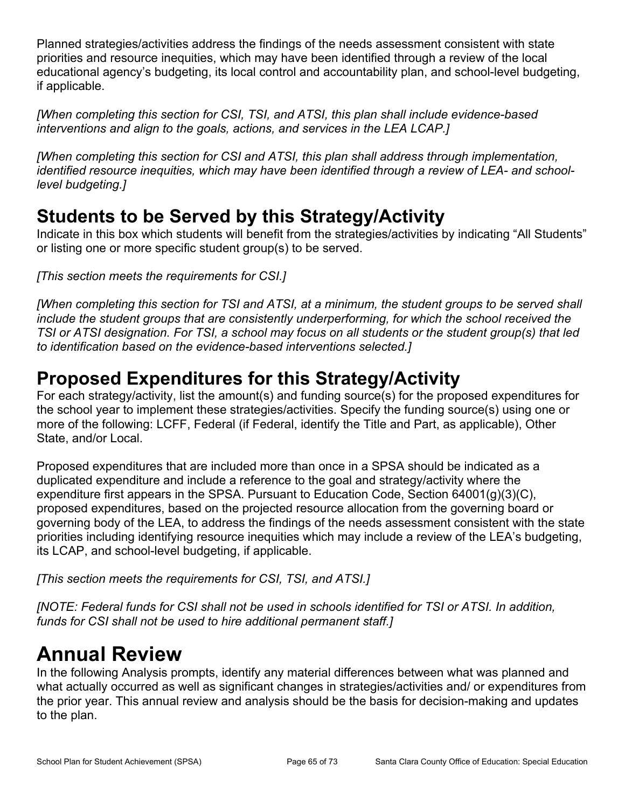Planned strategies/activities address the findings of the needs assessment consistent with state priorities and resource inequities, which may have been identified through a review of the local educational agency's budgeting, its local control and accountability plan, and school-level budgeting, if applicable.

*[When completing this section for CSI, TSI, and ATSI, this plan shall include evidence-based interventions and align to the goals, actions, and services in the LEA LCAP.]*

*[When completing this section for CSI and ATSI, this plan shall address through implementation, identified resource inequities, which may have been identified through a review of LEA- and schoollevel budgeting.]*

## **Students to be Served by this Strategy/Activity**

Indicate in this box which students will benefit from the strategies/activities by indicating "All Students" or listing one or more specific student group(s) to be served.

*[This section meets the requirements for CSI.]*

*[When completing this section for TSI and ATSI, at a minimum, the student groups to be served shall include the student groups that are consistently underperforming, for which the school received the TSI or ATSI designation. For TSI, a school may focus on all students or the student group(s) that led to identification based on the evidence-based interventions selected.]*

## **Proposed Expenditures for this Strategy/Activity**

For each strategy/activity, list the amount(s) and funding source(s) for the proposed expenditures for the school year to implement these strategies/activities. Specify the funding source(s) using one or more of the following: LCFF, Federal (if Federal, identify the Title and Part, as applicable), Other State, and/or Local.

Proposed expenditures that are included more than once in a SPSA should be indicated as a duplicated expenditure and include a reference to the goal and strategy/activity where the expenditure first appears in the SPSA. Pursuant to Education Code, Section 64001(g)(3)(C), proposed expenditures, based on the projected resource allocation from the governing board or governing body of the LEA, to address the findings of the needs assessment consistent with the state priorities including identifying resource inequities which may include a review of the LEA's budgeting, its LCAP, and school-level budgeting, if applicable.

*[This section meets the requirements for CSI, TSI, and ATSI.]*

*[NOTE: Federal funds for CSI shall not be used in schools identified for TSI or ATSI. In addition, funds for CSI shall not be used to hire additional permanent staff.]*

# **Annual Review**

In the following Analysis prompts, identify any material differences between what was planned and what actually occurred as well as significant changes in strategies/activities and/ or expenditures from the prior year. This annual review and analysis should be the basis for decision-making and updates to the plan.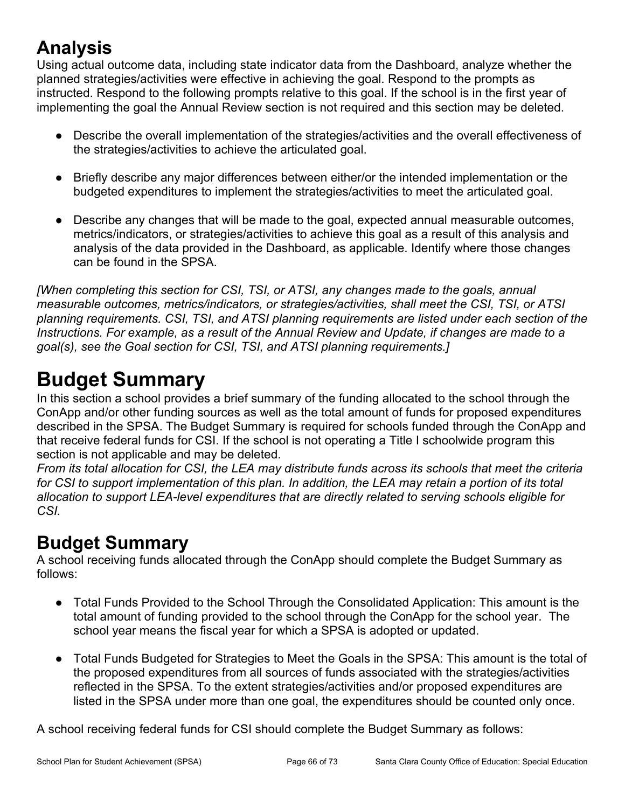## **Analysis**

Using actual outcome data, including state indicator data from the Dashboard, analyze whether the planned strategies/activities were effective in achieving the goal. Respond to the prompts as instructed. Respond to the following prompts relative to this goal. If the school is in the first year of implementing the goal the Annual Review section is not required and this section may be deleted.

- Describe the overall implementation of the strategies/activities and the overall effectiveness of the strategies/activities to achieve the articulated goal.
- Briefly describe any major differences between either/or the intended implementation or the budgeted expenditures to implement the strategies/activities to meet the articulated goal.
- Describe any changes that will be made to the goal, expected annual measurable outcomes, metrics/indicators, or strategies/activities to achieve this goal as a result of this analysis and analysis of the data provided in the Dashboard, as applicable. Identify where those changes can be found in the SPSA.

*[When completing this section for CSI, TSI, or ATSI, any changes made to the goals, annual measurable outcomes, metrics/indicators, or strategies/activities, shall meet the CSI, TSI, or ATSI planning requirements. CSI, TSI, and ATSI planning requirements are listed under each section of the Instructions. For example, as a result of the Annual Review and Update, if changes are made to a goal(s), see the Goal section for CSI, TSI, and ATSI planning requirements.]* 

# **Budget Summary**

In this section a school provides a brief summary of the funding allocated to the school through the ConApp and/or other funding sources as well as the total amount of funds for proposed expenditures described in the SPSA. The Budget Summary is required for schools funded through the ConApp and that receive federal funds for CSI. If the school is not operating a Title I schoolwide program this section is not applicable and may be deleted.

*From its total allocation for CSI, the LEA may distribute funds across its schools that meet the criteria for CSI to support implementation of this plan. In addition, the LEA may retain a portion of its total allocation to support LEA-level expenditures that are directly related to serving schools eligible for CSI.*

## **Budget Summary**

A school receiving funds allocated through the ConApp should complete the Budget Summary as follows:

- Total Funds Provided to the School Through the Consolidated Application: This amount is the total amount of funding provided to the school through the ConApp for the school year. The school year means the fiscal year for which a SPSA is adopted or updated.
- Total Funds Budgeted for Strategies to Meet the Goals in the SPSA: This amount is the total of the proposed expenditures from all sources of funds associated with the strategies/activities reflected in the SPSA. To the extent strategies/activities and/or proposed expenditures are listed in the SPSA under more than one goal, the expenditures should be counted only once.

A school receiving federal funds for CSI should complete the Budget Summary as follows: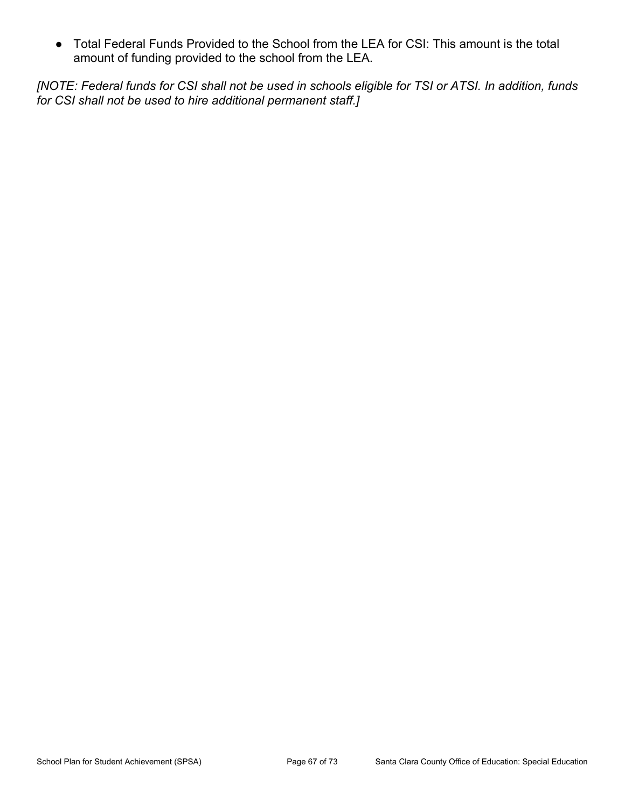● Total Federal Funds Provided to the School from the LEA for CSI: This amount is the total amount of funding provided to the school from the LEA.

*[NOTE: Federal funds for CSI shall not be used in schools eligible for TSI or ATSI. In addition, funds for CSI shall not be used to hire additional permanent staff.]*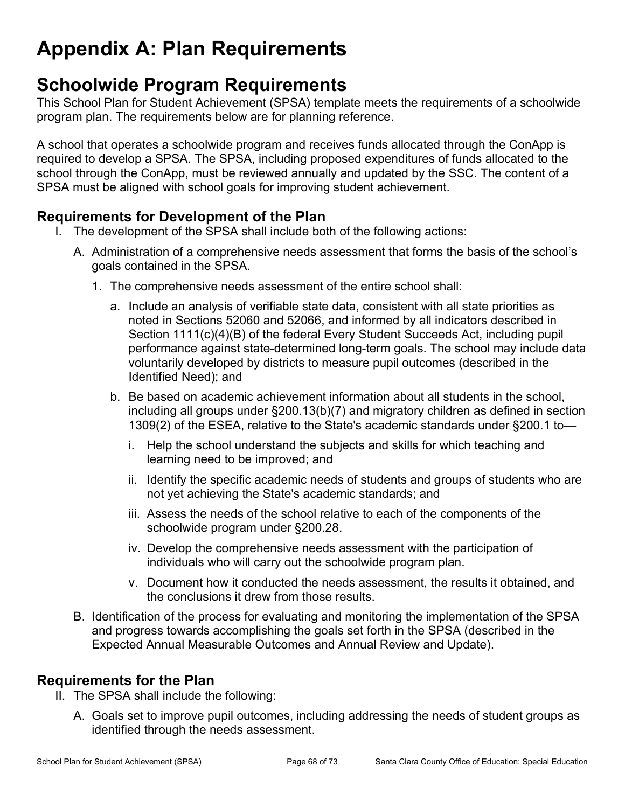# **Appendix A: Plan Requirements**

## **Schoolwide Program Requirements**

This School Plan for Student Achievement (SPSA) template meets the requirements of a schoolwide program plan. The requirements below are for planning reference.

A school that operates a schoolwide program and receives funds allocated through the ConApp is required to develop a SPSA. The SPSA, including proposed expenditures of funds allocated to the school through the ConApp, must be reviewed annually and updated by the SSC. The content of a SPSA must be aligned with school goals for improving student achievement.

### **Requirements for Development of the Plan**

- I. The development of the SPSA shall include both of the following actions:
	- A. Administration of a comprehensive needs assessment that forms the basis of the school's goals contained in the SPSA.
		- 1. The comprehensive needs assessment of the entire school shall:
			- a. Include an analysis of verifiable state data, consistent with all state priorities as noted in Sections 52060 and 52066, and informed by all indicators described in Section 1111(c)(4)(B) of the federal Every Student Succeeds Act, including pupil performance against state-determined long-term goals. The school may include data voluntarily developed by districts to measure pupil outcomes (described in the Identified Need); and
			- b. Be based on academic achievement information about all students in the school, including all groups under §200.13(b)(7) and migratory children as defined in section 1309(2) of the ESEA, relative to the State's academic standards under §200.1 to
				- i. Help the school understand the subjects and skills for which teaching and learning need to be improved; and
				- ii. Identify the specific academic needs of students and groups of students who are not yet achieving the State's academic standards; and
				- iii. Assess the needs of the school relative to each of the components of the schoolwide program under §200.28.
				- iv. Develop the comprehensive needs assessment with the participation of individuals who will carry out the schoolwide program plan.
				- v. Document how it conducted the needs assessment, the results it obtained, and the conclusions it drew from those results.
	- B. Identification of the process for evaluating and monitoring the implementation of the SPSA and progress towards accomplishing the goals set forth in the SPSA (described in the Expected Annual Measurable Outcomes and Annual Review and Update).

### **Requirements for the Plan**

- II. The SPSA shall include the following:
	- A. Goals set to improve pupil outcomes, including addressing the needs of student groups as identified through the needs assessment.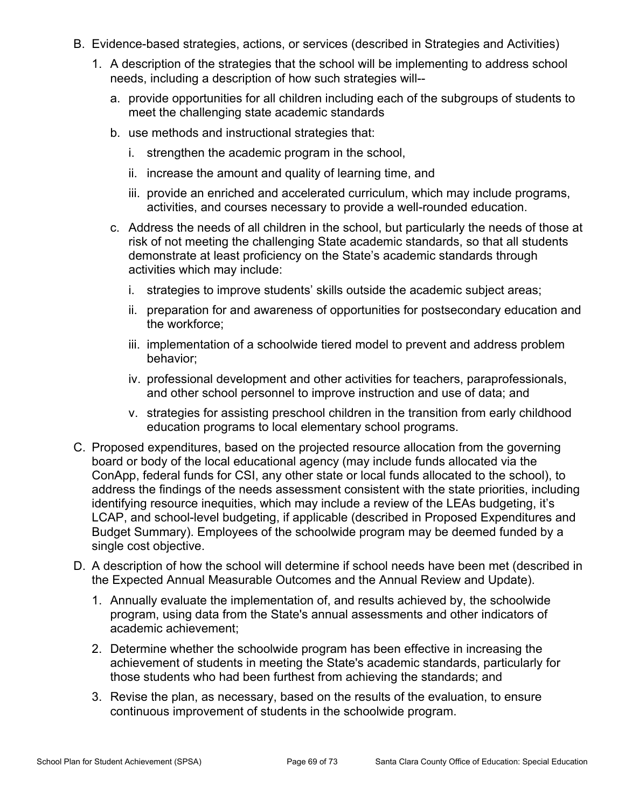- B. Evidence-based strategies, actions, or services (described in Strategies and Activities)
	- 1. A description of the strategies that the school will be implementing to address school needs, including a description of how such strategies will-
		- a. provide opportunities for all children including each of the subgroups of students to meet the challenging state academic standards
		- b. use methods and instructional strategies that:
			- i. strengthen the academic program in the school,
			- ii. increase the amount and quality of learning time, and
			- iii. provide an enriched and accelerated curriculum, which may include programs, activities, and courses necessary to provide a well-rounded education.
		- c. Address the needs of all children in the school, but particularly the needs of those at risk of not meeting the challenging State academic standards, so that all students demonstrate at least proficiency on the State's academic standards through activities which may include:
			- i. strategies to improve students' skills outside the academic subject areas;
			- ii. preparation for and awareness of opportunities for postsecondary education and the workforce;
			- iii. implementation of a schoolwide tiered model to prevent and address problem behavior;
			- iv. professional development and other activities for teachers, paraprofessionals, and other school personnel to improve instruction and use of data; and
			- v. strategies for assisting preschool children in the transition from early childhood education programs to local elementary school programs.
- C. Proposed expenditures, based on the projected resource allocation from the governing board or body of the local educational agency (may include funds allocated via the ConApp, federal funds for CSI, any other state or local funds allocated to the school), to address the findings of the needs assessment consistent with the state priorities, including identifying resource inequities, which may include a review of the LEAs budgeting, it's LCAP, and school-level budgeting, if applicable (described in Proposed Expenditures and Budget Summary). Employees of the schoolwide program may be deemed funded by a single cost objective.
- D. A description of how the school will determine if school needs have been met (described in the Expected Annual Measurable Outcomes and the Annual Review and Update).
	- 1. Annually evaluate the implementation of, and results achieved by, the schoolwide program, using data from the State's annual assessments and other indicators of academic achievement;
	- 2. Determine whether the schoolwide program has been effective in increasing the achievement of students in meeting the State's academic standards, particularly for those students who had been furthest from achieving the standards; and
	- 3. Revise the plan, as necessary, based on the results of the evaluation, to ensure continuous improvement of students in the schoolwide program.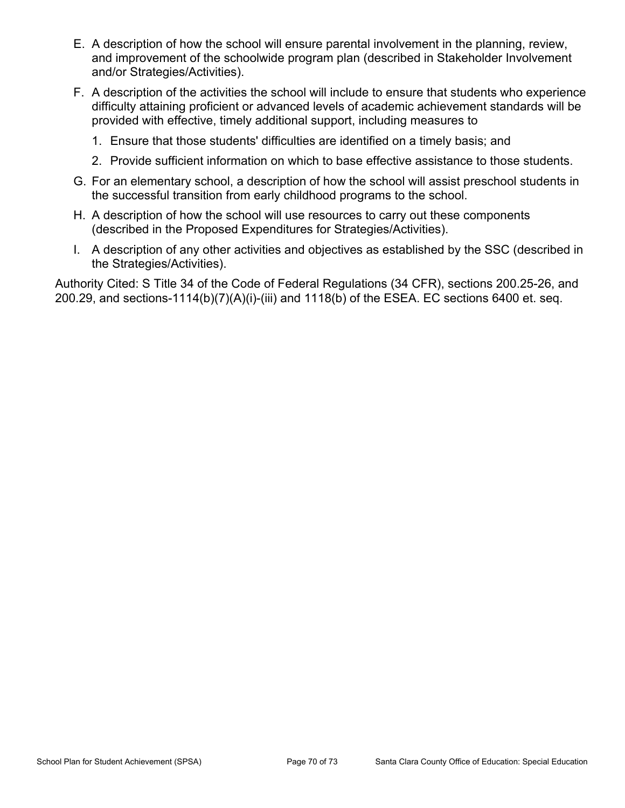- E. A description of how the school will ensure parental involvement in the planning, review, and improvement of the schoolwide program plan (described in Stakeholder Involvement and/or Strategies/Activities).
- F. A description of the activities the school will include to ensure that students who experience difficulty attaining proficient or advanced levels of academic achievement standards will be provided with effective, timely additional support, including measures to
	- 1. Ensure that those students' difficulties are identified on a timely basis; and
	- 2. Provide sufficient information on which to base effective assistance to those students.
- G. For an elementary school, a description of how the school will assist preschool students in the successful transition from early childhood programs to the school.
- H. A description of how the school will use resources to carry out these components (described in the Proposed Expenditures for Strategies/Activities).
- I. A description of any other activities and objectives as established by the SSC (described in the Strategies/Activities).

Authority Cited: S Title 34 of the Code of Federal Regulations (34 CFR), sections 200.25-26, and 200.29, and sections-1114(b)(7)(A)(i)-(iii) and 1118(b) of the ESEA. EC sections 6400 et. seq.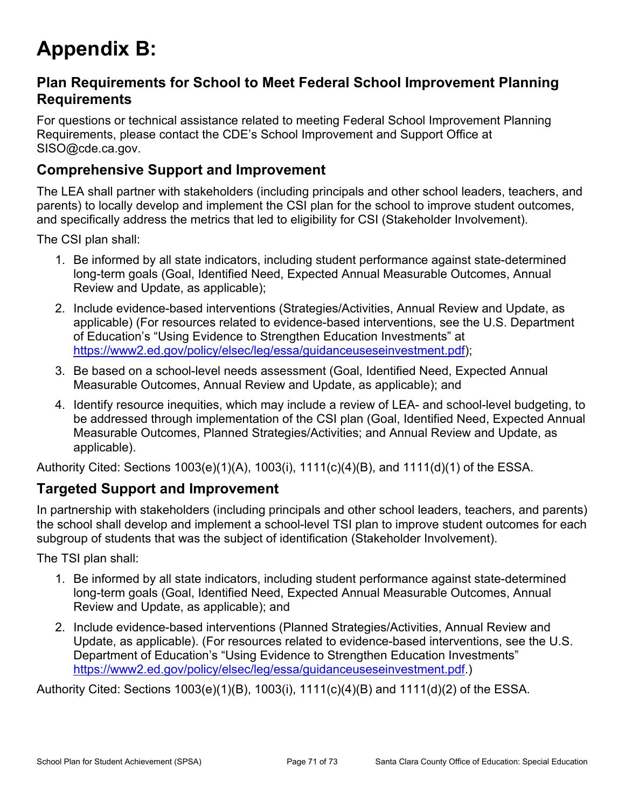# **Appendix B:**

### **Plan Requirements for School to Meet Federal School Improvement Planning Requirements**

For questions or technical assistance related to meeting Federal School Improvement Planning Requirements, please contact the CDE's School Improvement and Support Office at SISO@cde.ca.gov.

### **Comprehensive Support and Improvement**

The LEA shall partner with stakeholders (including principals and other school leaders, teachers, and parents) to locally develop and implement the CSI plan for the school to improve student outcomes, and specifically address the metrics that led to eligibility for CSI (Stakeholder Involvement).

The CSI plan shall:

- 1. Be informed by all state indicators, including student performance against state-determined long-term goals (Goal, Identified Need, Expected Annual Measurable Outcomes, Annual Review and Update, as applicable);
- 2. Include evidence-based interventions (Strategies/Activities, Annual Review and Update, as applicable) (For resources related to evidence-based interventions, see the U.S. Department of Education's "Using Evidence to Strengthen Education Investments" at https://www2.ed.gov/policy/elsec/leg/essa/guidanceuseseinvestment.pdf);
- 3. Be based on a school-level needs assessment (Goal, Identified Need, Expected Annual Measurable Outcomes, Annual Review and Update, as applicable); and
- 4. Identify resource inequities, which may include a review of LEA- and school-level budgeting, to be addressed through implementation of the CSI plan (Goal, Identified Need, Expected Annual Measurable Outcomes, Planned Strategies/Activities; and Annual Review and Update, as applicable).

Authority Cited: Sections 1003(e)(1)(A), 1003(i), 1111(c)(4)(B), and 1111(d)(1) of the ESSA.

#### **Targeted Support and Improvement**

In partnership with stakeholders (including principals and other school leaders, teachers, and parents) the school shall develop and implement a school-level TSI plan to improve student outcomes for each subgroup of students that was the subject of identification (Stakeholder Involvement).

The TSI plan shall:

- 1. Be informed by all state indicators, including student performance against state-determined long-term goals (Goal, Identified Need, Expected Annual Measurable Outcomes, Annual Review and Update, as applicable); and
- 2. Include evidence-based interventions (Planned Strategies/Activities, Annual Review and Update, as applicable). (For resources related to evidence-based interventions, see the U.S. Department of Education's "Using Evidence to Strengthen Education Investments" https://www2.ed.gov/policy/elsec/leg/essa/guidanceuseseinvestment.pdf.)

Authority Cited: Sections 1003(e)(1)(B), 1003(i), 1111(c)(4)(B) and 1111(d)(2) of the ESSA.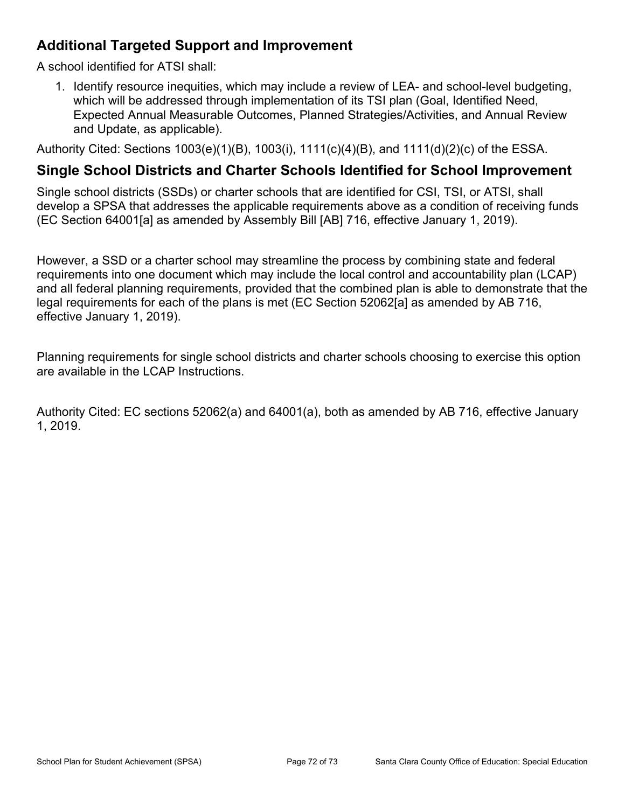### **Additional Targeted Support and Improvement**

A school identified for ATSI shall:

1. Identify resource inequities, which may include a review of LEA- and school-level budgeting, which will be addressed through implementation of its TSI plan (Goal, Identified Need, Expected Annual Measurable Outcomes, Planned Strategies/Activities, and Annual Review and Update, as applicable).

Authority Cited: Sections 1003(e)(1)(B), 1003(i), 1111(c)(4)(B), and 1111(d)(2)(c) of the ESSA.

### **Single School Districts and Charter Schools Identified for School Improvement**

Single school districts (SSDs) or charter schools that are identified for CSI, TSI, or ATSI, shall develop a SPSA that addresses the applicable requirements above as a condition of receiving funds (EC Section 64001[a] as amended by Assembly Bill [AB] 716, effective January 1, 2019).

However, a SSD or a charter school may streamline the process by combining state and federal requirements into one document which may include the local control and accountability plan (LCAP) and all federal planning requirements, provided that the combined plan is able to demonstrate that the legal requirements for each of the plans is met (EC Section 52062[a] as amended by AB 716, effective January 1, 2019).

Planning requirements for single school districts and charter schools choosing to exercise this option are available in the LCAP Instructions.

Authority Cited: EC sections 52062(a) and 64001(a), both as amended by AB 716, effective January 1, 2019.